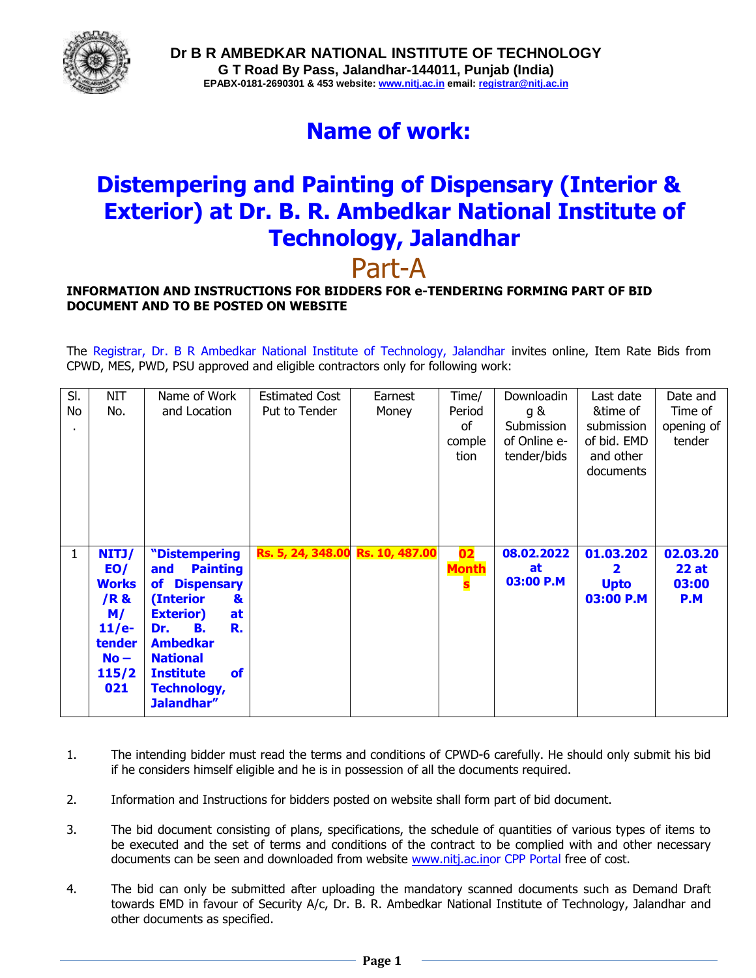

# **Name of work:**

# **Distempering and Painting of Dispensary (Interior & Exterior) at Dr. B. R. Ambedkar National Institute of Technology, Jalandhar** Part-A

#### **INFORMATION AND INSTRUCTIONS FOR BIDDERS FOR e-TENDERING FORMING PART OF BID DOCUMENT AND TO BE POSTED ON WEBSITE**

The Registrar, Dr. B R Ambedkar National Institute of Technology, Jalandhar invites online, Item Rate Bids from CPWD, MES, PWD, PSU approved and eligible contractors only for following work:

| SI.          | <b>NIT</b>   | Name of Work                     | <b>Estimated Cost</b>            | Earnest | Time/              | Downloadin       | Last date      | Date and         |
|--------------|--------------|----------------------------------|----------------------------------|---------|--------------------|------------------|----------------|------------------|
| No           | No.          | and Location                     | Put to Tender                    | Money   | Period             | g &              | &time of       | Time of          |
|              |              |                                  |                                  |         | of                 | Submission       | submission     | opening of       |
|              |              |                                  |                                  |         | comple             | of Online e-     | of bid. EMD    | tender           |
|              |              |                                  |                                  |         | tion               | tender/bids      | and other      |                  |
|              |              |                                  |                                  |         |                    |                  | documents      |                  |
|              |              |                                  |                                  |         |                    |                  |                |                  |
|              |              |                                  |                                  |         |                    |                  |                |                  |
|              |              |                                  |                                  |         |                    |                  |                |                  |
|              |              |                                  |                                  |         |                    |                  |                |                  |
| $\mathbf{1}$ | NITJ/<br>EO/ | "Distempering<br><b>Painting</b> | Rs. 5, 24, 348.00 Rs. 10, 487.00 |         | 02<br><b>Month</b> | 08.02.2022<br>at | 01.03.202<br>2 | 02.03.20<br>22at |
|              | <b>Works</b> | and<br><b>Dispensary</b><br>of   |                                  |         | S                  | 03:00 P.M        | <b>Upto</b>    | 03:00            |
|              | /R &         | (Interior<br>&                   |                                  |         |                    |                  | 03:00 P.M      | P.M              |
|              | M/           | <b>Exterior)</b><br>at           |                                  |         |                    |                  |                |                  |
|              | $11/e-$      | В.<br>R.<br>Dr.                  |                                  |         |                    |                  |                |                  |
|              | tender       | <b>Ambedkar</b>                  |                                  |         |                    |                  |                |                  |
|              | $No -$       | <b>National</b>                  |                                  |         |                    |                  |                |                  |
|              | 115/2        | <b>Institute</b><br><b>of</b>    |                                  |         |                    |                  |                |                  |
|              | 021          | <b>Technology,</b>               |                                  |         |                    |                  |                |                  |
|              |              | Jalandhar"                       |                                  |         |                    |                  |                |                  |

- 1. The intending bidder must read the terms and conditions of CPWD-6 carefully. He should only submit his bid if he considers himself eligible and he is in possession of all the documents required.
- 2. Information and Instructions for bidders posted on website shall form part of bid document.
- 3. The bid document consisting of plans, specifications, the schedule of quantities of various types of items to be executed and the set of terms and conditions of the contract to be complied with and other necessary documents can be seen and downloaded from website [www.nitj.ac.ino](http://www.nitj.ac.in/)r CPP Portal free of cost.
- 4. The bid can only be submitted after uploading the mandatory scanned documents such as Demand Draft towards EMD in favour of Security A/c, Dr. B. R. Ambedkar National Institute of Technology, Jalandhar and other documents as specified.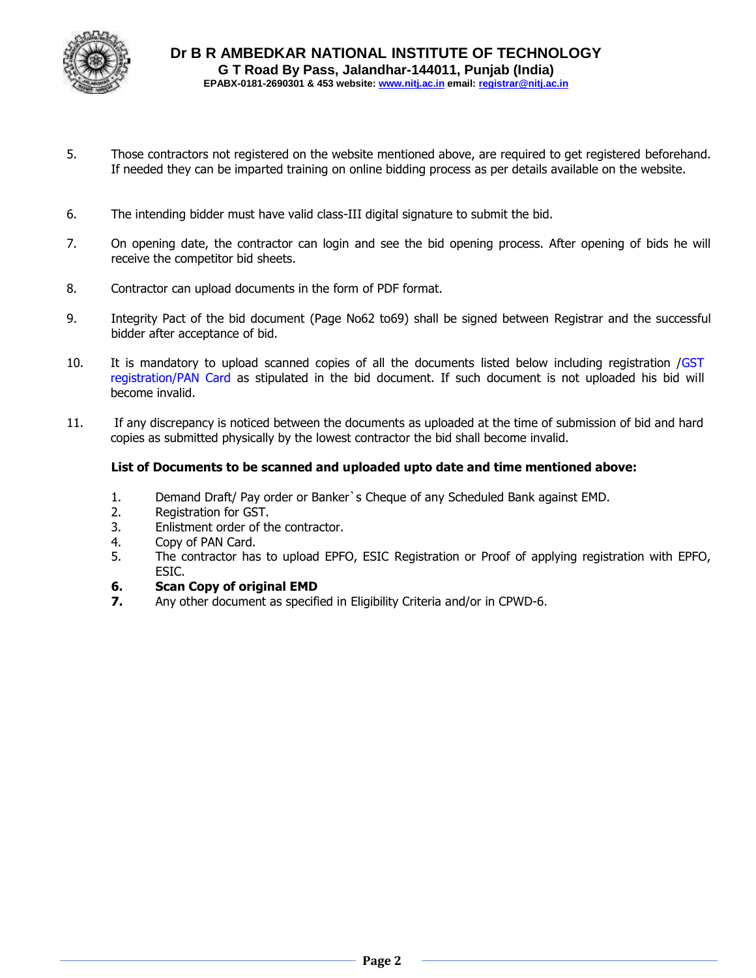

- 5. Those contractors not registered on the website mentioned above, are required to get registered beforehand. If needed they can be imparted training on online bidding process as per details available on the website.
- 6. The intending bidder must have valid class-III digital signature to submit the bid.
- 7. On opening date, the contractor can login and see the bid opening process. After opening of bids he will receive the competitor bid sheets.
- 8. Contractor can upload documents in the form of PDF format.
- 9. Integrity Pact of the bid document (Page No62 to69) shall be signed between Registrar and the successful bidder after acceptance of bid.
- 10. It is mandatory to upload scanned copies of all the documents listed below including registration /GST registration/PAN Card as stipulated in the bid document. If such document is not uploaded his bid will become invalid.
- 11. If any discrepancy is noticed between the documents as uploaded at the time of submission of bid and hard copies as submitted physically by the lowest contractor the bid shall become invalid.

#### **List of Documents to be scanned and uploaded upto date and time mentioned above:**

- 1. Demand Draft/ Pay order or Banker`s Cheque of any Scheduled Bank against EMD.
- 2. Registration for GST.
- 3. Enlistment order of the contractor.
- 4. Copy of PAN Card.
- 5. The contractor has to upload EPFO, ESIC Registration or Proof of applying registration with EPFO, ESIC.

#### **6. Scan Copy of original EMD**

**7.** Any other document as specified in Eligibility Criteria and/or in CPWD-6.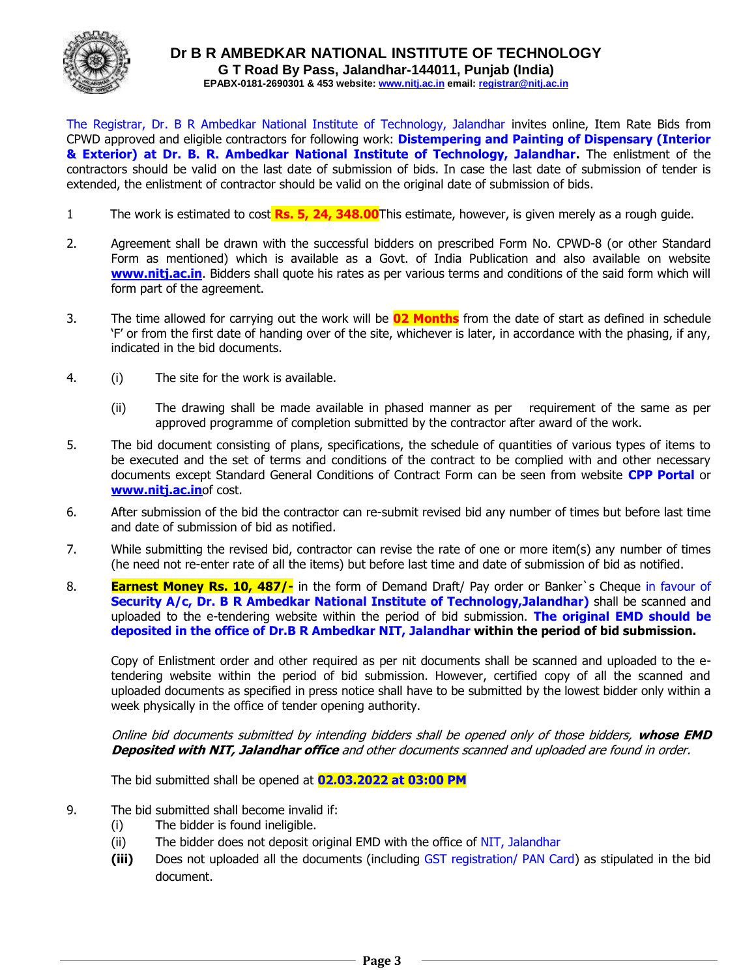

The Registrar, Dr. B R Ambedkar National Institute of Technology, Jalandhar invites online, Item Rate Bids from CPWD approved and eligible contractors for following work: **Distempering and Painting of Dispensary (Interior & Exterior) at Dr. B. R. Ambedkar National Institute of Technology, Jalandhar.** The enlistment of the contractors should be valid on the last date of submission of bids. In case the last date of submission of tender is extended, the enlistment of contractor should be valid on the original date of submission of bids.

- 1 The work is estimated to cost **Rs. 5, 24, 348.00**This estimate, however, is given merely as a rough guide.
- 2. Agreement shall be drawn with the successful bidders on prescribed Form No. CPWD-8 (or other Standard Form as mentioned) which is available as a Govt. of India Publication and also available on website **[www.nitj.ac.in](http://www.nitj.ac.in/)**. Bidders shall quote his rates as per various terms and conditions of the said form which will form part of the agreement.
- 3. The time allowed for carrying out the work will be **02 Months** from the date of start as defined in schedule 'F' or from the first date of handing over of the site, whichever is later, in accordance with the phasing, if any, indicated in the bid documents.
- 4. (i) The site for the work is available.
	- (ii) The drawing shall be made available in phased manner as per requirement of the same as per approved programme of completion submitted by the contractor after award of the work.
- 5. The bid document consisting of plans, specifications, the schedule of quantities of various types of items to be executed and the set of terms and conditions of the contract to be complied with and other necessary documents except Standard General Conditions of Contract Form can be seen from website **CPP Portal** or **[www.nitj.ac.in](http://www.nitj.ac.in/)**of cost.
- 6. After submission of the bid the contractor can re-submit revised bid any number of times but before last time and date of submission of bid as notified.
- 7. While submitting the revised bid, contractor can revise the rate of one or more item(s) any number of times (he need not re-enter rate of all the items) but before last time and date of submission of bid as notified.
- 8. **Earnest Money Rs. 10, 487/-** in the form of Demand Draft/ Pay order or Banker`s Cheque in favour of **Security A/c, Dr. B R Ambedkar National Institute of Technology,Jalandhar)** shall be scanned and uploaded to the e-tendering website within the period of bid submission. **The original EMD should be deposited in the office of Dr.B R Ambedkar NIT, Jalandhar within the period of bid submission.**

Copy of Enlistment order and other required as per nit documents shall be scanned and uploaded to the etendering website within the period of bid submission. However, certified copy of all the scanned and uploaded documents as specified in press notice shall have to be submitted by the lowest bidder only within a week physically in the office of tender opening authority.

Online bid documents submitted by intending bidders shall be opened only of those bidders, **whose EMD Deposited with NIT, Jalandhar office** and other documents scanned and uploaded are found in order.

The bid submitted shall be opened at **02.03.2022 at 03:00 PM** 

- 9. The bid submitted shall become invalid if:
	- (i) The bidder is found ineligible.
	- (ii) The bidder does not deposit original EMD with the office of NIT, Jalandhar
	- **(iii)** Does not uploaded all the documents (including GST registration/ PAN Card) as stipulated in the bid document.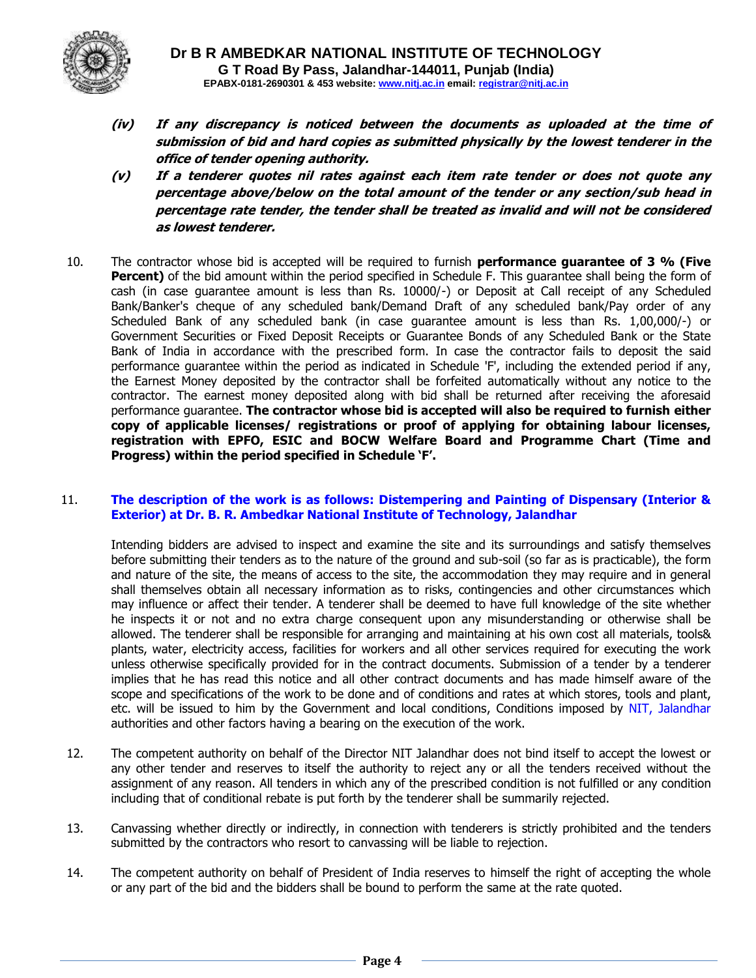

- **(iv) If any discrepancy is noticed between the documents as uploaded at the time of submission of bid and hard copies as submitted physically by the lowest tenderer in the office of tender opening authority.**
- **(v) If a tenderer quotes nil rates against each item rate tender or does not quote any percentage above/below on the total amount of the tender or any section/sub head in percentage rate tender, the tender shall be treated as invalid and will not be considered as lowest tenderer.**
- 10. The contractor whose bid is accepted will be required to furnish **performance guarantee of 3 % (Five Percent)** of the bid amount within the period specified in Schedule F. This quarantee shall being the form of cash (in case guarantee amount is less than Rs. 10000/-) or Deposit at Call receipt of any Scheduled Bank/Banker's cheque of any scheduled bank/Demand Draft of any scheduled bank/Pay order of any Scheduled Bank of any scheduled bank (in case guarantee amount is less than Rs. 1,00,000/-) or Government Securities or Fixed Deposit Receipts or Guarantee Bonds of any Scheduled Bank or the State Bank of India in accordance with the prescribed form. In case the contractor fails to deposit the said performance guarantee within the period as indicated in Schedule 'F', including the extended period if any, the Earnest Money deposited by the contractor shall be forfeited automatically without any notice to the contractor. The earnest money deposited along with bid shall be returned after receiving the aforesaid performance guarantee. **The contractor whose bid is accepted will also be required to furnish either copy of applicable licenses/ registrations or proof of applying for obtaining labour licenses, registration with EPFO, ESIC and BOCW Welfare Board and Programme Chart (Time and Progress) within the period specified in Schedule 'F'.**

#### 11. **The description of the work is as follows: Distempering and Painting of Dispensary (Interior & Exterior) at Dr. B. R. Ambedkar National Institute of Technology, Jalandhar**

Intending bidders are advised to inspect and examine the site and its surroundings and satisfy themselves before submitting their tenders as to the nature of the ground and sub-soil (so far as is practicable), the form and nature of the site, the means of access to the site, the accommodation they may require and in general shall themselves obtain all necessary information as to risks, contingencies and other circumstances which may influence or affect their tender. A tenderer shall be deemed to have full knowledge of the site whether he inspects it or not and no extra charge consequent upon any misunderstanding or otherwise shall be allowed. The tenderer shall be responsible for arranging and maintaining at his own cost all materials, tools& plants, water, electricity access, facilities for workers and all other services required for executing the work unless otherwise specifically provided for in the contract documents. Submission of a tender by a tenderer implies that he has read this notice and all other contract documents and has made himself aware of the scope and specifications of the work to be done and of conditions and rates at which stores, tools and plant, etc. will be issued to him by the Government and local conditions, Conditions imposed by NIT, Jalandhar authorities and other factors having a bearing on the execution of the work.

- 12. The competent authority on behalf of the Director NIT Jalandhar does not bind itself to accept the lowest or any other tender and reserves to itself the authority to reject any or all the tenders received without the assignment of any reason. All tenders in which any of the prescribed condition is not fulfilled or any condition including that of conditional rebate is put forth by the tenderer shall be summarily rejected.
- 13. Canvassing whether directly or indirectly, in connection with tenderers is strictly prohibited and the tenders submitted by the contractors who resort to canvassing will be liable to rejection.
- 14. The competent authority on behalf of President of India reserves to himself the right of accepting the whole or any part of the bid and the bidders shall be bound to perform the same at the rate quoted.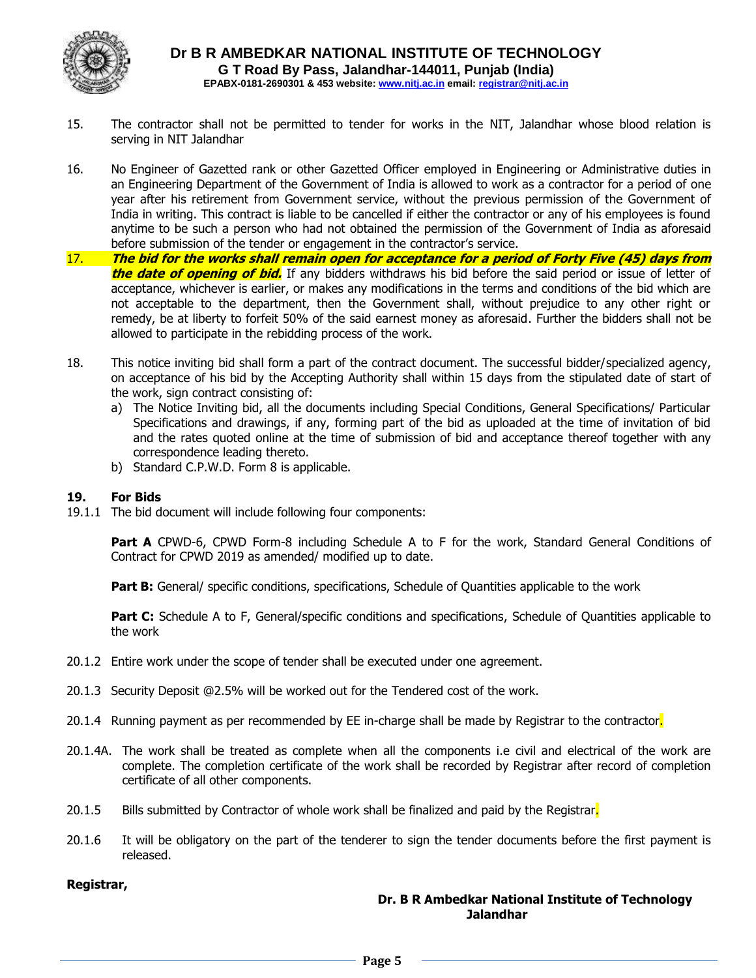

- 15. The contractor shall not be permitted to tender for works in the NIT, Jalandhar whose blood relation is serving in NIT Jalandhar
- 16. No Engineer of Gazetted rank or other Gazetted Officer employed in Engineering or Administrative duties in an Engineering Department of the Government of India is allowed to work as a contractor for a period of one year after his retirement from Government service, without the previous permission of the Government of India in writing. This contract is liable to be cancelled if either the contractor or any of his employees is found anytime to be such a person who had not obtained the permission of the Government of India as aforesaid before submission of the tender or engagement in the contractor's service.
- 17. **The bid for the works shall remain open for acceptance for a period of Forty Five (45) days from the date of opening of bid.** If any bidders withdraws his bid before the said period or issue of letter of acceptance, whichever is earlier, or makes any modifications in the terms and conditions of the bid which are not acceptable to the department, then the Government shall, without prejudice to any other right or remedy, be at liberty to forfeit 50% of the said earnest money as aforesaid. Further the bidders shall not be allowed to participate in the rebidding process of the work.
- 18. This notice inviting bid shall form a part of the contract document. The successful bidder/specialized agency, on acceptance of his bid by the Accepting Authority shall within 15 days from the stipulated date of start of the work, sign contract consisting of:
	- a) The Notice Inviting bid, all the documents including Special Conditions, General Specifications/ Particular Specifications and drawings, if any, forming part of the bid as uploaded at the time of invitation of bid and the rates quoted online at the time of submission of bid and acceptance thereof together with any correspondence leading thereto.
	- b) Standard C.P.W.D. Form 8 is applicable.

#### **19. For Bids**

19.1.1 The bid document will include following four components:

Part A CPWD-6, CPWD Form-8 including Schedule A to F for the work, Standard General Conditions of Contract for CPWD 2019 as amended/ modified up to date.

**Part B:** General/ specific conditions, specifications, Schedule of Quantities applicable to the work

**Part C:** Schedule A to F, General/specific conditions and specifications, Schedule of Quantities applicable to the work

- 20.1.2 Entire work under the scope of tender shall be executed under one agreement.
- 20.1.3 Security Deposit @2.5% will be worked out for the Tendered cost of the work.
- 20.1.4 Running payment as per recommended by EE in-charge shall be made by Registrar to the contractor.
- 20.1.4A. The work shall be treated as complete when all the components i.e civil and electrical of the work are complete. The completion certificate of the work shall be recorded by Registrar after record of completion certificate of all other components.
- 20.1.5 Bills submitted by Contractor of whole work shall be finalized and paid by the Registrar.
- 20.1.6 It will be obligatory on the part of the tenderer to sign the tender documents before the first payment is released.

#### **Registrar,**

#### **Dr. B R Ambedkar National Institute of Technology Jalandhar**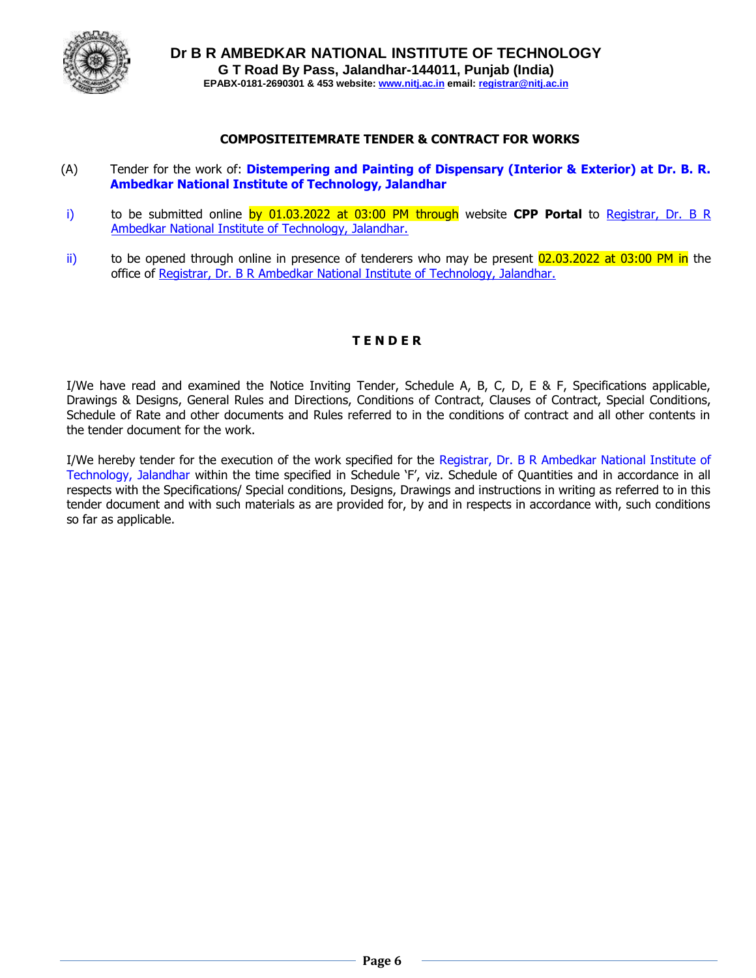

#### **COMPOSITEITEMRATE TENDER & CONTRACT FOR WORKS**

- (A) Tender for the work of: **Distempering and Painting of Dispensary (Interior & Exterior) at Dr. B. R. Ambedkar National Institute of Technology, Jalandhar**
- i) to be submitted online by 01.03.2022 at 03:00 PM through website **CPP Portal** to Registrar, Dr. B R Ambedkar National Institute of Technology, Jalandhar.
- $\overline{ii}$  to be opened through online in presence of tenderers who may be present  $02.03.2022$  at 03:00 PM in the office of Registrar, Dr. B R Ambedkar National Institute of Technology, Jalandhar.

#### **T E N D E R**

I/We have read and examined the Notice Inviting Tender, Schedule A, B, C, D, E & F, Specifications applicable, Drawings & Designs, General Rules and Directions, Conditions of Contract, Clauses of Contract, Special Conditions, Schedule of Rate and other documents and Rules referred to in the conditions of contract and all other contents in the tender document for the work.

I/We hereby tender for the execution of the work specified for the Registrar, Dr. B R Ambedkar National Institute of Technology, Jalandhar within the time specified in Schedule 'F', viz. Schedule of Quantities and in accordance in all respects with the Specifications/ Special conditions, Designs, Drawings and instructions in writing as referred to in this tender document and with such materials as are provided for, by and in respects in accordance with, such conditions so far as applicable.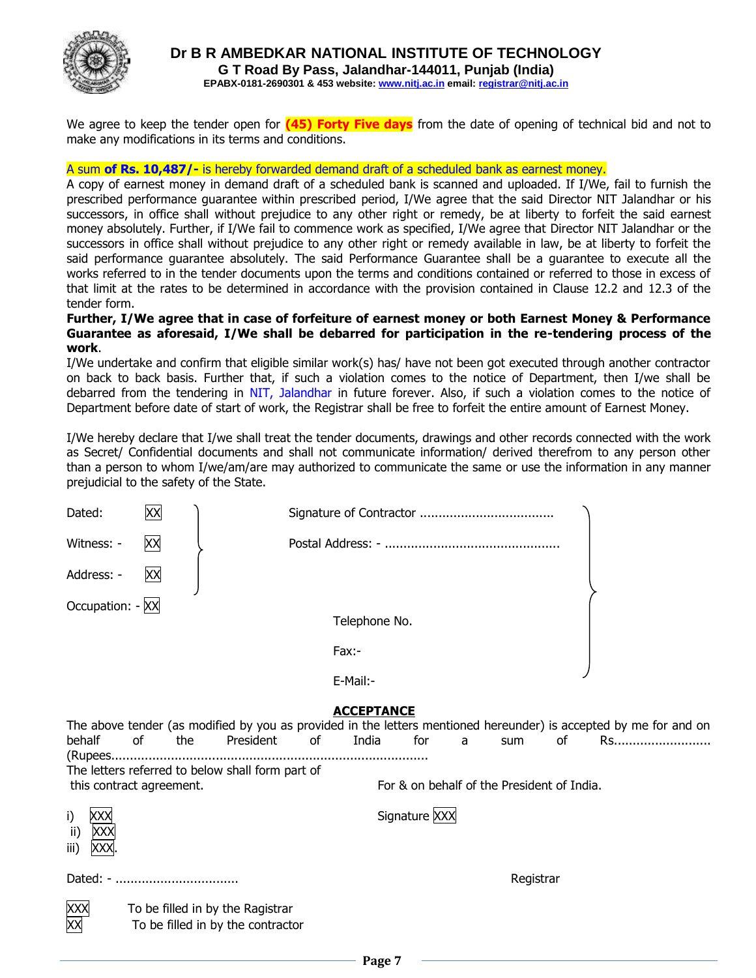

We agree to keep the tender open for **(45) Forty Five days** from the date of opening of technical bid and not to make any modifications in its terms and conditions.

#### A sum **of Rs. 10,487/-** is hereby forwarded demand draft of a scheduled bank as earnest money.

A copy of earnest money in demand draft of a scheduled bank is scanned and uploaded. If I/We, fail to furnish the prescribed performance guarantee within prescribed period, I/We agree that the said Director NIT Jalandhar or his successors, in office shall without prejudice to any other right or remedy, be at liberty to forfeit the said earnest money absolutely. Further, if I/We fail to commence work as specified, I/We agree that Director NIT Jalandhar or the successors in office shall without prejudice to any other right or remedy available in law, be at liberty to forfeit the said performance guarantee absolutely. The said Performance Guarantee shall be a guarantee to execute all the works referred to in the tender documents upon the terms and conditions contained or referred to those in excess of that limit at the rates to be determined in accordance with the provision contained in Clause 12.2 and 12.3 of the tender form.

#### **Further, I/We agree that in case of forfeiture of earnest money or both Earnest Money & Performance Guarantee as aforesaid, I/We shall be debarred for participation in the re-tendering process of the work**.

I/We undertake and confirm that eligible similar work(s) has/ have not been got executed through another contractor on back to back basis. Further that, if such a violation comes to the notice of Department, then I/we shall be debarred from the tendering in NIT, Jalandhar in future forever. Also, if such a violation comes to the notice of Department before date of start of work, the Registrar shall be free to forfeit the entire amount of Earnest Money.

I/We hereby declare that I/we shall treat the tender documents, drawings and other records connected with the work as Secret/ Confidential documents and shall not communicate information/ derived therefrom to any person other than a person to whom I/we/am/are may authorized to communicate the same or use the information in any manner prejudicial to the safety of the State.

| Dated:                   | XX |     |                                                                       |       |                   |               |   |                                            |    |                                                                                                                         |
|--------------------------|----|-----|-----------------------------------------------------------------------|-------|-------------------|---------------|---|--------------------------------------------|----|-------------------------------------------------------------------------------------------------------------------------|
| Witness: -               | XX |     |                                                                       |       |                   |               |   |                                            |    |                                                                                                                         |
| Address: -               | XX |     |                                                                       |       |                   |               |   |                                            |    |                                                                                                                         |
| Occupation: - XX         |    |     |                                                                       |       |                   |               |   |                                            |    |                                                                                                                         |
|                          |    |     |                                                                       |       | Telephone No.     |               |   |                                            |    |                                                                                                                         |
|                          |    |     |                                                                       | Fax:- |                   |               |   |                                            |    |                                                                                                                         |
|                          |    |     |                                                                       |       | E-Mail:-          |               |   |                                            |    |                                                                                                                         |
|                          |    |     |                                                                       |       | <b>ACCEPTANCE</b> |               |   |                                            |    |                                                                                                                         |
| behalf                   | of | the | President                                                             | of    | India             | for           | a | sum                                        | 0f | The above tender (as modified by you as provided in the letters mentioned hereunder) is accepted by me for and on<br>Rs |
|                          |    |     | The letters referred to below shall form part of                      |       |                   |               |   |                                            |    |                                                                                                                         |
| this contract agreement. |    |     |                                                                       |       |                   |               |   | For & on behalf of the President of India. |    |                                                                                                                         |
| i)<br>ii)<br>iii)        |    |     |                                                                       |       |                   | Signature XXX |   |                                            |    |                                                                                                                         |
| Dated: -                 |    |     |                                                                       |       |                   |               |   | Registrar                                  |    |                                                                                                                         |
|                          |    |     | To be filled in by the Ragistrar<br>To be filled in by the contractor |       |                   |               |   |                                            |    |                                                                                                                         |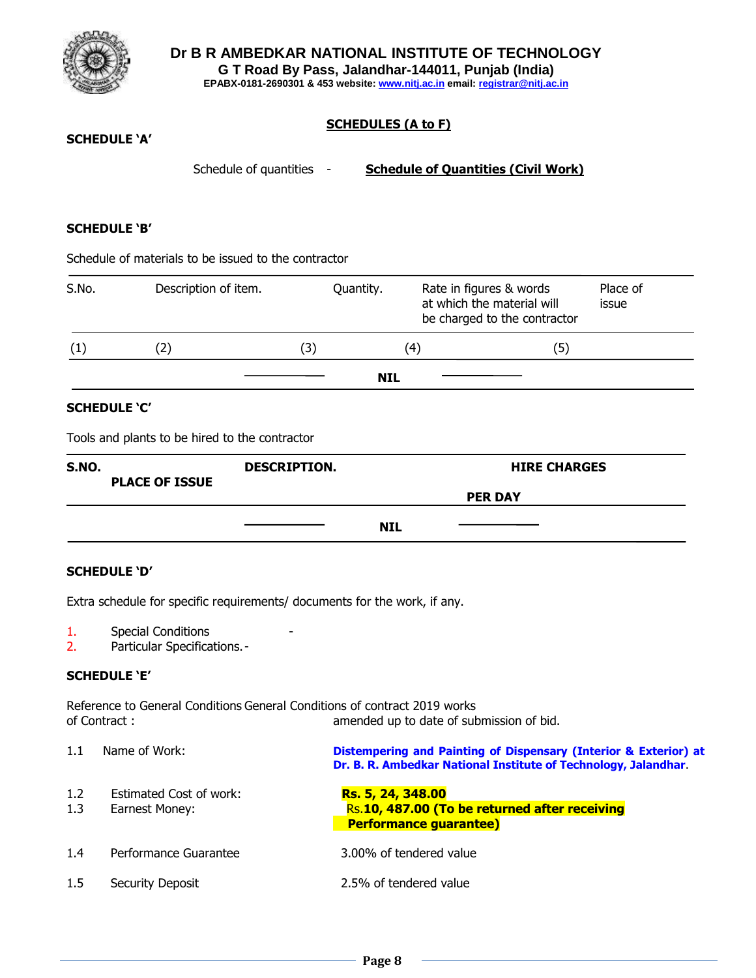

#### **SCHEDULES (A to F)**

#### **SCHEDULE 'A'**

Schedule of quantities - **Schedule of Quantities (Civil Work)** 

#### **SCHEDULE 'B'**

Schedule of materials to be issued to the contractor

| S.No. | Description of item. | Quantity.  |     | Rate in figures & words<br>at which the material will<br>be charged to the contractor | Place of<br>issue |
|-------|----------------------|------------|-----|---------------------------------------------------------------------------------------|-------------------|
| (1)   |                      | (3)        | (4) | (5)                                                                                   |                   |
|       |                      | <b>NIL</b> |     |                                                                                       |                   |

#### **SCHEDULE 'C'**

Tools and plants to be hired to the contractor

| <b>S.NO.</b><br><b>PLACE OF ISSUE</b> | <b>DESCRIPTION.</b> |            | <b>HIRE CHARGES</b> |  |
|---------------------------------------|---------------------|------------|---------------------|--|
|                                       |                     |            | <b>PER DAY</b>      |  |
|                                       |                     | <b>NIL</b> |                     |  |

#### **SCHEDULE 'D'**

Extra schedule for specific requirements/ documents for the work, if any.

- 1. Special Conditions
- 2. Particular Specifications.-

#### **SCHEDULE 'E'**

Reference to General Conditions General Conditions of contract 2019 works of Contract : amended up to date of submission of bid.

| 1.1        | Name of Work:                             | Distempering and Painting of Dispensary (Interior & Exterior) at<br>Dr. B. R. Ambedkar National Institute of Technology, Jalandhar |
|------------|-------------------------------------------|------------------------------------------------------------------------------------------------------------------------------------|
| 1.2<br>1.3 | Estimated Cost of work:<br>Earnest Money: | Rs. 5, 24, 348.00<br>Rs.10, 487.00 (To be returned after receiving<br><b>Performance guarantee)</b>                                |
| 1.4        | Performance Guarantee                     | 3.00% of tendered value                                                                                                            |
| $1.5\,$    | Security Deposit                          | 2.5% of tendered value                                                                                                             |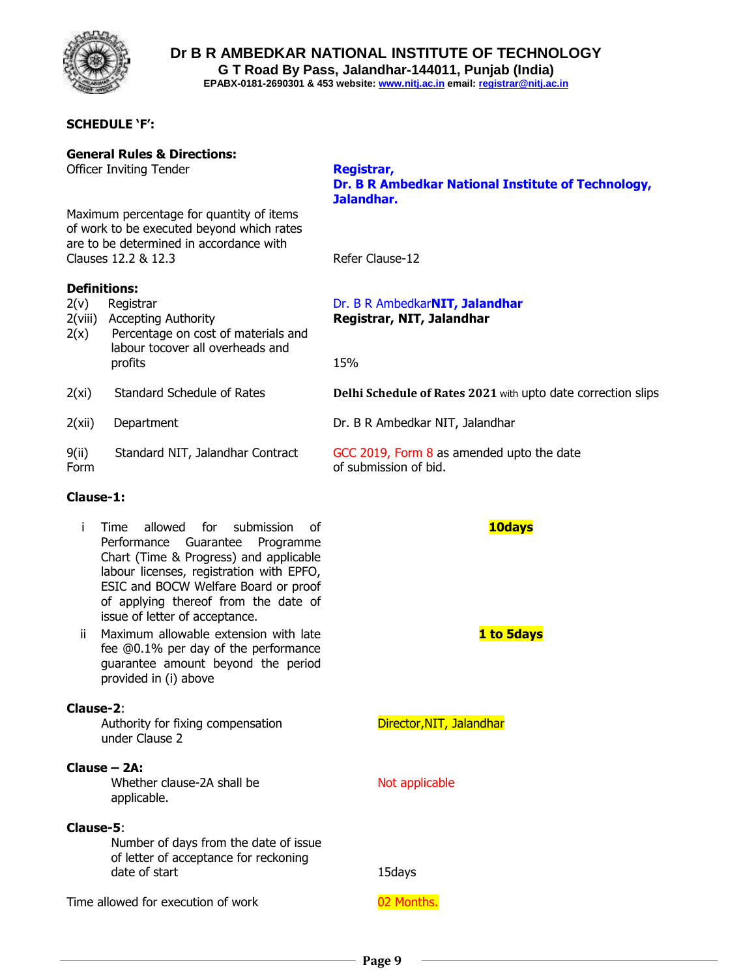

**Dr B R AMBEDKAR NATIONAL INSTITUTE OF TECHNOLOGY G T Road By Pass, Jalandhar-144011, Punjab (India)**

**EPABX-0181-2690301 & 453 website: www.nitj.ac.in email: registrar@nitj.ac.in**

#### **SCHEDULE 'F':**

**General Rules & Directions:**

Maximum percentage for quantity of items of work to be executed beyond which rates are to be determined in accordance with Clauses 12.2 & 12.3 Refer Clause-12 **Definitions:** 2(v) Registrar Dr. B R Ambedkar**NIT, Jalandhar** 2(viii) Accepting Authority **Registrar, NIT, Jalandhar** 2(x) Percentage on cost of materials and labour tocover all overheads and profits 15% 2(xi) Standard Schedule of Rates **Delhi Schedule of Rates 2021** with upto date correction slips 2(xii) Department Dr. B R Ambedkar NIT, Jalandhar 9(ii) Standard NIT, Jalandhar Contract GCC 2019, Form 8 as amended upto the date Form **blue** of submission of bid.

#### **Clause-1:**

- i Time allowed for submission of Performance Guarantee Programme Chart (Time & Progress) and applicable labour licenses, registration with EPFO, ESIC and BOCW Welfare Board or proof of applying thereof from the date of issue of letter of acceptance.
- ii Maximum allowable extension with late fee @0.1% per day of the performance guarantee amount beyond the period provided in (i) above

#### **Clause-2**:

Authority for fixing compensation **Director, NIT, Jalandhar** under Clause 2

#### **Clause – 2A:**

Whether clause-2A shall be Not applicable applicable.

#### **Clause-5**:

Number of days from the date of issue of letter of acceptance for reckoning date of start 15days

Time allowed for execution of work 02 Months.

#### Officer Inviting Tender **Registrar, Dr. B R Ambedkar National Institute of Technology, Jalandhar.**

#### **10days**

**1 to 5days**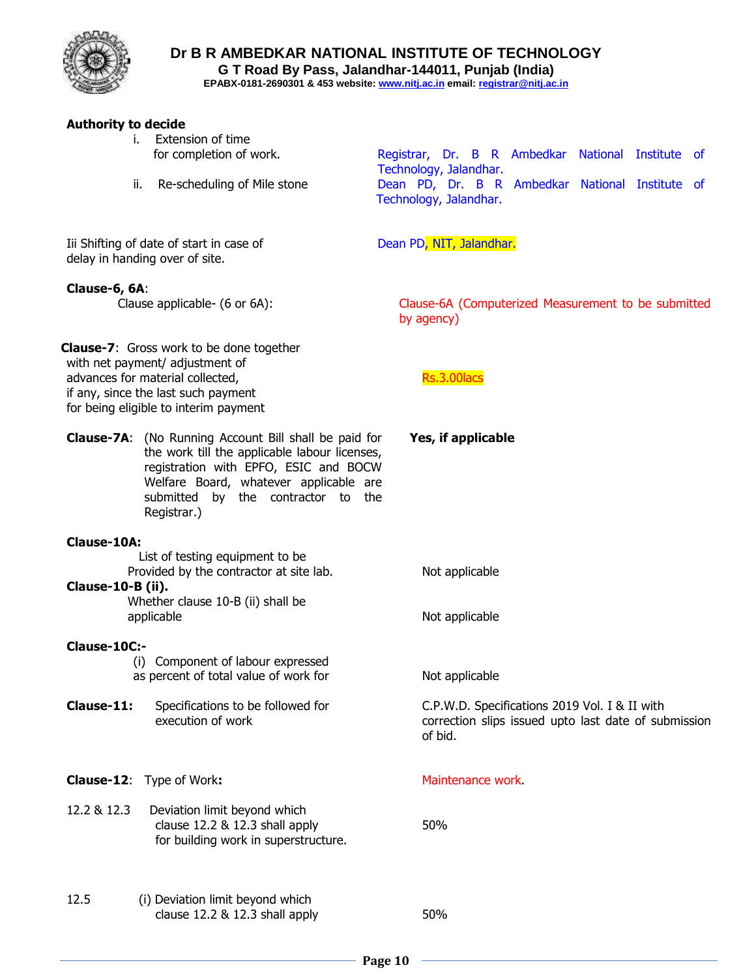

**Dr B R AMBEDKAR NATIONAL INSTITUTE OF TECHNOLOGY**

**G T Road By Pass, Jalandhar-144011, Punjab (India)**

**EPABX-0181-2690301 & 453 website: www.nitj.ac.in email: registrar@nitj.ac.in**

#### **Authority to decide**

- i. Extension of time
- 

for completion of work. The Registrar, Dr. B R Ambedkar National Institute of Technology, Jalandhar. ii. Re-scheduling of Mile stone **Dean PD, Dr. B R Ambedkar National Institute** of Technology, Jalandhar.

Iii Shifting of date of start in case of Dean PD, NIT, Jalandhar. delay in handing over of site.

#### **Clause-6, 6A**:

 Clause applicable- (6 or 6A): Clause-6A (Computerized Measurement to be submitted by agency)

 **Yes, if applicable**

**Clause-7**: Gross work to be done together with net payment/ adjustment of advances for material collected, and a set of the Rs.3.00 lacs if any, since the last such payment for being eligible to interim payment

**Clause-7A**: (No Running Account Bill shall be paid for the work till the applicable labour licenses, registration with EPFO, ESIC and BOCW Welfare Board, whatever applicable are submitted by the contractor to the Registrar.)

#### **Clause-10A:**

 List of testing equipment to be Provided by the contractor at site lab. Not applicable **Clause-10-B (ii).**  Whether clause 10-B (ii) shall be applicable applicable  $\blacksquare$ 

**Clause-10C:-** 

(i) Component of labour expressed as percent of total value of work for Not applicable

**Clause-11:** Specifications to be followed for C.P.W.D. Specifications 2019 Vol. I & II with execution of work execution of work correction slips issued upto last date of submission

**Clause-12:** Type of Work: Maintenance work.

- 12.2 & 12.3 Deviation limit beyond which clause 12.2 & 12.3 shall apply 50% for building work in superstructure.
- 12.5 (i) Deviation limit beyond which clause 12.2 & 12.3 shall apply 50%

of bid.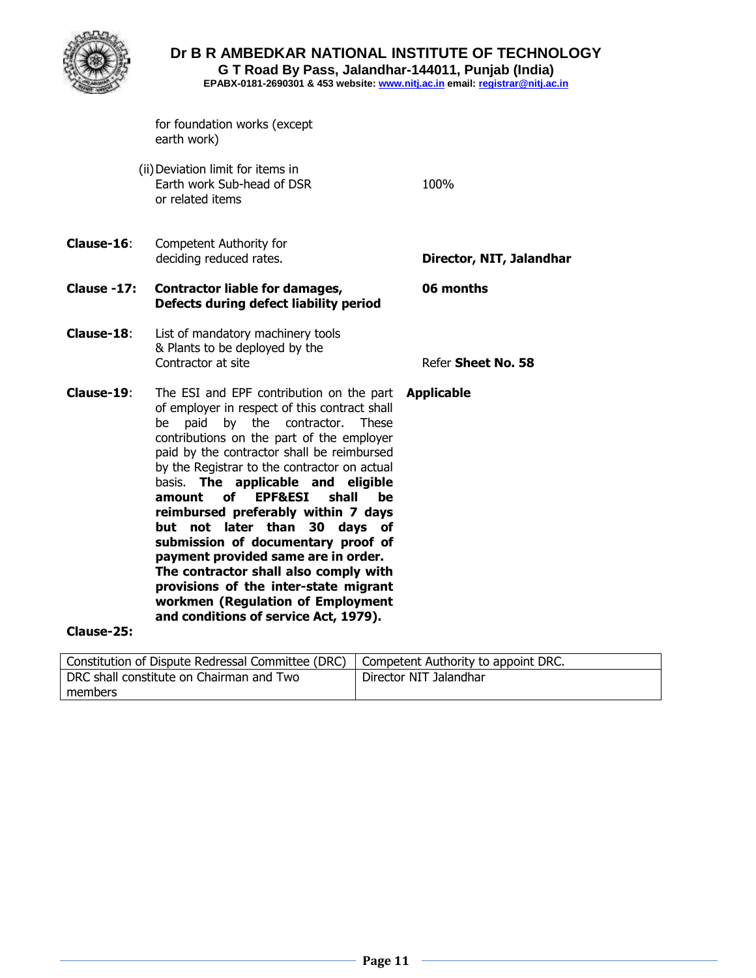

## **Dr B R AMBEDKAR NATIONAL INSTITUTE OF TECHNOLOGY**

**G T Road By Pass, Jalandhar-144011, Punjab (India)**

**EPABX-0181-2690301 & 453 website: www.nitj.ac.in email: registrar@nitj.ac.in**

for foundation works (except earth work)

(ii)Deviation limit for items in Earth work Sub-head of DSR 100% or related items

**Clause-16**: Competent Authority for deciding reduced rates. **Director, NIT, Jalandhar** 

## **Clause -17: Contractor liable for damages, 06 months Defects during defect liability period**

- **Clause-18**: List of mandatory machinery tools & Plants to be deployed by the **Contractor at site Contractor at site Contractor At Sheet No. 58**
- **Clause-19**: The ESI and EPF contribution on the part **Applicable** of employer in respect of this contract shall be paid by the contractor. These contributions on the part of the employer paid by the contractor shall be reimbursed by the Registrar to the contractor on actual basis. **The applicable and eligible amount of EPF&ESI shall be reimbursed preferably within 7 days but not later than 30 days of submission of documentary proof of payment provided same are in order. The contractor shall also comply with provisions of the inter-state migrant workmen (Regulation of Employment and conditions of service Act, 1979).**

#### **Clause-25:**

| Constitution of Dispute Redressal Committee (DRC)   Competent Authority to appoint DRC. |                        |
|-----------------------------------------------------------------------------------------|------------------------|
| DRC shall constitute on Chairman and Two                                                | Director NIT Jalandhar |
| members                                                                                 |                        |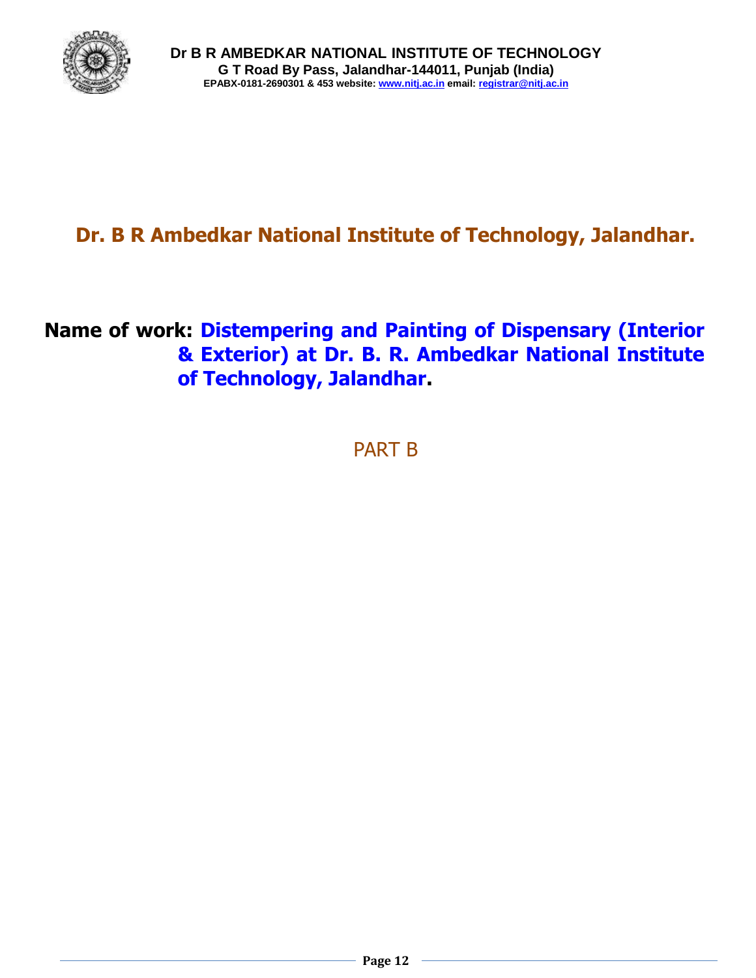

# **Dr. B R Ambedkar National Institute of Technology, Jalandhar.**

## **Name of work: Distempering and Painting of Dispensary (Interior & Exterior) at Dr. B. R. Ambedkar National Institute of Technology, Jalandhar.**

PART B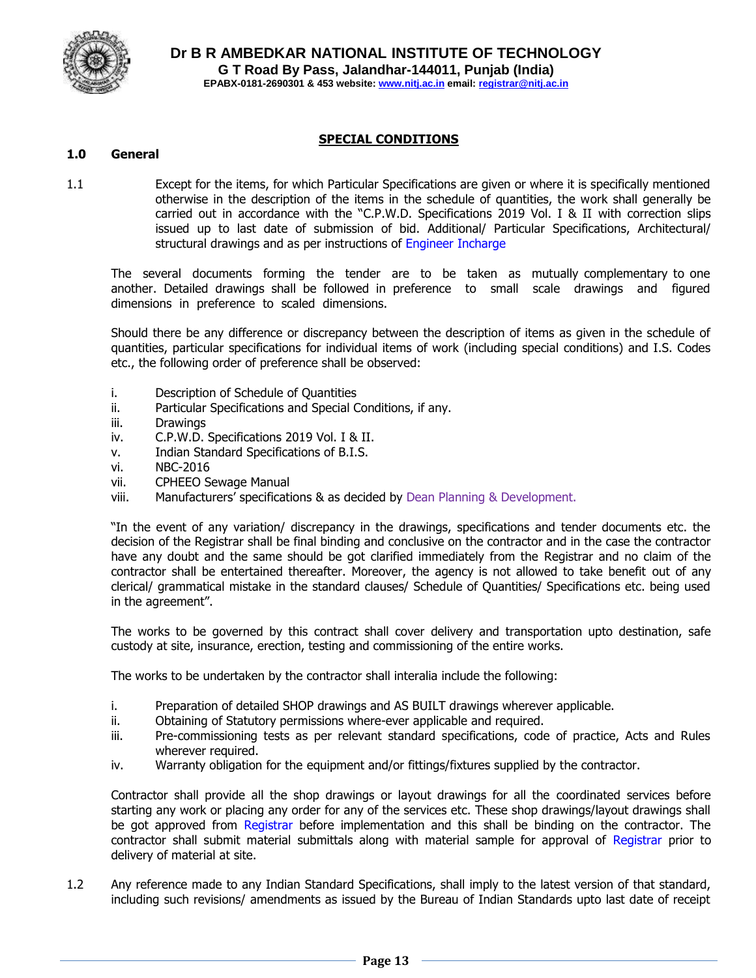

#### **SPECIAL CONDITIONS**

#### **1.0 General**

1.1 Except for the items, for which Particular Specifications are given or where it is specifically mentioned otherwise in the description of the items in the schedule of quantities, the work shall generally be carried out in accordance with the "C.P.W.D. Specifications 2019 Vol. I & II with correction slips issued up to last date of submission of bid. Additional/ Particular Specifications, Architectural/ structural drawings and as per instructions of Engineer Incharge

The several documents forming the tender are to be taken as mutually complementary to one another. Detailed drawings shall be followed in preference to small scale drawings and figured dimensions in preference to scaled dimensions.

Should there be any difference or discrepancy between the description of items as given in the schedule of quantities, particular specifications for individual items of work (including special conditions) and I.S. Codes etc., the following order of preference shall be observed:

- i. Description of Schedule of Quantities
- ii. Particular Specifications and Special Conditions, if any.
- iii. Drawings
- iv. C.P.W.D. Specifications 2019 Vol. I & II.
- v. Indian Standard Specifications of B.I.S.
- vi. NBC-2016
- vii. CPHEEO Sewage Manual
- viii. Manufacturers' specifications & as decided by Dean Planning & Development.

"In the event of any variation/ discrepancy in the drawings, specifications and tender documents etc. the decision of the Registrar shall be final binding and conclusive on the contractor and in the case the contractor have any doubt and the same should be got clarified immediately from the Registrar and no claim of the contractor shall be entertained thereafter. Moreover, the agency is not allowed to take benefit out of any clerical/ grammatical mistake in the standard clauses/ Schedule of Quantities/ Specifications etc. being used in the agreement".

The works to be governed by this contract shall cover delivery and transportation upto destination, safe custody at site, insurance, erection, testing and commissioning of the entire works.

The works to be undertaken by the contractor shall interalia include the following:

- i. Preparation of detailed SHOP drawings and AS BUILT drawings wherever applicable.
- ii. Obtaining of Statutory permissions where-ever applicable and required.
- iii. Pre-commissioning tests as per relevant standard specifications, code of practice, Acts and Rules wherever required.
- iv. Warranty obligation for the equipment and/or fittings/fixtures supplied by the contractor.

Contractor shall provide all the shop drawings or layout drawings for all the coordinated services before starting any work or placing any order for any of the services etc. These shop drawings/layout drawings shall be got approved from Registrar before implementation and this shall be binding on the contractor. The contractor shall submit material submittals along with material sample for approval of Registrar prior to delivery of material at site.

1.2 Any reference made to any Indian Standard Specifications, shall imply to the latest version of that standard, including such revisions/ amendments as issued by the Bureau of Indian Standards upto last date of receipt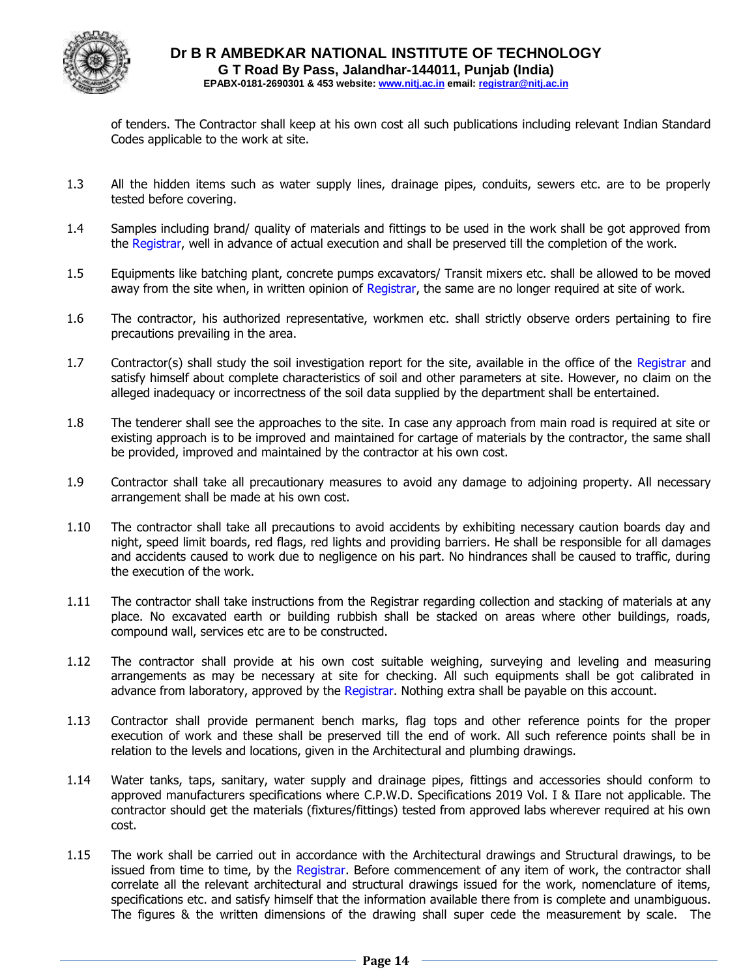

of tenders. The Contractor shall keep at his own cost all such publications including relevant Indian Standard Codes applicable to the work at site.

- 1.3 All the hidden items such as water supply lines, drainage pipes, conduits, sewers etc. are to be properly tested before covering.
- 1.4 Samples including brand/ quality of materials and fittings to be used in the work shall be got approved from the Registrar, well in advance of actual execution and shall be preserved till the completion of the work.
- 1.5 Equipments like batching plant, concrete pumps excavators/ Transit mixers etc. shall be allowed to be moved away from the site when, in written opinion of Registrar, the same are no longer required at site of work.
- 1.6 The contractor, his authorized representative, workmen etc. shall strictly observe orders pertaining to fire precautions prevailing in the area.
- 1.7 Contractor(s) shall study the soil investigation report for the site, available in the office of the Registrar and satisfy himself about complete characteristics of soil and other parameters at site. However, no claim on the alleged inadequacy or incorrectness of the soil data supplied by the department shall be entertained.
- 1.8 The tenderer shall see the approaches to the site. In case any approach from main road is required at site or existing approach is to be improved and maintained for cartage of materials by the contractor, the same shall be provided, improved and maintained by the contractor at his own cost.
- 1.9 Contractor shall take all precautionary measures to avoid any damage to adjoining property. All necessary arrangement shall be made at his own cost.
- 1.10 The contractor shall take all precautions to avoid accidents by exhibiting necessary caution boards day and night, speed limit boards, red flags, red lights and providing barriers. He shall be responsible for all damages and accidents caused to work due to negligence on his part. No hindrances shall be caused to traffic, during the execution of the work.
- 1.11 The contractor shall take instructions from the Registrar regarding collection and stacking of materials at any place. No excavated earth or building rubbish shall be stacked on areas where other buildings, roads, compound wall, services etc are to be constructed.
- 1.12 The contractor shall provide at his own cost suitable weighing, surveying and leveling and measuring arrangements as may be necessary at site for checking. All such equipments shall be got calibrated in advance from laboratory, approved by the Registrar. Nothing extra shall be payable on this account.
- 1.13 Contractor shall provide permanent bench marks, flag tops and other reference points for the proper execution of work and these shall be preserved till the end of work. All such reference points shall be in relation to the levels and locations, given in the Architectural and plumbing drawings.
- 1.14 Water tanks, taps, sanitary, water supply and drainage pipes, fittings and accessories should conform to approved manufacturers specifications where C.P.W.D. Specifications 2019 Vol. I & IIare not applicable. The contractor should get the materials (fixtures/fittings) tested from approved labs wherever required at his own cost.
- 1.15 The work shall be carried out in accordance with the Architectural drawings and Structural drawings, to be issued from time to time, by the Registrar. Before commencement of any item of work, the contractor shall correlate all the relevant architectural and structural drawings issued for the work, nomenclature of items, specifications etc. and satisfy himself that the information available there from is complete and unambiguous. The figures & the written dimensions of the drawing shall super cede the measurement by scale. The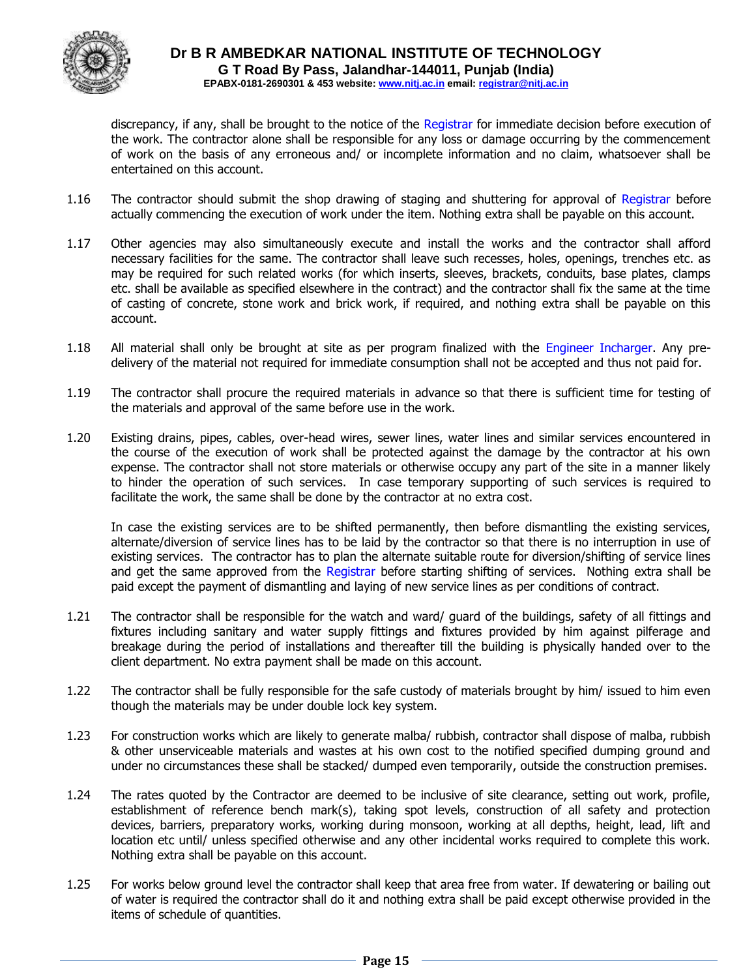

discrepancy, if any, shall be brought to the notice of the Registrar for immediate decision before execution of the work. The contractor alone shall be responsible for any loss or damage occurring by the commencement of work on the basis of any erroneous and/ or incomplete information and no claim, whatsoever shall be entertained on this account.

- 1.16 The contractor should submit the shop drawing of staging and shuttering for approval of Registrar before actually commencing the execution of work under the item. Nothing extra shall be payable on this account.
- 1.17 Other agencies may also simultaneously execute and install the works and the contractor shall afford necessary facilities for the same. The contractor shall leave such recesses, holes, openings, trenches etc. as may be required for such related works (for which inserts, sleeves, brackets, conduits, base plates, clamps etc. shall be available as specified elsewhere in the contract) and the contractor shall fix the same at the time of casting of concrete, stone work and brick work, if required, and nothing extra shall be payable on this account.
- 1.18 All material shall only be brought at site as per program finalized with the Engineer Incharger. Any predelivery of the material not required for immediate consumption shall not be accepted and thus not paid for.
- 1.19 The contractor shall procure the required materials in advance so that there is sufficient time for testing of the materials and approval of the same before use in the work.
- 1.20 Existing drains, pipes, cables, over-head wires, sewer lines, water lines and similar services encountered in the course of the execution of work shall be protected against the damage by the contractor at his own expense. The contractor shall not store materials or otherwise occupy any part of the site in a manner likely to hinder the operation of such services. In case temporary supporting of such services is required to facilitate the work, the same shall be done by the contractor at no extra cost.

In case the existing services are to be shifted permanently, then before dismantling the existing services, alternate/diversion of service lines has to be laid by the contractor so that there is no interruption in use of existing services. The contractor has to plan the alternate suitable route for diversion/shifting of service lines and get the same approved from the Registrar before starting shifting of services. Nothing extra shall be paid except the payment of dismantling and laying of new service lines as per conditions of contract.

- 1.21 The contractor shall be responsible for the watch and ward/ guard of the buildings, safety of all fittings and fixtures including sanitary and water supply fittings and fixtures provided by him against pilferage and breakage during the period of installations and thereafter till the building is physically handed over to the client department. No extra payment shall be made on this account.
- 1.22 The contractor shall be fully responsible for the safe custody of materials brought by him/ issued to him even though the materials may be under double lock key system.
- 1.23 For construction works which are likely to generate malba/ rubbish, contractor shall dispose of malba, rubbish & other unserviceable materials and wastes at his own cost to the notified specified dumping ground and under no circumstances these shall be stacked/ dumped even temporarily, outside the construction premises.
- 1.24 The rates quoted by the Contractor are deemed to be inclusive of site clearance, setting out work, profile, establishment of reference bench mark(s), taking spot levels, construction of all safety and protection devices, barriers, preparatory works, working during monsoon, working at all depths, height, lead, lift and location etc until/ unless specified otherwise and any other incidental works required to complete this work. Nothing extra shall be payable on this account.
- 1.25 For works below ground level the contractor shall keep that area free from water. If dewatering or bailing out of water is required the contractor shall do it and nothing extra shall be paid except otherwise provided in the items of schedule of quantities.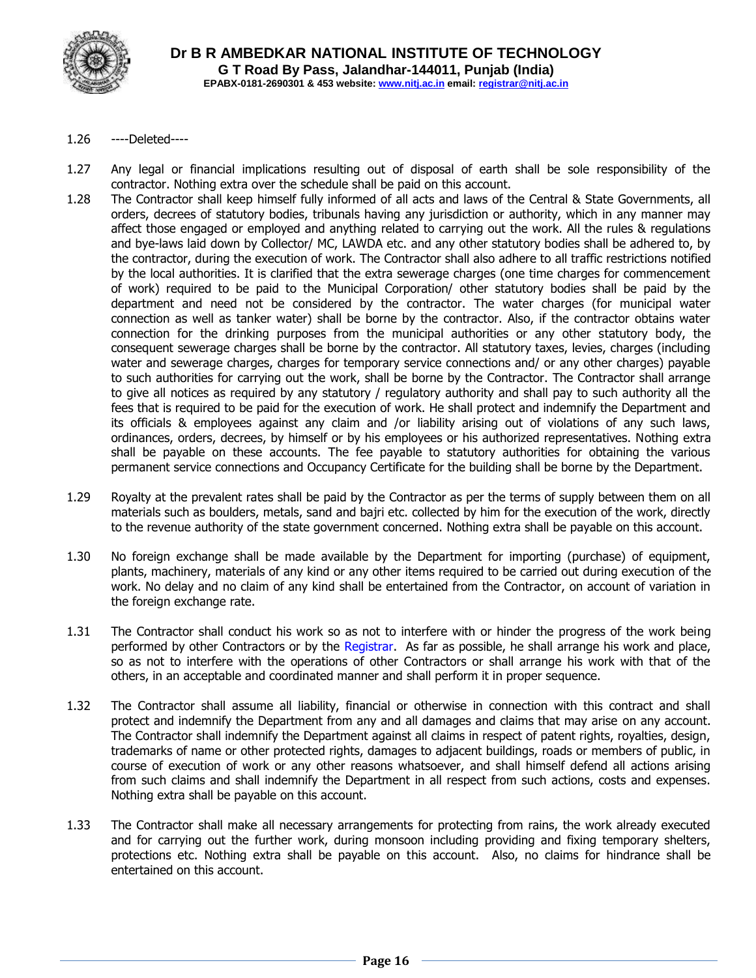

- 1.26 ----Deleted----
- 1.27 Any legal or financial implications resulting out of disposal of earth shall be sole responsibility of the contractor. Nothing extra over the schedule shall be paid on this account.
- 1.28 The Contractor shall keep himself fully informed of all acts and laws of the Central & State Governments, all orders, decrees of statutory bodies, tribunals having any jurisdiction or authority, which in any manner may affect those engaged or employed and anything related to carrying out the work. All the rules & regulations and bye-laws laid down by Collector/ MC, LAWDA etc. and any other statutory bodies shall be adhered to, by the contractor, during the execution of work. The Contractor shall also adhere to all traffic restrictions notified by the local authorities. It is clarified that the extra sewerage charges (one time charges for commencement of work) required to be paid to the Municipal Corporation/ other statutory bodies shall be paid by the department and need not be considered by the contractor. The water charges (for municipal water connection as well as tanker water) shall be borne by the contractor. Also, if the contractor obtains water connection for the drinking purposes from the municipal authorities or any other statutory body, the consequent sewerage charges shall be borne by the contractor. All statutory taxes, levies, charges (including water and sewerage charges, charges for temporary service connections and/ or any other charges) payable to such authorities for carrying out the work, shall be borne by the Contractor. The Contractor shall arrange to give all notices as required by any statutory / regulatory authority and shall pay to such authority all the fees that is required to be paid for the execution of work. He shall protect and indemnify the Department and its officials & employees against any claim and /or liability arising out of violations of any such laws, ordinances, orders, decrees, by himself or by his employees or his authorized representatives. Nothing extra shall be payable on these accounts. The fee payable to statutory authorities for obtaining the various permanent service connections and Occupancy Certificate for the building shall be borne by the Department.
- 1.29 Royalty at the prevalent rates shall be paid by the Contractor as per the terms of supply between them on all materials such as boulders, metals, sand and bajri etc. collected by him for the execution of the work, directly to the revenue authority of the state government concerned. Nothing extra shall be payable on this account.
- 1.30 No foreign exchange shall be made available by the Department for importing (purchase) of equipment, plants, machinery, materials of any kind or any other items required to be carried out during execution of the work. No delay and no claim of any kind shall be entertained from the Contractor, on account of variation in the foreign exchange rate.
- 1.31 The Contractor shall conduct his work so as not to interfere with or hinder the progress of the work being performed by other Contractors or by the Registrar. As far as possible, he shall arrange his work and place, so as not to interfere with the operations of other Contractors or shall arrange his work with that of the others, in an acceptable and coordinated manner and shall perform it in proper sequence.
- 1.32 The Contractor shall assume all liability, financial or otherwise in connection with this contract and shall protect and indemnify the Department from any and all damages and claims that may arise on any account. The Contractor shall indemnify the Department against all claims in respect of patent rights, royalties, design, trademarks of name or other protected rights, damages to adjacent buildings, roads or members of public, in course of execution of work or any other reasons whatsoever, and shall himself defend all actions arising from such claims and shall indemnify the Department in all respect from such actions, costs and expenses. Nothing extra shall be payable on this account.
- 1.33 The Contractor shall make all necessary arrangements for protecting from rains, the work already executed and for carrying out the further work, during monsoon including providing and fixing temporary shelters, protections etc. Nothing extra shall be payable on this account. Also, no claims for hindrance shall be entertained on this account.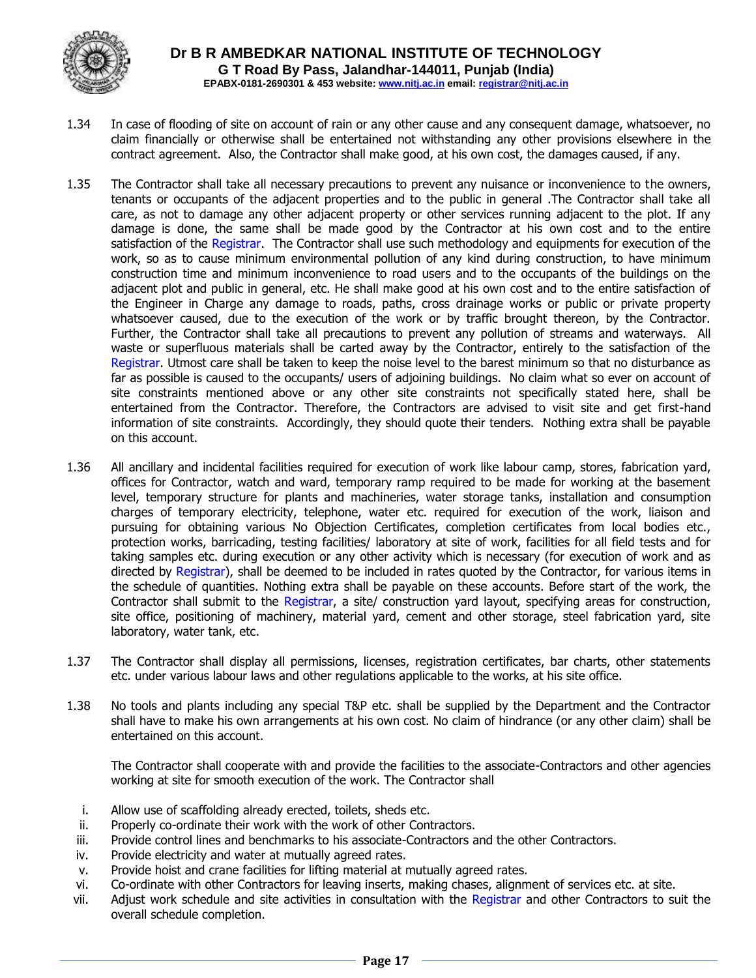

- 1.34 In case of flooding of site on account of rain or any other cause and any consequent damage, whatsoever, no claim financially or otherwise shall be entertained not withstanding any other provisions elsewhere in the contract agreement. Also, the Contractor shall make good, at his own cost, the damages caused, if any.
- 1.35 The Contractor shall take all necessary precautions to prevent any nuisance or inconvenience to the owners, tenants or occupants of the adjacent properties and to the public in general .The Contractor shall take all care, as not to damage any other adjacent property or other services running adjacent to the plot. If any damage is done, the same shall be made good by the Contractor at his own cost and to the entire satisfaction of the Registrar. The Contractor shall use such methodology and equipments for execution of the work, so as to cause minimum environmental pollution of any kind during construction, to have minimum construction time and minimum inconvenience to road users and to the occupants of the buildings on the adjacent plot and public in general, etc. He shall make good at his own cost and to the entire satisfaction of the Engineer in Charge any damage to roads, paths, cross drainage works or public or private property whatsoever caused, due to the execution of the work or by traffic brought thereon, by the Contractor. Further, the Contractor shall take all precautions to prevent any pollution of streams and waterways. All waste or superfluous materials shall be carted away by the Contractor, entirely to the satisfaction of the Registrar. Utmost care shall be taken to keep the noise level to the barest minimum so that no disturbance as far as possible is caused to the occupants/ users of adjoining buildings. No claim what so ever on account of site constraints mentioned above or any other site constraints not specifically stated here, shall be entertained from the Contractor. Therefore, the Contractors are advised to visit site and get first-hand information of site constraints. Accordingly, they should quote their tenders. Nothing extra shall be payable on this account.
- 1.36 All ancillary and incidental facilities required for execution of work like labour camp, stores, fabrication yard, offices for Contractor, watch and ward, temporary ramp required to be made for working at the basement level, temporary structure for plants and machineries, water storage tanks, installation and consumption charges of temporary electricity, telephone, water etc. required for execution of the work, liaison and pursuing for obtaining various No Objection Certificates, completion certificates from local bodies etc., protection works, barricading, testing facilities/ laboratory at site of work, facilities for all field tests and for taking samples etc. during execution or any other activity which is necessary (for execution of work and as directed by Registrar), shall be deemed to be included in rates quoted by the Contractor, for various items in the schedule of quantities. Nothing extra shall be payable on these accounts. Before start of the work, the Contractor shall submit to the Registrar, a site/ construction yard layout, specifying areas for construction, site office, positioning of machinery, material yard, cement and other storage, steel fabrication yard, site laboratory, water tank, etc.
- 1.37 The Contractor shall display all permissions, licenses, registration certificates, bar charts, other statements etc. under various labour laws and other regulations applicable to the works, at his site office.
- 1.38 No tools and plants including any special T&P etc. shall be supplied by the Department and the Contractor shall have to make his own arrangements at his own cost. No claim of hindrance (or any other claim) shall be entertained on this account.

The Contractor shall cooperate with and provide the facilities to the associate-Contractors and other agencies working at site for smooth execution of the work. The Contractor shall

- i. Allow use of scaffolding already erected, toilets, sheds etc.
- ii. Properly co-ordinate their work with the work of other Contractors.
- iii. Provide control lines and benchmarks to his associate-Contractors and the other Contractors.
- iv. Provide electricity and water at mutually agreed rates.
- v. Provide hoist and crane facilities for lifting material at mutually agreed rates.
- vi. Co-ordinate with other Contractors for leaving inserts, making chases, alignment of services etc. at site.
- vii. Adjust work schedule and site activities in consultation with the Registrar and other Contractors to suit the overall schedule completion.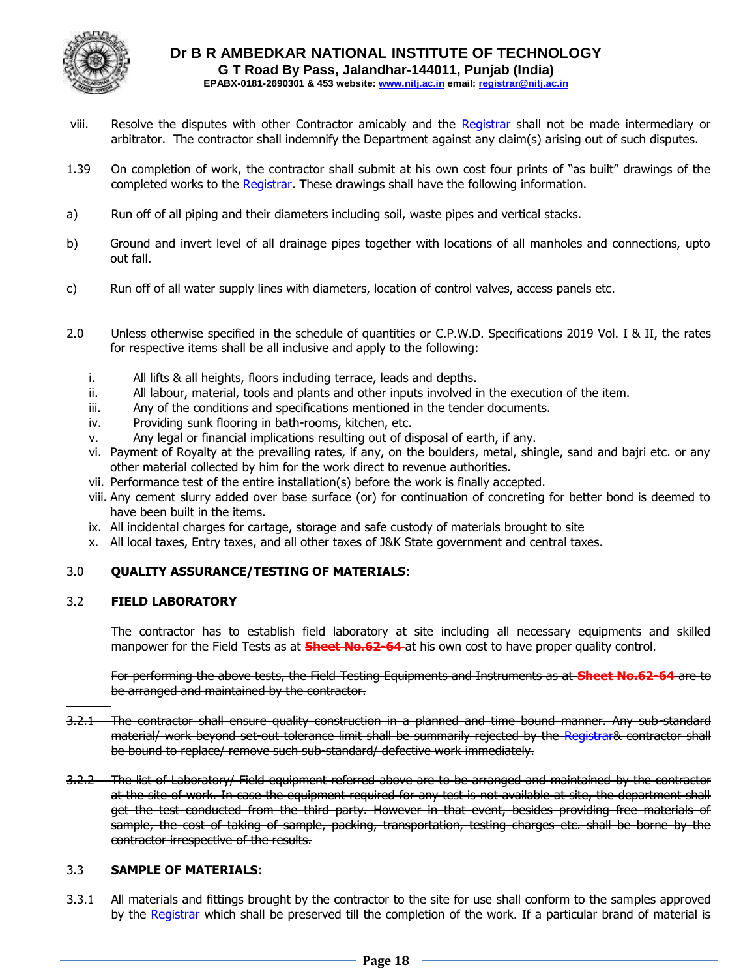

- viii. Resolve the disputes with other Contractor amicably and the Registrar shall not be made intermediary or arbitrator. The contractor shall indemnify the Department against any claim(s) arising out of such disputes.
- 1.39 On completion of work, the contractor shall submit at his own cost four prints of "as built" drawings of the completed works to the Registrar. These drawings shall have the following information.
- a) Run off of all piping and their diameters including soil, waste pipes and vertical stacks.
- b) Ground and invert level of all drainage pipes together with locations of all manholes and connections, upto out fall.
- c) Run off of all water supply lines with diameters, location of control valves, access panels etc.
- 2.0 Unless otherwise specified in the schedule of quantities or C.P.W.D. Specifications 2019 Vol. I & II, the rates for respective items shall be all inclusive and apply to the following:
	- i. All lifts & all heights, floors including terrace, leads and depths.
	- ii. All labour, material, tools and plants and other inputs involved in the execution of the item.
	- iii. Any of the conditions and specifications mentioned in the tender documents.
	- iv. Providing sunk flooring in bath-rooms, kitchen, etc.
	- v. Any legal or financial implications resulting out of disposal of earth, if any.
	- vi. Payment of Royalty at the prevailing rates, if any, on the boulders, metal, shingle, sand and bajri etc. or any other material collected by him for the work direct to revenue authorities.
	- vii. Performance test of the entire installation(s) before the work is finally accepted.
	- viii. Any cement slurry added over base surface (or) for continuation of concreting for better bond is deemed to have been built in the items.
	- ix. All incidental charges for cartage, storage and safe custody of materials brought to site
	- x. All local taxes, Entry taxes, and all other taxes of J&K State government and central taxes.

#### 3.0 **QUALITY ASSURANCE/TESTING OF MATERIALS**:

#### 3.2 **FIELD LABORATORY**

The contractor has to establish field laboratory at site including all necessary equipments and skilled manpower for the Field Tests as at **Sheet No.62-64** at his own cost to have proper quality control.

For performing the above tests, the Field Testing Equipments and Instruments as at **Sheet No.62-64** are to be arranged and maintained by the contractor.

- 3.2.1 The contractor shall ensure quality construction in a planned and time bound manner. Any sub-standard material/ work beyond set-out tolerance limit shall be summarily rejected by the Registrar& contractor shall be bound to replace/ remove such sub-standard/ defective work immediately.
- 3.2.2 The list of Laboratory/ Field equipment referred above are to be arranged and maintained by the contractor at the site of work. In case the equipment required for any test is not available at site, the department shall get the test conducted from the third party. However in that event, besides providing free materials of sample, the cost of taking of sample, packing, transportation, testing charges etc. shall be borne by the contractor irrespective of the results.

#### 3.3 **SAMPLE OF MATERIALS**:

3.3.1 All materials and fittings brought by the contractor to the site for use shall conform to the samples approved by the Registrar which shall be preserved till the completion of the work. If a particular brand of material is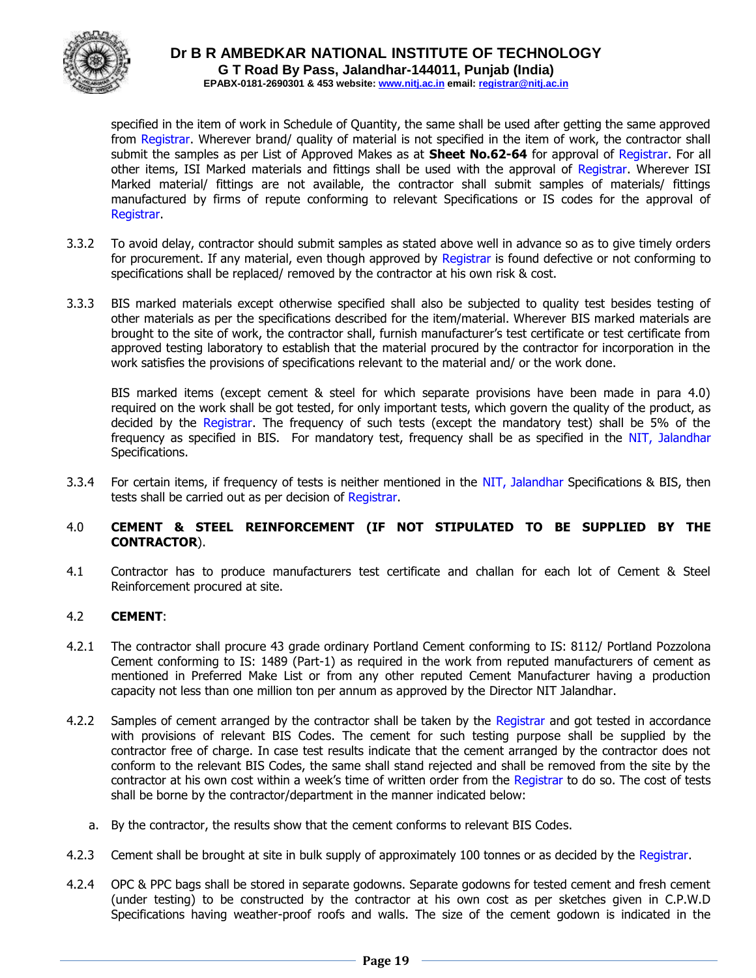

specified in the item of work in Schedule of Quantity, the same shall be used after getting the same approved from Registrar. Wherever brand/ quality of material is not specified in the item of work, the contractor shall submit the samples as per List of Approved Makes as at **Sheet No.62-64** for approval of Registrar. For all other items, ISI Marked materials and fittings shall be used with the approval of Registrar. Wherever ISI Marked material/ fittings are not available, the contractor shall submit samples of materials/ fittings manufactured by firms of repute conforming to relevant Specifications or IS codes for the approval of Registrar.

- 3.3.2 To avoid delay, contractor should submit samples as stated above well in advance so as to give timely orders for procurement. If any material, even though approved by Registrar is found defective or not conforming to specifications shall be replaced/ removed by the contractor at his own risk & cost.
- 3.3.3 BIS marked materials except otherwise specified shall also be subjected to quality test besides testing of other materials as per the specifications described for the item/material. Wherever BIS marked materials are brought to the site of work, the contractor shall, furnish manufacturer's test certificate or test certificate from approved testing laboratory to establish that the material procured by the contractor for incorporation in the work satisfies the provisions of specifications relevant to the material and/ or the work done.

BIS marked items (except cement & steel for which separate provisions have been made in para 4.0) required on the work shall be got tested, for only important tests, which govern the quality of the product, as decided by the Registrar. The frequency of such tests (except the mandatory test) shall be 5% of the frequency as specified in BIS. For mandatory test, frequency shall be as specified in the NIT, Jalandhar Specifications.

3.3.4 For certain items, if frequency of tests is neither mentioned in the NIT, Jalandhar Specifications & BIS, then tests shall be carried out as per decision of Registrar.

#### 4.0 **CEMENT & STEEL REINFORCEMENT (IF NOT STIPULATED TO BE SUPPLIED BY THE CONTRACTOR**).

4.1 Contractor has to produce manufacturers test certificate and challan for each lot of Cement & Steel Reinforcement procured at site.

#### 4.2 **CEMENT**:

- 4.2.1 The contractor shall procure 43 grade ordinary Portland Cement conforming to IS: 8112/ Portland Pozzolona Cement conforming to IS: 1489 (Part-1) as required in the work from reputed manufacturers of cement as mentioned in Preferred Make List or from any other reputed Cement Manufacturer having a production capacity not less than one million ton per annum as approved by the Director NIT Jalandhar.
- 4.2.2 Samples of cement arranged by the contractor shall be taken by the Registrar and got tested in accordance with provisions of relevant BIS Codes. The cement for such testing purpose shall be supplied by the contractor free of charge. In case test results indicate that the cement arranged by the contractor does not conform to the relevant BIS Codes, the same shall stand rejected and shall be removed from the site by the contractor at his own cost within a week's time of written order from the Registrar to do so. The cost of tests shall be borne by the contractor/department in the manner indicated below:
	- a. By the contractor, the results show that the cement conforms to relevant BIS Codes.
- 4.2.3 Cement shall be brought at site in bulk supply of approximately 100 tonnes or as decided by the Registrar.
- 4.2.4 OPC & PPC bags shall be stored in separate godowns. Separate godowns for tested cement and fresh cement (under testing) to be constructed by the contractor at his own cost as per sketches given in C.P.W.D Specifications having weather-proof roofs and walls. The size of the cement godown is indicated in the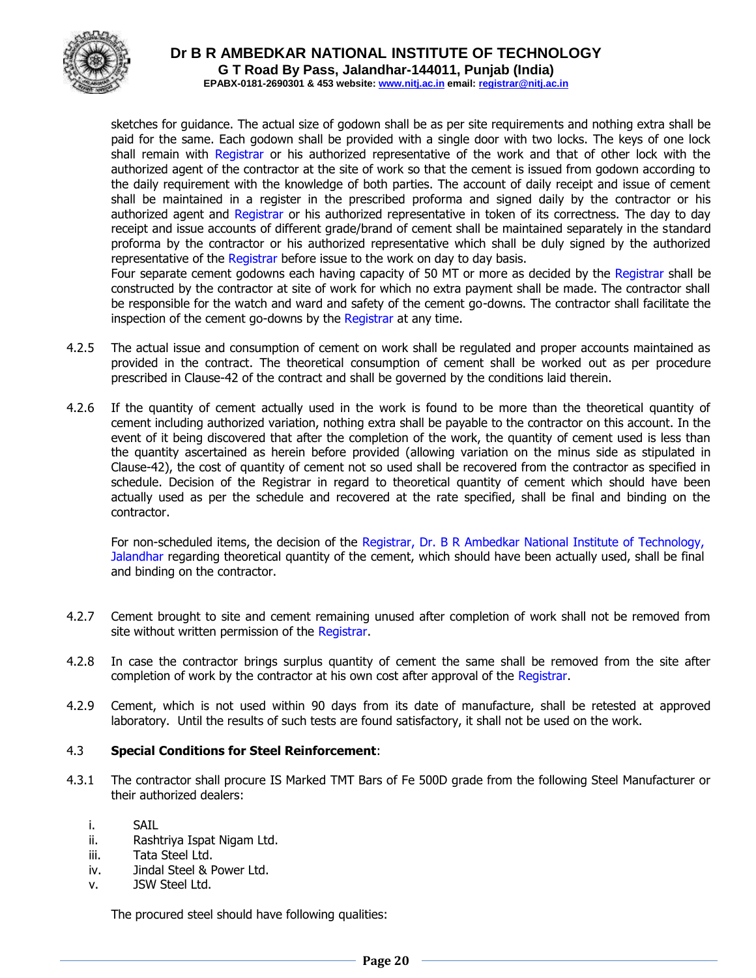

**Dr B R AMBEDKAR NATIONAL INSTITUTE OF TECHNOLOGY G T Road By Pass, Jalandhar-144011, Punjab (India)**

**EPABX-0181-2690301 & 453 website: www.nitj.ac.in email: registrar@nitj.ac.in**

sketches for guidance. The actual size of godown shall be as per site requirements and nothing extra shall be paid for the same. Each godown shall be provided with a single door with two locks. The keys of one lock shall remain with Registrar or his authorized representative of the work and that of other lock with the authorized agent of the contractor at the site of work so that the cement is issued from godown according to the daily requirement with the knowledge of both parties. The account of daily receipt and issue of cement shall be maintained in a register in the prescribed proforma and signed daily by the contractor or his authorized agent and Registrar or his authorized representative in token of its correctness. The day to day receipt and issue accounts of different grade/brand of cement shall be maintained separately in the standard proforma by the contractor or his authorized representative which shall be duly signed by the authorized representative of the Registrar before issue to the work on day to day basis.

Four separate cement godowns each having capacity of 50 MT or more as decided by the Registrar shall be constructed by the contractor at site of work for which no extra payment shall be made. The contractor shall be responsible for the watch and ward and safety of the cement go-downs. The contractor shall facilitate the inspection of the cement go-downs by the Registrar at any time.

- 4.2.5 The actual issue and consumption of cement on work shall be regulated and proper accounts maintained as provided in the contract. The theoretical consumption of cement shall be worked out as per procedure prescribed in Clause-42 of the contract and shall be governed by the conditions laid therein.
- 4.2.6 If the quantity of cement actually used in the work is found to be more than the theoretical quantity of cement including authorized variation, nothing extra shall be payable to the contractor on this account. In the event of it being discovered that after the completion of the work, the quantity of cement used is less than the quantity ascertained as herein before provided (allowing variation on the minus side as stipulated in Clause-42), the cost of quantity of cement not so used shall be recovered from the contractor as specified in schedule. Decision of the Registrar in regard to theoretical quantity of cement which should have been actually used as per the schedule and recovered at the rate specified, shall be final and binding on the contractor.

For non-scheduled items, the decision of the Registrar, Dr. B R Ambedkar National Institute of Technology, Jalandhar regarding theoretical quantity of the cement, which should have been actually used, shall be final and binding on the contractor.

- 4.2.7 Cement brought to site and cement remaining unused after completion of work shall not be removed from site without written permission of the Registrar.
- 4.2.8 In case the contractor brings surplus quantity of cement the same shall be removed from the site after completion of work by the contractor at his own cost after approval of the Registrar.
- 4.2.9 Cement, which is not used within 90 days from its date of manufacture, shall be retested at approved laboratory. Until the results of such tests are found satisfactory, it shall not be used on the work.

#### 4.3 **Special Conditions for Steel Reinforcement**:

- 4.3.1 The contractor shall procure IS Marked TMT Bars of Fe 500D grade from the following Steel Manufacturer or their authorized dealers:
	- i. SAIL
	- ii. Rashtriya Ispat Nigam Ltd.
	- iii. Tata Steel Ltd.
	- iv. Jindal Steel & Power Ltd.
	- v. JSW Steel Ltd.

The procured steel should have following qualities: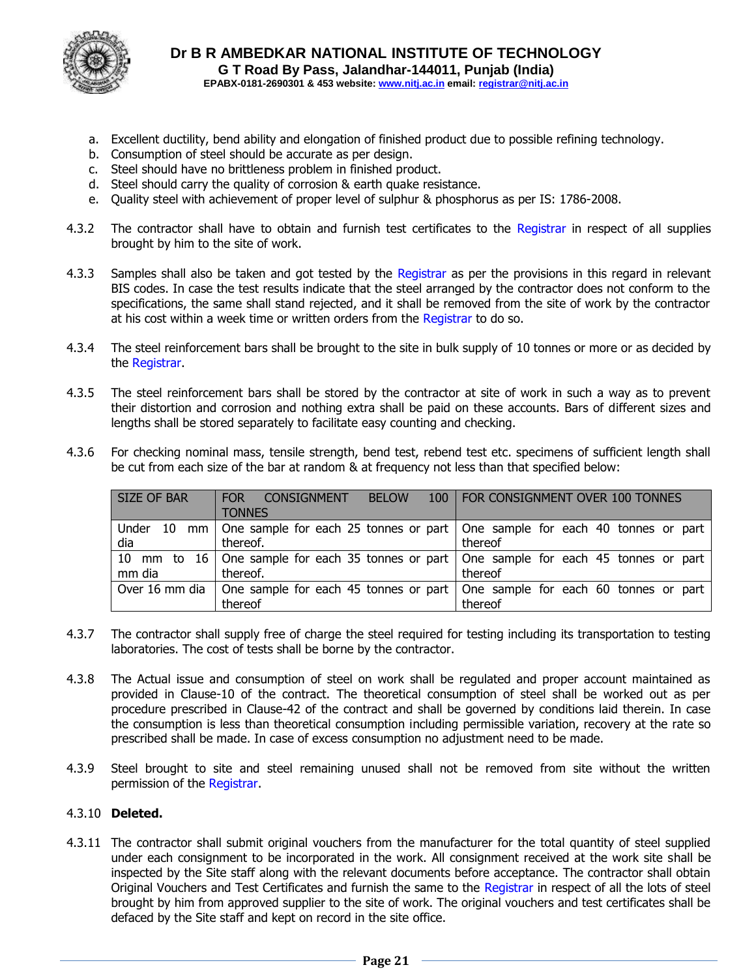

- a. Excellent ductility, bend ability and elongation of finished product due to possible refining technology.
- b. Consumption of steel should be accurate as per design.
- c. Steel should have no brittleness problem in finished product.
- d. Steel should carry the quality of corrosion & earth quake resistance.
- e. Quality steel with achievement of proper level of sulphur & phosphorus as per IS: 1786-2008.
- 4.3.2 The contractor shall have to obtain and furnish test certificates to the Registrar in respect of all supplies brought by him to the site of work.
- 4.3.3 Samples shall also be taken and got tested by the Registrar as per the provisions in this regard in relevant BIS codes. In case the test results indicate that the steel arranged by the contractor does not conform to the specifications, the same shall stand rejected, and it shall be removed from the site of work by the contractor at his cost within a week time or written orders from the Registrar to do so.
- 4.3.4 The steel reinforcement bars shall be brought to the site in bulk supply of 10 tonnes or more or as decided by the Registrar.
- 4.3.5 The steel reinforcement bars shall be stored by the contractor at site of work in such a way as to prevent their distortion and corrosion and nothing extra shall be paid on these accounts. Bars of different sizes and lengths shall be stored separately to facilitate easy counting and checking.
- 4.3.6 For checking nominal mass, tensile strength, bend test, rebend test etc. specimens of sufficient length shall be cut from each size of the bar at random & at frequency not less than that specified below:

| <b>SIZE OF BAR</b> | 100<br><b>FOR</b><br><b>BELOW</b><br>CONSIGNMENT | <b>FOR CONSIGNMENT OVER 100 TONNES</b>                                                    |
|--------------------|--------------------------------------------------|-------------------------------------------------------------------------------------------|
|                    | <b>TONNES</b>                                    |                                                                                           |
| Under              |                                                  | 10 mm   One sample for each 25 tonnes or part   One sample for each 40 tonnes or part     |
| dia                | thereof.                                         | thereof                                                                                   |
|                    |                                                  | 10 mm to 16 One sample for each 35 tonnes or part   One sample for each 45 tonnes or part |
| mm dia             | thereof.                                         | thereof                                                                                   |
| Over 16 mm dia     |                                                  | One sample for each 45 tonnes or part   One sample for each 60 tonnes or part             |
|                    | thereof                                          | thereof                                                                                   |

- 4.3.7 The contractor shall supply free of charge the steel required for testing including its transportation to testing laboratories. The cost of tests shall be borne by the contractor.
- 4.3.8 The Actual issue and consumption of steel on work shall be regulated and proper account maintained as provided in Clause-10 of the contract. The theoretical consumption of steel shall be worked out as per procedure prescribed in Clause-42 of the contract and shall be governed by conditions laid therein. In case the consumption is less than theoretical consumption including permissible variation, recovery at the rate so prescribed shall be made. In case of excess consumption no adjustment need to be made.
- 4.3.9 Steel brought to site and steel remaining unused shall not be removed from site without the written permission of the Registrar.

#### 4.3.10 **Deleted.**

4.3.11 The contractor shall submit original vouchers from the manufacturer for the total quantity of steel supplied under each consignment to be incorporated in the work. All consignment received at the work site shall be inspected by the Site staff along with the relevant documents before acceptance. The contractor shall obtain Original Vouchers and Test Certificates and furnish the same to the Registrar in respect of all the lots of steel brought by him from approved supplier to the site of work. The original vouchers and test certificates shall be defaced by the Site staff and kept on record in the site office.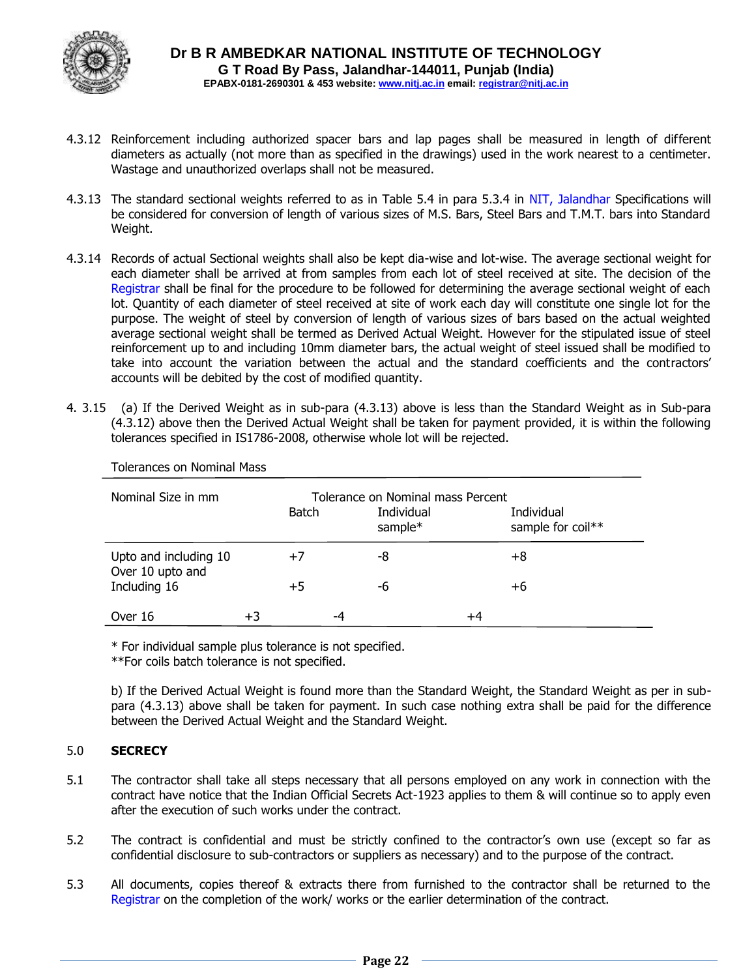

- 4.3.12 Reinforcement including authorized spacer bars and lap pages shall be measured in length of different diameters as actually (not more than as specified in the drawings) used in the work nearest to a centimeter. Wastage and unauthorized overlaps shall not be measured.
- 4.3.13 The standard sectional weights referred to as in Table 5.4 in para 5.3.4 in NIT, Jalandhar Specifications will be considered for conversion of length of various sizes of M.S. Bars, Steel Bars and T.M.T. bars into Standard Weight.
- 4.3.14 Records of actual Sectional weights shall also be kept dia-wise and lot-wise. The average sectional weight for each diameter shall be arrived at from samples from each lot of steel received at site. The decision of the Registrar shall be final for the procedure to be followed for determining the average sectional weight of each lot. Quantity of each diameter of steel received at site of work each day will constitute one single lot for the purpose. The weight of steel by conversion of length of various sizes of bars based on the actual weighted average sectional weight shall be termed as Derived Actual Weight. However for the stipulated issue of steel reinforcement up to and including 10mm diameter bars, the actual weight of steel issued shall be modified to take into account the variation between the actual and the standard coefficients and the contractors' accounts will be debited by the cost of modified quantity.
- 4. 3.15 (a) If the Derived Weight as in sub-para (4.3.13) above is less than the Standard Weight as in Sub-para (4.3.12) above then the Derived Actual Weight shall be taken for payment provided, it is within the following tolerances specified in IS1786-2008, otherwise whole lot will be rejected.

| Nominal Size in mm                        |    | Batch |    | Tolerance on Nominal mass Percent<br>Individual |    | Individual        |
|-------------------------------------------|----|-------|----|-------------------------------------------------|----|-------------------|
|                                           |    |       |    | sample*                                         |    | sample for coil** |
| Upto and including 10<br>Over 10 upto and |    | $+7$  |    | -8                                              |    | +8                |
| Including 16                              |    | +5    |    | -6                                              |    | +6                |
| Over 16                                   | +3 |       | -4 |                                                 | +4 |                   |

Tolerances on Nominal Mass

\* For individual sample plus tolerance is not specified.

\*\*For coils batch tolerance is not specified.

b) If the Derived Actual Weight is found more than the Standard Weight, the Standard Weight as per in subpara (4.3.13) above shall be taken for payment. In such case nothing extra shall be paid for the difference between the Derived Actual Weight and the Standard Weight.

#### 5.0 **SECRECY**

- 5.1 The contractor shall take all steps necessary that all persons employed on any work in connection with the contract have notice that the Indian Official Secrets Act-1923 applies to them & will continue so to apply even after the execution of such works under the contract.
- 5.2 The contract is confidential and must be strictly confined to the contractor's own use (except so far as confidential disclosure to sub-contractors or suppliers as necessary) and to the purpose of the contract.
- 5.3 All documents, copies thereof & extracts there from furnished to the contractor shall be returned to the Registrar on the completion of the work/ works or the earlier determination of the contract.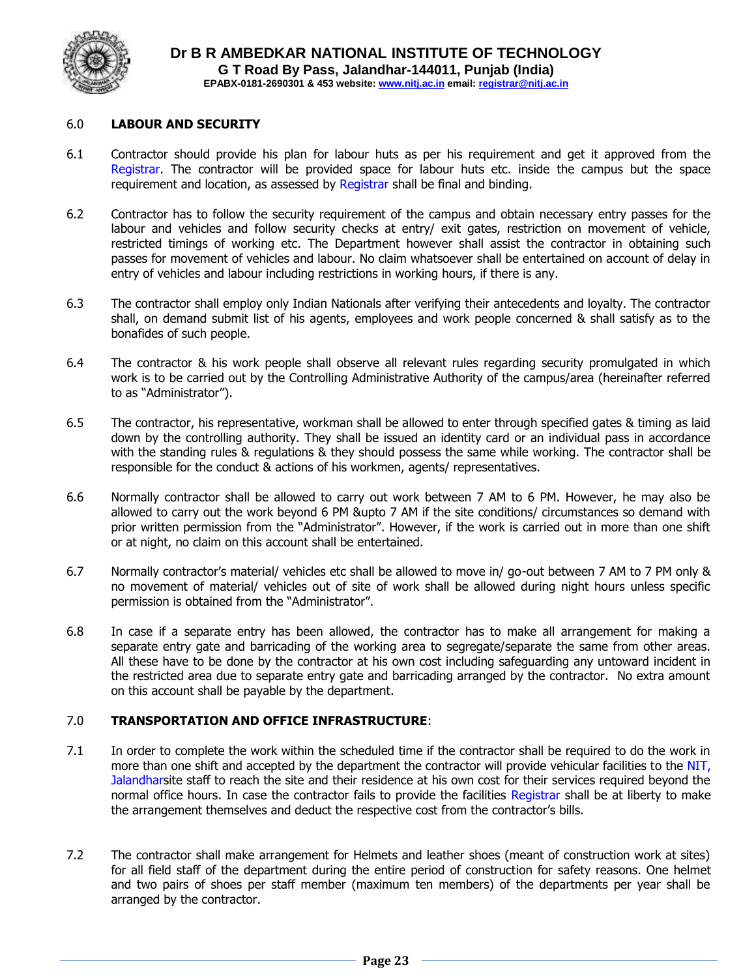

#### 6.0 **LABOUR AND SECURITY**

- 6.1 Contractor should provide his plan for labour huts as per his requirement and get it approved from the Registrar. The contractor will be provided space for labour huts etc. inside the campus but the space requirement and location, as assessed by Registrar shall be final and binding.
- 6.2 Contractor has to follow the security requirement of the campus and obtain necessary entry passes for the labour and vehicles and follow security checks at entry/ exit gates, restriction on movement of vehicle, restricted timings of working etc. The Department however shall assist the contractor in obtaining such passes for movement of vehicles and labour. No claim whatsoever shall be entertained on account of delay in entry of vehicles and labour including restrictions in working hours, if there is any.
- 6.3 The contractor shall employ only Indian Nationals after verifying their antecedents and loyalty. The contractor shall, on demand submit list of his agents, employees and work people concerned & shall satisfy as to the bonafides of such people.
- 6.4 The contractor & his work people shall observe all relevant rules regarding security promulgated in which work is to be carried out by the Controlling Administrative Authority of the campus/area (hereinafter referred to as "Administrator").
- 6.5 The contractor, his representative, workman shall be allowed to enter through specified gates & timing as laid down by the controlling authority. They shall be issued an identity card or an individual pass in accordance with the standing rules & regulations & they should possess the same while working. The contractor shall be responsible for the conduct & actions of his workmen, agents/ representatives.
- 6.6 Normally contractor shall be allowed to carry out work between 7 AM to 6 PM. However, he may also be allowed to carry out the work beyond 6 PM &upto 7 AM if the site conditions/ circumstances so demand with prior written permission from the "Administrator". However, if the work is carried out in more than one shift or at night, no claim on this account shall be entertained.
- 6.7 Normally contractor's material/ vehicles etc shall be allowed to move in/ go-out between 7 AM to 7 PM only & no movement of material/ vehicles out of site of work shall be allowed during night hours unless specific permission is obtained from the "Administrator".
- 6.8 In case if a separate entry has been allowed, the contractor has to make all arrangement for making a separate entry gate and barricading of the working area to segregate/separate the same from other areas. All these have to be done by the contractor at his own cost including safeguarding any untoward incident in the restricted area due to separate entry gate and barricading arranged by the contractor. No extra amount on this account shall be payable by the department.

#### 7.0 **TRANSPORTATION AND OFFICE INFRASTRUCTURE**:

- 7.1 In order to complete the work within the scheduled time if the contractor shall be required to do the work in more than one shift and accepted by the department the contractor will provide vehicular facilities to the NIT, Jalandharsite staff to reach the site and their residence at his own cost for their services required beyond the normal office hours. In case the contractor fails to provide the facilities Registrar shall be at liberty to make the arrangement themselves and deduct the respective cost from the contractor's bills.
- 7.2 The contractor shall make arrangement for Helmets and leather shoes (meant of construction work at sites) for all field staff of the department during the entire period of construction for safety reasons. One helmet and two pairs of shoes per staff member (maximum ten members) of the departments per year shall be arranged by the contractor.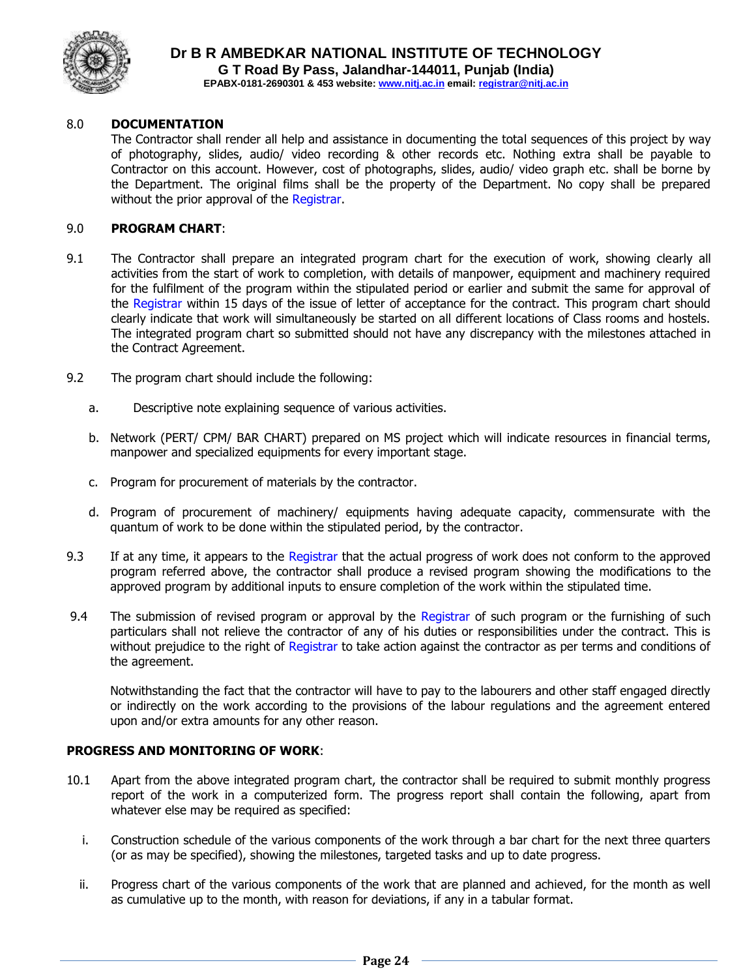

#### 8.0 **DOCUMENTATION**

The Contractor shall render all help and assistance in documenting the total sequences of this project by way of photography, slides, audio/ video recording & other records etc. Nothing extra shall be payable to Contractor on this account. However, cost of photographs, slides, audio/ video graph etc. shall be borne by the Department. The original films shall be the property of the Department. No copy shall be prepared without the prior approval of the Registrar.

#### 9.0 **PROGRAM CHART**:

- 9.1 The Contractor shall prepare an integrated program chart for the execution of work, showing clearly all activities from the start of work to completion, with details of manpower, equipment and machinery required for the fulfilment of the program within the stipulated period or earlier and submit the same for approval of the Registrar within 15 days of the issue of letter of acceptance for the contract. This program chart should clearly indicate that work will simultaneously be started on all different locations of Class rooms and hostels. The integrated program chart so submitted should not have any discrepancy with the milestones attached in the Contract Agreement.
- 9.2 The program chart should include the following:
	- a. Descriptive note explaining sequence of various activities.
	- b. Network (PERT/ CPM/ BAR CHART) prepared on MS project which will indicate resources in financial terms, manpower and specialized equipments for every important stage.
	- c. Program for procurement of materials by the contractor.
	- d. Program of procurement of machinery/ equipments having adequate capacity, commensurate with the quantum of work to be done within the stipulated period, by the contractor.
- 9.3 If at any time, it appears to the Registrar that the actual progress of work does not conform to the approved program referred above, the contractor shall produce a revised program showing the modifications to the approved program by additional inputs to ensure completion of the work within the stipulated time.
- 9.4 The submission of revised program or approval by the Registrar of such program or the furnishing of such particulars shall not relieve the contractor of any of his duties or responsibilities under the contract. This is without prejudice to the right of Registrar to take action against the contractor as per terms and conditions of the agreement.

Notwithstanding the fact that the contractor will have to pay to the labourers and other staff engaged directly or indirectly on the work according to the provisions of the labour regulations and the agreement entered upon and/or extra amounts for any other reason.

#### **PROGRESS AND MONITORING OF WORK**:

- 10.1 Apart from the above integrated program chart, the contractor shall be required to submit monthly progress report of the work in a computerized form. The progress report shall contain the following, apart from whatever else may be required as specified:
	- i. Construction schedule of the various components of the work through a bar chart for the next three quarters (or as may be specified), showing the milestones, targeted tasks and up to date progress.
	- ii. Progress chart of the various components of the work that are planned and achieved, for the month as well as cumulative up to the month, with reason for deviations, if any in a tabular format.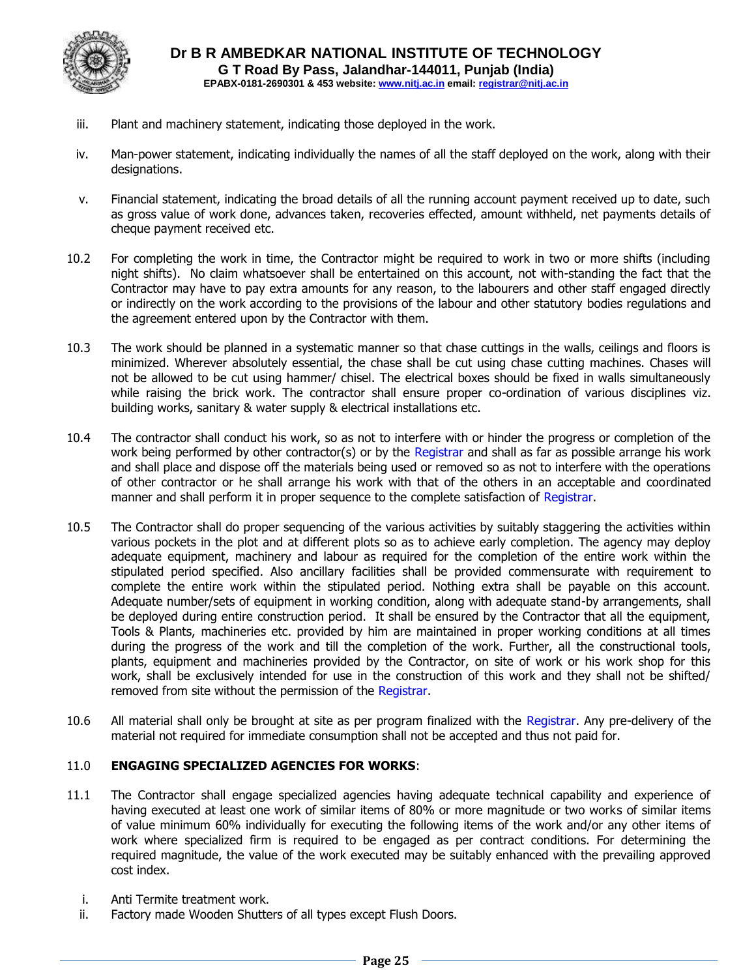

- iii. Plant and machinery statement, indicating those deployed in the work.
- iv. Man-power statement, indicating individually the names of all the staff deployed on the work, along with their designations.
- v. Financial statement, indicating the broad details of all the running account payment received up to date, such as gross value of work done, advances taken, recoveries effected, amount withheld, net payments details of cheque payment received etc.
- 10.2 For completing the work in time, the Contractor might be required to work in two or more shifts (including night shifts). No claim whatsoever shall be entertained on this account, not with-standing the fact that the Contractor may have to pay extra amounts for any reason, to the labourers and other staff engaged directly or indirectly on the work according to the provisions of the labour and other statutory bodies regulations and the agreement entered upon by the Contractor with them.
- 10.3 The work should be planned in a systematic manner so that chase cuttings in the walls, ceilings and floors is minimized. Wherever absolutely essential, the chase shall be cut using chase cutting machines. Chases will not be allowed to be cut using hammer/ chisel. The electrical boxes should be fixed in walls simultaneously while raising the brick work. The contractor shall ensure proper co-ordination of various disciplines viz. building works, sanitary & water supply & electrical installations etc.
- 10.4 The contractor shall conduct his work, so as not to interfere with or hinder the progress or completion of the work being performed by other contractor(s) or by the Registrar and shall as far as possible arrange his work and shall place and dispose off the materials being used or removed so as not to interfere with the operations of other contractor or he shall arrange his work with that of the others in an acceptable and coordinated manner and shall perform it in proper sequence to the complete satisfaction of Registrar.
- 10.5 The Contractor shall do proper sequencing of the various activities by suitably staggering the activities within various pockets in the plot and at different plots so as to achieve early completion. The agency may deploy adequate equipment, machinery and labour as required for the completion of the entire work within the stipulated period specified. Also ancillary facilities shall be provided commensurate with requirement to complete the entire work within the stipulated period. Nothing extra shall be payable on this account. Adequate number/sets of equipment in working condition, along with adequate stand-by arrangements, shall be deployed during entire construction period. It shall be ensured by the Contractor that all the equipment, Tools & Plants, machineries etc. provided by him are maintained in proper working conditions at all times during the progress of the work and till the completion of the work. Further, all the constructional tools, plants, equipment and machineries provided by the Contractor, on site of work or his work shop for this work, shall be exclusively intended for use in the construction of this work and they shall not be shifted/ removed from site without the permission of the Registrar.
- 10.6 All material shall only be brought at site as per program finalized with the Registrar. Any pre-delivery of the material not required for immediate consumption shall not be accepted and thus not paid for.

#### 11.0 **ENGAGING SPECIALIZED AGENCIES FOR WORKS**:

- 11.1 The Contractor shall engage specialized agencies having adequate technical capability and experience of having executed at least one work of similar items of 80% or more magnitude or two works of similar items of value minimum 60% individually for executing the following items of the work and/or any other items of work where specialized firm is required to be engaged as per contract conditions. For determining the required magnitude, the value of the work executed may be suitably enhanced with the prevailing approved cost index.
	- i. Anti Termite treatment work.
	- ii. Factory made Wooden Shutters of all types except Flush Doors.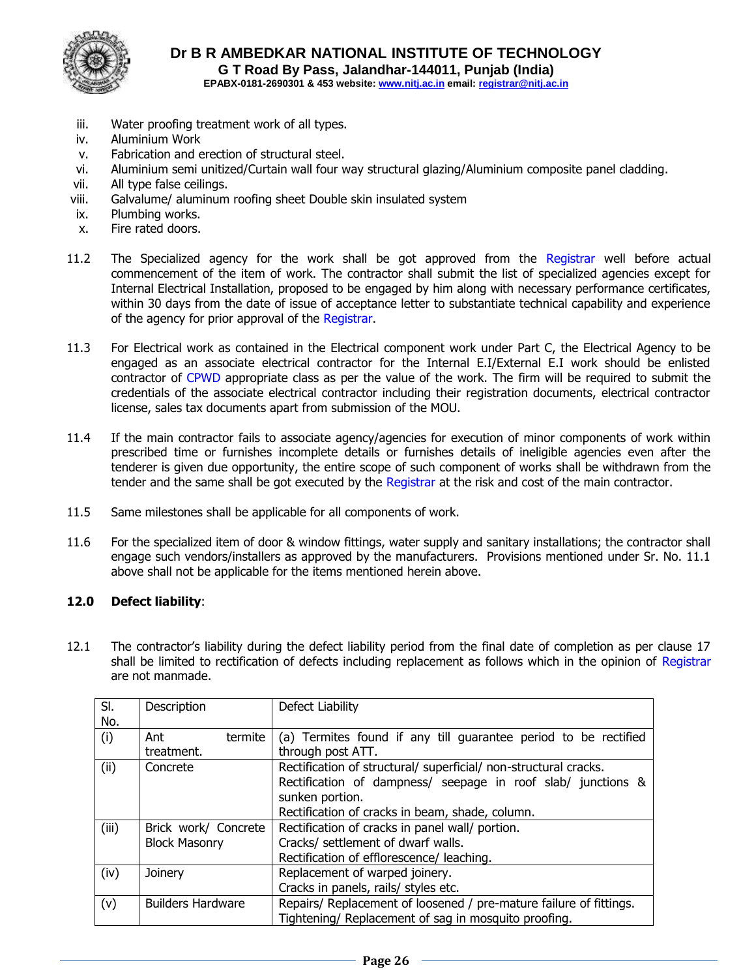

- iii. Water proofing treatment work of all types.
- iv. Aluminium Work
- v. Fabrication and erection of structural steel.
- vi. Aluminium semi unitized/Curtain wall four way structural glazing/Aluminium composite panel cladding.
- vii. All type false ceilings.
- viii. Galvalume/ aluminum roofing sheet Double skin insulated system
- ix. Plumbing works.
- x. Fire rated doors.
- 11.2 The Specialized agency for the work shall be got approved from the Registrar well before actual commencement of the item of work. The contractor shall submit the list of specialized agencies except for Internal Electrical Installation, proposed to be engaged by him along with necessary performance certificates, within 30 days from the date of issue of acceptance letter to substantiate technical capability and experience of the agency for prior approval of the Registrar.
- 11.3 For Electrical work as contained in the Electrical component work under Part C, the Electrical Agency to be engaged as an associate electrical contractor for the Internal E.I/External E.I work should be enlisted contractor of CPWD appropriate class as per the value of the work. The firm will be required to submit the credentials of the associate electrical contractor including their registration documents, electrical contractor license, sales tax documents apart from submission of the MOU.
- 11.4 If the main contractor fails to associate agency/agencies for execution of minor components of work within prescribed time or furnishes incomplete details or furnishes details of ineligible agencies even after the tenderer is given due opportunity, the entire scope of such component of works shall be withdrawn from the tender and the same shall be got executed by the Registrar at the risk and cost of the main contractor.
- 11.5 Same milestones shall be applicable for all components of work.
- 11.6 For the specialized item of door & window fittings, water supply and sanitary installations; the contractor shall engage such vendors/installers as approved by the manufacturers. Provisions mentioned under Sr. No. 11.1 above shall not be applicable for the items mentioned herein above.

#### **12.0 Defect liability**:

12.1 The contractor's liability during the defect liability period from the final date of completion as per clause 17 shall be limited to rectification of defects including replacement as follows which in the opinion of Registrar are not manmade.

| SI.   | Description              | Defect Liability                                                   |
|-------|--------------------------|--------------------------------------------------------------------|
| No.   |                          |                                                                    |
| (i)   | termite<br>Ant           | (a) Termites found if any till guarantee period to be rectified    |
|       | treatment.               | through post ATT.                                                  |
| (ii)  | Concrete                 | Rectification of structural/ superficial/ non-structural cracks.   |
|       |                          | Rectification of dampness/ seepage in roof slab/ junctions &       |
|       |                          | sunken portion.                                                    |
|       |                          | Rectification of cracks in beam, shade, column.                    |
| (iii) | Brick work/ Concrete     | Rectification of cracks in panel wall/ portion.                    |
|       | <b>Block Masonry</b>     | Cracks/ settlement of dwarf walls.                                 |
|       |                          | Rectification of efflorescence/ leaching.                          |
| (iv)  | Joinery                  | Replacement of warped joinery.                                     |
|       |                          | Cracks in panels, rails/ styles etc.                               |
| (v)   | <b>Builders Hardware</b> | Repairs/ Replacement of loosened / pre-mature failure of fittings. |
|       |                          | Tightening/ Replacement of sag in mosquito proofing.               |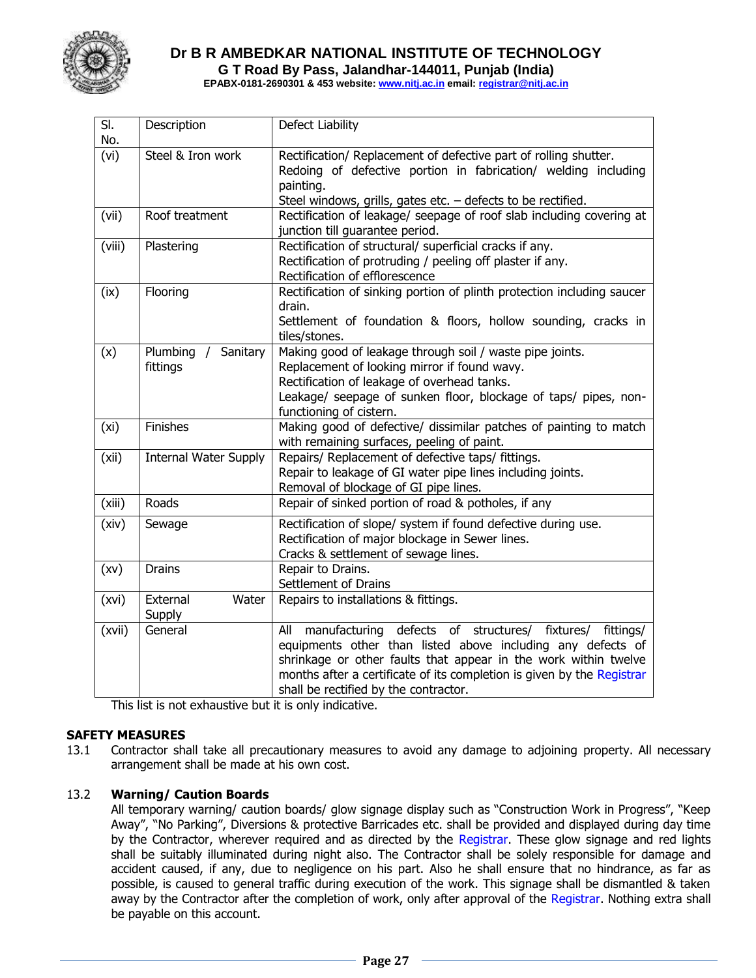

**Dr B R AMBEDKAR NATIONAL INSTITUTE OF TECHNOLOGY G T Road By Pass, Jalandhar-144011, Punjab (India)**

**EPABX-0181-2690301 & 453 website: www.nitj.ac.in email: registrar@nitj.ac.in**

| SI.<br>No. | Description                                  | Defect Liability                                                                                                                                                                                                                                                                                                           |
|------------|----------------------------------------------|----------------------------------------------------------------------------------------------------------------------------------------------------------------------------------------------------------------------------------------------------------------------------------------------------------------------------|
| (vi)       | Steel & Iron work                            | Rectification/ Replacement of defective part of rolling shutter.<br>Redoing of defective portion in fabrication/ welding including<br>painting.<br>Steel windows, grills, gates etc. $-$ defects to be rectified.                                                                                                          |
| (vii)      | Roof treatment                               | Rectification of leakage/ seepage of roof slab including covering at<br>junction till guarantee period.                                                                                                                                                                                                                    |
| (viii)     | Plastering                                   | Rectification of structural/ superficial cracks if any.<br>Rectification of protruding / peeling off plaster if any.<br>Rectification of efflorescence                                                                                                                                                                     |
| (ix)       | Flooring                                     | Rectification of sinking portion of plinth protection including saucer<br>drain.<br>Settlement of foundation & floors, hollow sounding, cracks in<br>tiles/stones.                                                                                                                                                         |
| (x)        | Plumbing<br>Sanitary<br>$\prime$<br>fittings | Making good of leakage through soil / waste pipe joints.<br>Replacement of looking mirror if found wavy.<br>Rectification of leakage of overhead tanks.<br>Leakage/ seepage of sunken floor, blockage of taps/ pipes, non-<br>functioning of cistern.                                                                      |
| (xi)       | Finishes                                     | Making good of defective/ dissimilar patches of painting to match<br>with remaining surfaces, peeling of paint.                                                                                                                                                                                                            |
| (xii)      | <b>Internal Water Supply</b>                 | Repairs/ Replacement of defective taps/ fittings.<br>Repair to leakage of GI water pipe lines including joints.<br>Removal of blockage of GI pipe lines.                                                                                                                                                                   |
| (xiii)     | Roads                                        | Repair of sinked portion of road & potholes, if any                                                                                                                                                                                                                                                                        |
| (xiv)      | Sewage                                       | Rectification of slope/ system if found defective during use.<br>Rectification of major blockage in Sewer lines.<br>Cracks & settlement of sewage lines.                                                                                                                                                                   |
| (xv)       | <b>Drains</b>                                | Repair to Drains.<br>Settlement of Drains                                                                                                                                                                                                                                                                                  |
| (xvi)      | External<br>Water<br>Supply                  | Repairs to installations & fittings.                                                                                                                                                                                                                                                                                       |
| (xvii)     | General                                      | defects of structures/ fixtures/<br>manufacturing<br>fittings/<br>All<br>equipments other than listed above including any defects of<br>shrinkage or other faults that appear in the work within twelve<br>months after a certificate of its completion is given by the Registrar<br>shall be rectified by the contractor. |

This list is not exhaustive but it is only indicative.

#### **SAFETY MEASURES**

13.1 Contractor shall take all precautionary measures to avoid any damage to adjoining property. All necessary arrangement shall be made at his own cost.

#### 13.2 **Warning/ Caution Boards**

All temporary warning/ caution boards/ glow signage display such as "Construction Work in Progress", "Keep Away", "No Parking", Diversions & protective Barricades etc. shall be provided and displayed during day time by the Contractor, wherever required and as directed by the Registrar. These glow signage and red lights shall be suitably illuminated during night also. The Contractor shall be solely responsible for damage and accident caused, if any, due to negligence on his part. Also he shall ensure that no hindrance, as far as possible, is caused to general traffic during execution of the work. This signage shall be dismantled & taken away by the Contractor after the completion of work, only after approval of the Registrar. Nothing extra shall be payable on this account.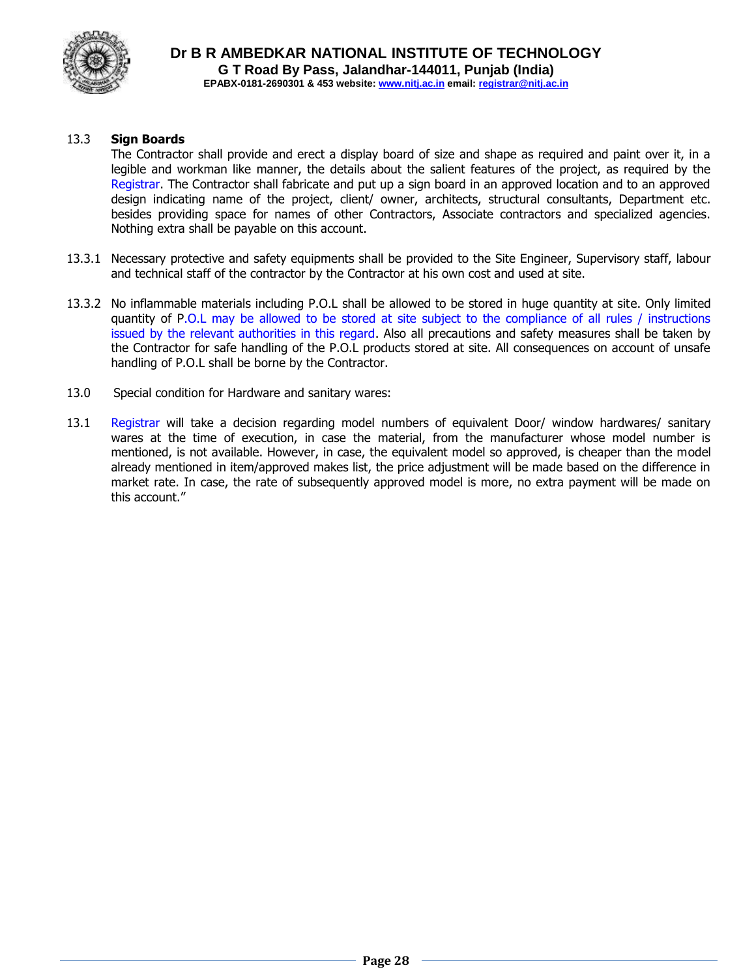

### 13.3 **Sign Boards**

The Contractor shall provide and erect a display board of size and shape as required and paint over it, in a legible and workman like manner, the details about the salient features of the project, as required by the Registrar. The Contractor shall fabricate and put up a sign board in an approved location and to an approved design indicating name of the project, client/ owner, architects, structural consultants, Department etc. besides providing space for names of other Contractors, Associate contractors and specialized agencies. Nothing extra shall be payable on this account.

- 13.3.1 Necessary protective and safety equipments shall be provided to the Site Engineer, Supervisory staff, labour and technical staff of the contractor by the Contractor at his own cost and used at site.
- 13.3.2 No inflammable materials including P.O.L shall be allowed to be stored in huge quantity at site. Only limited quantity of P.O.L may be allowed to be stored at site subject to the compliance of all rules / instructions issued by the relevant authorities in this regard. Also all precautions and safety measures shall be taken by the Contractor for safe handling of the P.O.L products stored at site. All consequences on account of unsafe handling of P.O.L shall be borne by the Contractor.
- 13.0 Special condition for Hardware and sanitary wares:
- 13.1 Registrar will take a decision regarding model numbers of equivalent Door/ window hardwares/ sanitary wares at the time of execution, in case the material, from the manufacturer whose model number is mentioned, is not available. However, in case, the equivalent model so approved, is cheaper than the model already mentioned in item/approved makes list, the price adjustment will be made based on the difference in market rate. In case, the rate of subsequently approved model is more, no extra payment will be made on this account."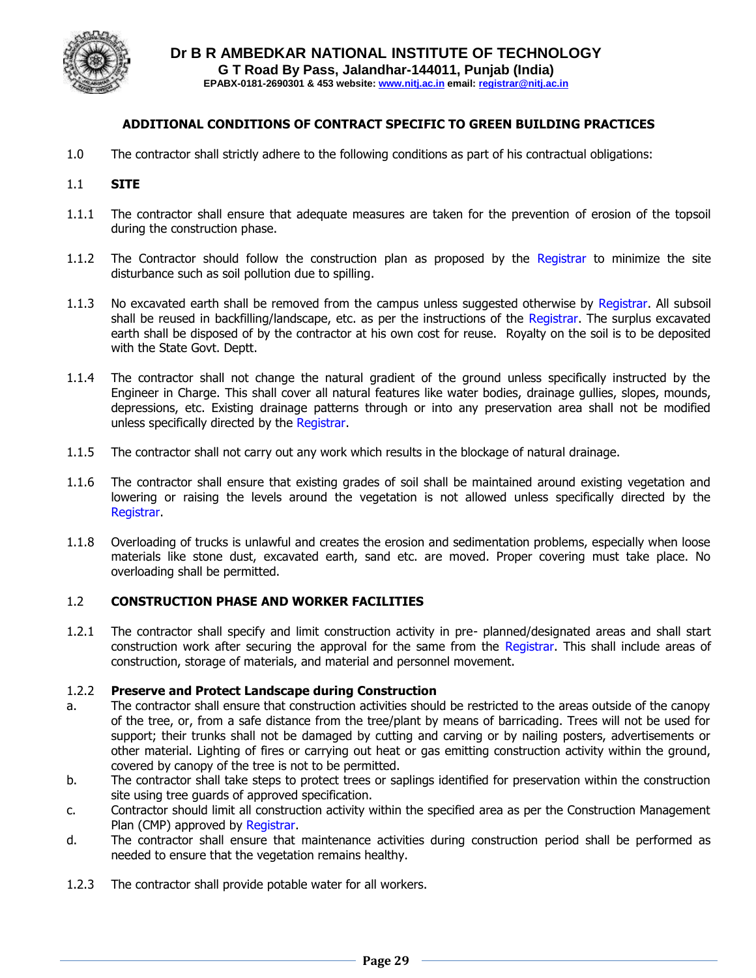

#### **ADDITIONAL CONDITIONS OF CONTRACT SPECIFIC TO GREEN BUILDING PRACTICES**

1.0 The contractor shall strictly adhere to the following conditions as part of his contractual obligations:

#### 1.1 **SITE**

- 1.1.1 The contractor shall ensure that adequate measures are taken for the prevention of erosion of the topsoil during the construction phase.
- 1.1.2 The Contractor should follow the construction plan as proposed by the Registrar to minimize the site disturbance such as soil pollution due to spilling.
- 1.1.3 No excavated earth shall be removed from the campus unless suggested otherwise by Registrar. All subsoil shall be reused in backfilling/landscape, etc. as per the instructions of the Registrar. The surplus excavated earth shall be disposed of by the contractor at his own cost for reuse. Royalty on the soil is to be deposited with the State Govt. Deptt.
- 1.1.4 The contractor shall not change the natural gradient of the ground unless specifically instructed by the Engineer in Charge. This shall cover all natural features like water bodies, drainage gullies, slopes, mounds, depressions, etc. Existing drainage patterns through or into any preservation area shall not be modified unless specifically directed by the Registrar.
- 1.1.5 The contractor shall not carry out any work which results in the blockage of natural drainage.
- 1.1.6 The contractor shall ensure that existing grades of soil shall be maintained around existing vegetation and lowering or raising the levels around the vegetation is not allowed unless specifically directed by the Registrar.
- 1.1.8 Overloading of trucks is unlawful and creates the erosion and sedimentation problems, especially when loose materials like stone dust, excavated earth, sand etc. are moved. Proper covering must take place. No overloading shall be permitted.

#### 1.2 **CONSTRUCTION PHASE AND WORKER FACILITIES**

1.2.1 The contractor shall specify and limit construction activity in pre- planned/designated areas and shall start construction work after securing the approval for the same from the Registrar. This shall include areas of construction, storage of materials, and material and personnel movement.

#### 1.2.2 **Preserve and Protect Landscape during Construction**

- a. The contractor shall ensure that construction activities should be restricted to the areas outside of the canopy of the tree, or, from a safe distance from the tree/plant by means of barricading. Trees will not be used for support; their trunks shall not be damaged by cutting and carving or by nailing posters, advertisements or other material. Lighting of fires or carrying out heat or gas emitting construction activity within the ground, covered by canopy of the tree is not to be permitted.
- b. The contractor shall take steps to protect trees or saplings identified for preservation within the construction site using tree guards of approved specification.
- c. Contractor should limit all construction activity within the specified area as per the Construction Management Plan (CMP) approved by Registrar.
- d. The contractor shall ensure that maintenance activities during construction period shall be performed as needed to ensure that the vegetation remains healthy.
- 1.2.3 The contractor shall provide potable water for all workers.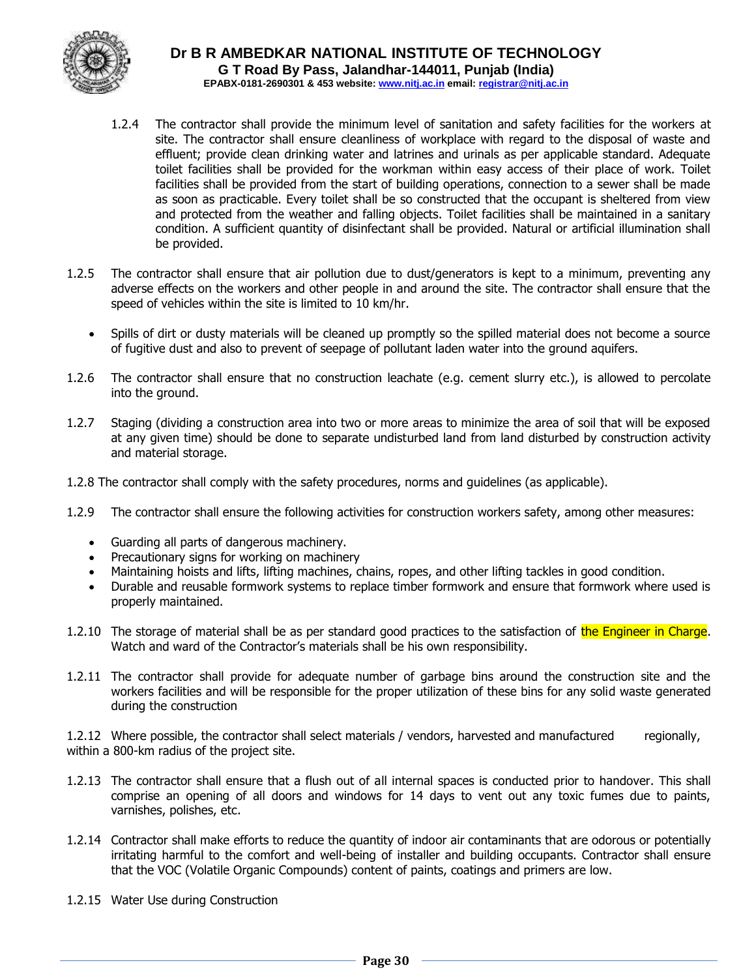

- 1.2.4 The contractor shall provide the minimum level of sanitation and safety facilities for the workers at site. The contractor shall ensure cleanliness of workplace with regard to the disposal of waste and effluent; provide clean drinking water and latrines and urinals as per applicable standard. Adequate toilet facilities shall be provided for the workman within easy access of their place of work. Toilet facilities shall be provided from the start of building operations, connection to a sewer shall be made as soon as practicable. Every toilet shall be so constructed that the occupant is sheltered from view and protected from the weather and falling objects. Toilet facilities shall be maintained in a sanitary condition. A sufficient quantity of disinfectant shall be provided. Natural or artificial illumination shall be provided.
- 1.2.5 The contractor shall ensure that air pollution due to dust/generators is kept to a minimum, preventing any adverse effects on the workers and other people in and around the site. The contractor shall ensure that the speed of vehicles within the site is limited to 10 km/hr.
	- Spills of dirt or dusty materials will be cleaned up promptly so the spilled material does not become a source of fugitive dust and also to prevent of seepage of pollutant laden water into the ground aquifers.
- 1.2.6 The contractor shall ensure that no construction leachate (e.g. cement slurry etc.), is allowed to percolate into the ground.
- 1.2.7 Staging (dividing a construction area into two or more areas to minimize the area of soil that will be exposed at any given time) should be done to separate undisturbed land from land disturbed by construction activity and material storage.
- 1.2.8 The contractor shall comply with the safety procedures, norms and guidelines (as applicable).
- 1.2.9 The contractor shall ensure the following activities for construction workers safety, among other measures:
	- Guarding all parts of dangerous machinery.
	- Precautionary signs for working on machinery
	- Maintaining hoists and lifts, lifting machines, chains, ropes, and other lifting tackles in good condition.
	- Durable and reusable formwork systems to replace timber formwork and ensure that formwork where used is properly maintained.
- 1.2.10 The storage of material shall be as per standard good practices to the satisfaction of the Engineer in Charge. Watch and ward of the Contractor's materials shall be his own responsibility.
- 1.2.11 The contractor shall provide for adequate number of garbage bins around the construction site and the workers facilities and will be responsible for the proper utilization of these bins for any solid waste generated during the construction

1.2.12 Where possible, the contractor shall select materials / vendors, harvested and manufactured regionally, within a 800-km radius of the project site.

- 1.2.13 The contractor shall ensure that a flush out of all internal spaces is conducted prior to handover. This shall comprise an opening of all doors and windows for 14 days to vent out any toxic fumes due to paints, varnishes, polishes, etc.
- 1.2.14 Contractor shall make efforts to reduce the quantity of indoor air contaminants that are odorous or potentially irritating harmful to the comfort and well-being of installer and building occupants. Contractor shall ensure that the VOC (Volatile Organic Compounds) content of paints, coatings and primers are low.
- 1.2.15 Water Use during Construction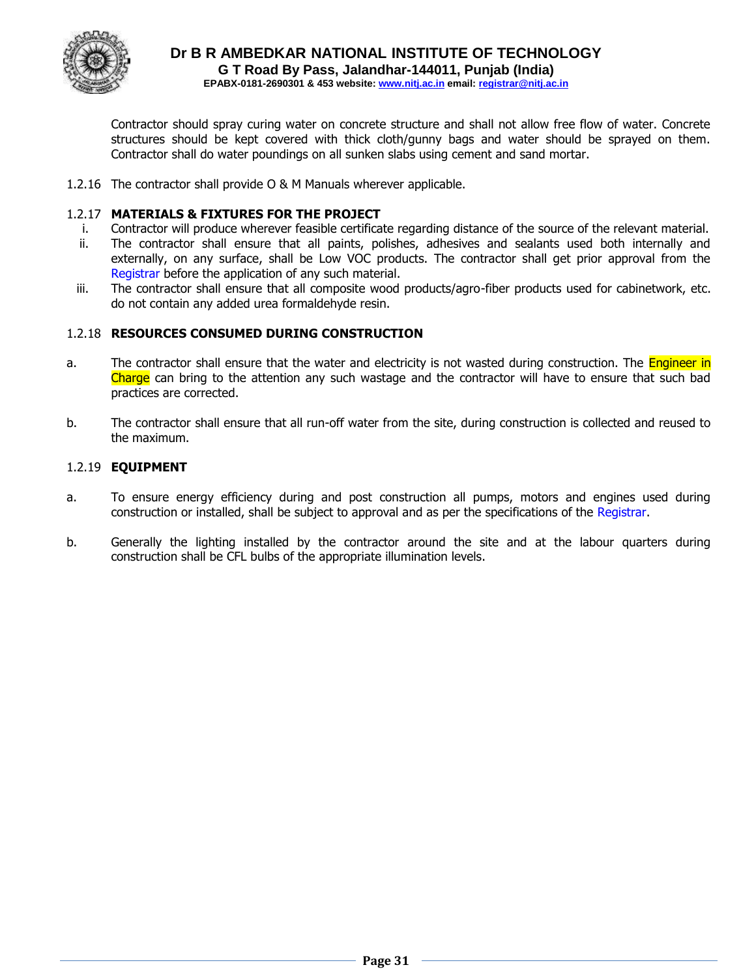

Contractor should spray curing water on concrete structure and shall not allow free flow of water. Concrete structures should be kept covered with thick cloth/gunny bags and water should be sprayed on them. Contractor shall do water poundings on all sunken slabs using cement and sand mortar.

1.2.16 The contractor shall provide O & M Manuals wherever applicable.

#### 1.2.17 **MATERIALS & FIXTURES FOR THE PROJECT**

- i. Contractor will produce wherever feasible certificate regarding distance of the source of the relevant material.
- ii. The contractor shall ensure that all paints, polishes, adhesives and sealants used both internally and externally, on any surface, shall be Low VOC products. The contractor shall get prior approval from the Registrar before the application of any such material.
- iii. The contractor shall ensure that all composite wood products/agro-fiber products used for cabinetwork, etc. do not contain any added urea formaldehyde resin.

#### 1.2.18 **RESOURCES CONSUMED DURING CONSTRUCTION**

- a. The contractor shall ensure that the water and electricity is not wasted during construction. The **Engineer in** Charge can bring to the attention any such wastage and the contractor will have to ensure that such bad practices are corrected.
- b. The contractor shall ensure that all run-off water from the site, during construction is collected and reused to the maximum.

#### 1.2.19 **EQUIPMENT**

- a. To ensure energy efficiency during and post construction all pumps, motors and engines used during construction or installed, shall be subject to approval and as per the specifications of the Registrar.
- b. Generally the lighting installed by the contractor around the site and at the labour quarters during construction shall be CFL bulbs of the appropriate illumination levels.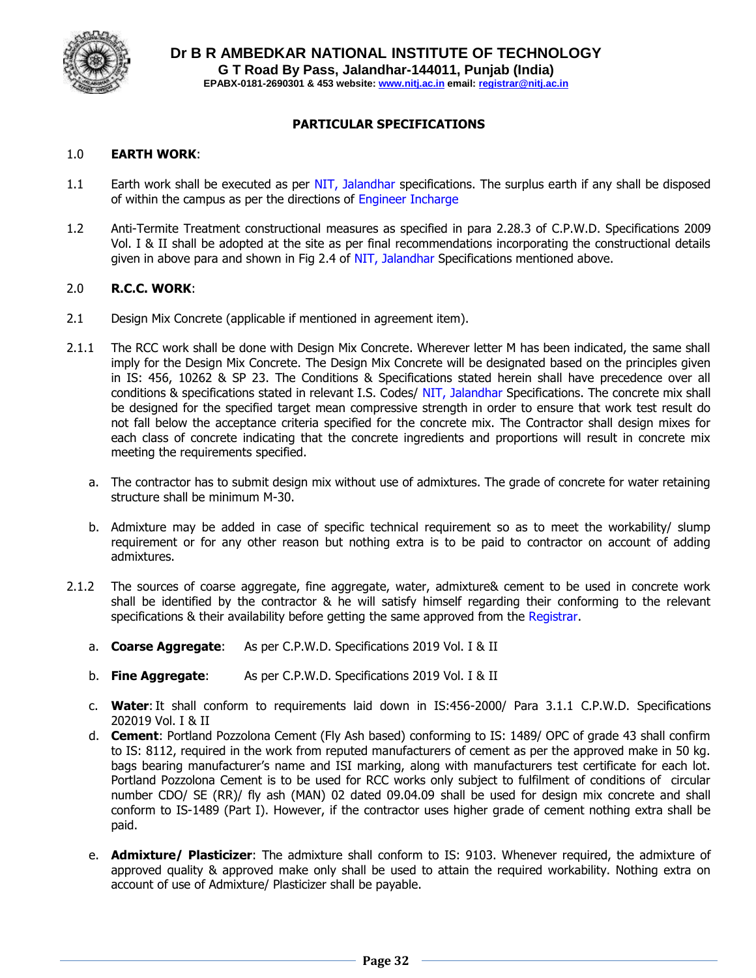

#### **PARTICULAR SPECIFICATIONS**

#### 1.0 **EARTH WORK**:

- 1.1 Earth work shall be executed as per NIT, Jalandhar specifications. The surplus earth if any shall be disposed of within the campus as per the directions of Engineer Incharge
- 1.2 Anti-Termite Treatment constructional measures as specified in para 2.28.3 of C.P.W.D. Specifications 2009 Vol. I & II shall be adopted at the site as per final recommendations incorporating the constructional details given in above para and shown in Fig 2.4 of NIT, Jalandhar Specifications mentioned above.

#### 2.0 **R.C.C. WORK**:

- 2.1 Design Mix Concrete (applicable if mentioned in agreement item).
- 2.1.1 The RCC work shall be done with Design Mix Concrete. Wherever letter M has been indicated, the same shall imply for the Design Mix Concrete. The Design Mix Concrete will be designated based on the principles given in IS: 456, 10262 & SP 23. The Conditions & Specifications stated herein shall have precedence over all conditions & specifications stated in relevant I.S. Codes/ NIT, Jalandhar Specifications. The concrete mix shall be designed for the specified target mean compressive strength in order to ensure that work test result do not fall below the acceptance criteria specified for the concrete mix. The Contractor shall design mixes for each class of concrete indicating that the concrete ingredients and proportions will result in concrete mix meeting the requirements specified.
	- a. The contractor has to submit design mix without use of admixtures. The grade of concrete for water retaining structure shall be minimum M-30.
	- b. Admixture may be added in case of specific technical requirement so as to meet the workability/ slump requirement or for any other reason but nothing extra is to be paid to contractor on account of adding admixtures.
- 2.1.2 The sources of coarse aggregate, fine aggregate, water, admixture& cement to be used in concrete work shall be identified by the contractor & he will satisfy himself regarding their conforming to the relevant specifications & their availability before getting the same approved from the Registrar.
	- a. **Coarse Aggregate**: As per C.P.W.D. Specifications 2019 Vol. I & II
	- b. **Fine Aggregate**: As per C.P.W.D. Specifications 2019 Vol. I & II
	- c. **Water**: It shall conform to requirements laid down in IS:456-2000/ Para 3.1.1 C.P.W.D. Specifications 202019 Vol. I & II
	- d. **Cement**: Portland Pozzolona Cement (Fly Ash based) conforming to IS: 1489/ OPC of grade 43 shall confirm to IS: 8112, required in the work from reputed manufacturers of cement as per the approved make in 50 kg. bags bearing manufacturer's name and ISI marking, along with manufacturers test certificate for each lot. Portland Pozzolona Cement is to be used for RCC works only subject to fulfilment of conditions of circular number CDO/ SE (RR)/ fly ash (MAN) 02 dated 09.04.09 shall be used for design mix concrete and shall conform to IS-1489 (Part I). However, if the contractor uses higher grade of cement nothing extra shall be paid.
	- e. **Admixture/ Plasticizer**: The admixture shall conform to IS: 9103. Whenever required, the admixture of approved quality & approved make only shall be used to attain the required workability. Nothing extra on account of use of Admixture/ Plasticizer shall be payable.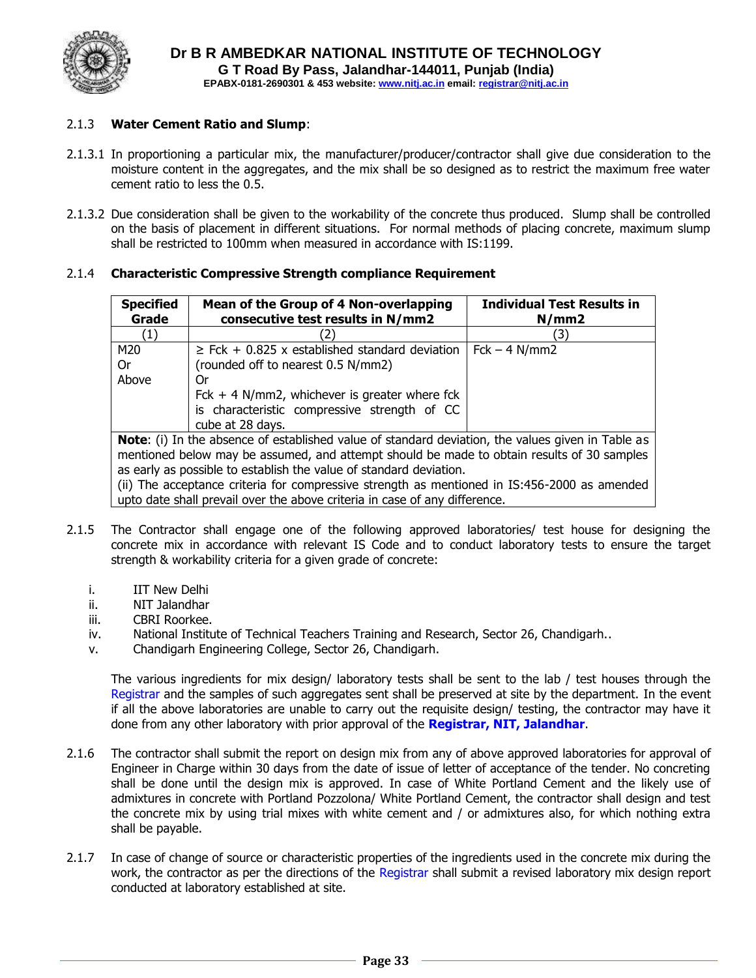

#### 2.1.3 **Water Cement Ratio and Slump**:

- 2.1.3.1 In proportioning a particular mix, the manufacturer/producer/contractor shall give due consideration to the moisture content in the aggregates, and the mix shall be so designed as to restrict the maximum free water cement ratio to less the 0.5.
- 2.1.3.2 Due consideration shall be given to the workability of the concrete thus produced. Slump shall be controlled on the basis of placement in different situations. For normal methods of placing concrete, maximum slump shall be restricted to 100mm when measured in accordance with IS:1199.

#### 2.1.4 **Characteristic Compressive Strength compliance Requirement**

| <b>Specified</b><br>Grade                                                                                | Mean of the Group of 4 Non-overlapping<br>consecutive test results in N/mm2                  | <b>Individual Test Results in</b><br>N/mm2 |  |  |  |  |
|----------------------------------------------------------------------------------------------------------|----------------------------------------------------------------------------------------------|--------------------------------------------|--|--|--|--|
| (1)                                                                                                      |                                                                                              | 31                                         |  |  |  |  |
| M20                                                                                                      | $\geq$ Fck + 0.825 x established standard deviation                                          | $Fck - 4 N/mm2$                            |  |  |  |  |
| 0r                                                                                                       | (rounded off to nearest 0.5 N/mm2)                                                           |                                            |  |  |  |  |
| Above                                                                                                    | 0r                                                                                           |                                            |  |  |  |  |
|                                                                                                          | Fck $+$ 4 N/mm2, whichever is greater where fck                                              |                                            |  |  |  |  |
|                                                                                                          | is characteristic compressive strength of CC                                                 |                                            |  |  |  |  |
|                                                                                                          | cube at 28 days.                                                                             |                                            |  |  |  |  |
| <b>Note:</b> (i) In the absence of established value of standard deviation, the values given in Table as |                                                                                              |                                            |  |  |  |  |
| mentioned below may be assumed, and attempt should be made to obtain results of 30 samples               |                                                                                              |                                            |  |  |  |  |
| as early as possible to establish the value of standard deviation.                                       |                                                                                              |                                            |  |  |  |  |
|                                                                                                          | (ii) The acceptance criteria for compressive strength as mentioned in IS:456-2000 as amended |                                            |  |  |  |  |
|                                                                                                          | upto date shall prevail over the above criteria in case of any difference.                   |                                            |  |  |  |  |

- 2.1.5 The Contractor shall engage one of the following approved laboratories/ test house for designing the concrete mix in accordance with relevant IS Code and to conduct laboratory tests to ensure the target strength & workability criteria for a given grade of concrete:
	- i. IIT New Delhi
	- ii. NIT Jalandhar
	- iii. CBRI Roorkee.
	- iv. National Institute of Technical Teachers Training and Research, Sector 26, Chandigarh..
	- v. Chandigarh Engineering College, Sector 26, Chandigarh.

The various ingredients for mix design/ laboratory tests shall be sent to the lab / test houses through the Registrar and the samples of such aggregates sent shall be preserved at site by the department. In the event if all the above laboratories are unable to carry out the requisite design/ testing, the contractor may have it done from any other laboratory with prior approval of the **Registrar, NIT, Jalandhar**.

- 2.1.6 The contractor shall submit the report on design mix from any of above approved laboratories for approval of Engineer in Charge within 30 days from the date of issue of letter of acceptance of the tender. No concreting shall be done until the design mix is approved. In case of White Portland Cement and the likely use of admixtures in concrete with Portland Pozzolona/ White Portland Cement, the contractor shall design and test the concrete mix by using trial mixes with white cement and / or admixtures also, for which nothing extra shall be payable.
- 2.1.7 In case of change of source or characteristic properties of the ingredients used in the concrete mix during the work, the contractor as per the directions of the Registrar shall submit a revised laboratory mix design report conducted at laboratory established at site.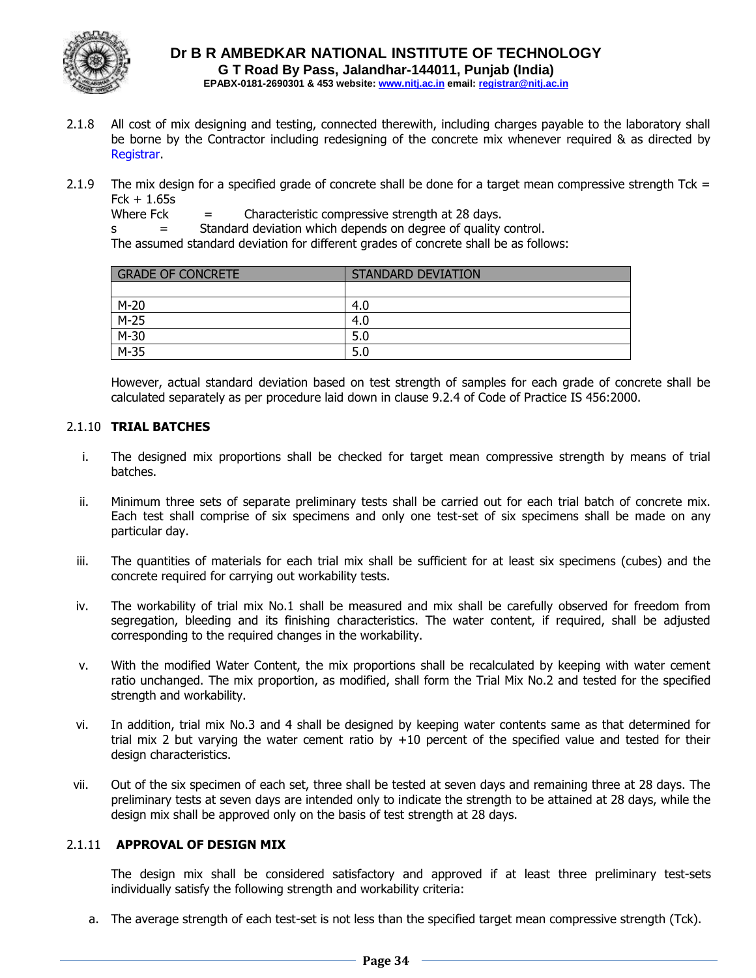

- 2.1.8 All cost of mix designing and testing, connected therewith, including charges payable to the laboratory shall be borne by the Contractor including redesigning of the concrete mix whenever required & as directed by Registrar.
- 2.1.9 The mix design for a specified grade of concrete shall be done for a target mean compressive strength Tck =  $Fck + 1.65s$

Where Fck  $=$  Characteristic compressive strength at 28 days.

s = Standard deviation which depends on degree of quality control.

The assumed standard deviation for different grades of concrete shall be as follows:

| <b>GRADE OF CONCRETE</b> | <b>STANDARD DEVIATION</b> |
|--------------------------|---------------------------|
|                          |                           |
| $M-20$                   | 4.0                       |
| $M-25$                   | 4.0                       |
| $M-30$                   | 5.0                       |
| $M-35$                   | 5.0                       |

However, actual standard deviation based on test strength of samples for each grade of concrete shall be calculated separately as per procedure laid down in clause 9.2.4 of Code of Practice IS 456:2000.

#### 2.1.10 **TRIAL BATCHES**

- i. The designed mix proportions shall be checked for target mean compressive strength by means of trial batches.
- ii. Minimum three sets of separate preliminary tests shall be carried out for each trial batch of concrete mix. Each test shall comprise of six specimens and only one test-set of six specimens shall be made on any particular day.
- iii. The quantities of materials for each trial mix shall be sufficient for at least six specimens (cubes) and the concrete required for carrying out workability tests.
- iv. The workability of trial mix No.1 shall be measured and mix shall be carefully observed for freedom from segregation, bleeding and its finishing characteristics. The water content, if required, shall be adjusted corresponding to the required changes in the workability.
- v. With the modified Water Content, the mix proportions shall be recalculated by keeping with water cement ratio unchanged. The mix proportion, as modified, shall form the Trial Mix No.2 and tested for the specified strength and workability.
- vi. In addition, trial mix No.3 and 4 shall be designed by keeping water contents same as that determined for trial mix 2 but varying the water cement ratio by  $+10$  percent of the specified value and tested for their design characteristics.
- vii. Out of the six specimen of each set, three shall be tested at seven days and remaining three at 28 days. The preliminary tests at seven days are intended only to indicate the strength to be attained at 28 days, while the design mix shall be approved only on the basis of test strength at 28 days.

#### 2.1.11 **APPROVAL OF DESIGN MIX**

The design mix shall be considered satisfactory and approved if at least three preliminary test-sets individually satisfy the following strength and workability criteria:

a. The average strength of each test-set is not less than the specified target mean compressive strength (Tck).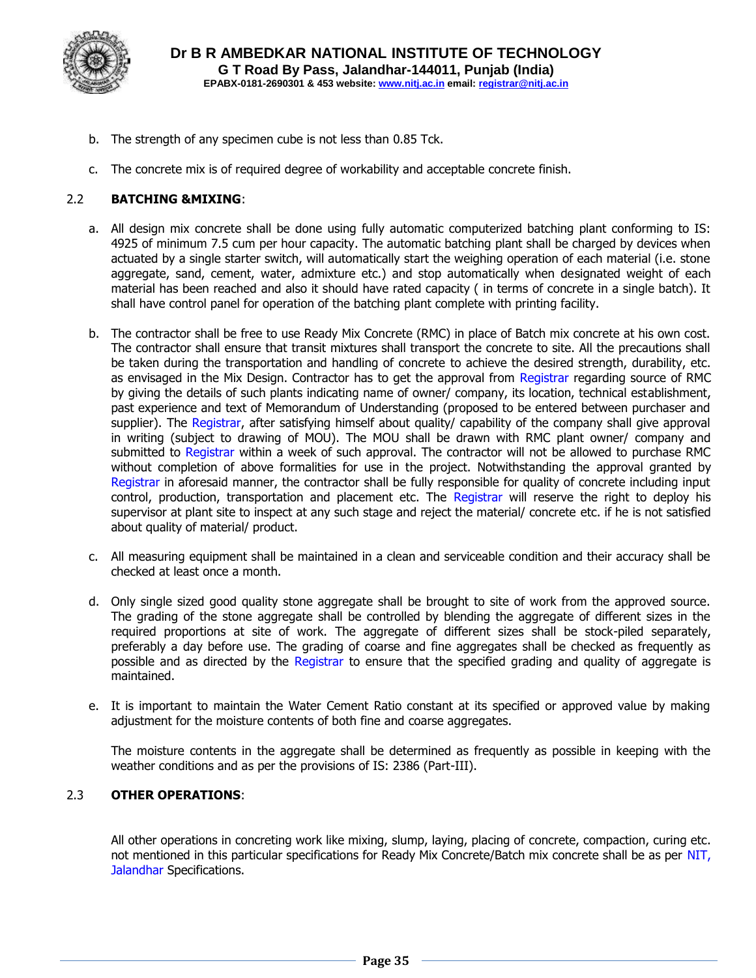

- b. The strength of any specimen cube is not less than 0.85 Tck.
- c. The concrete mix is of required degree of workability and acceptable concrete finish.

#### 2.2 **BATCHING &MIXING**:

- a. All design mix concrete shall be done using fully automatic computerized batching plant conforming to IS: 4925 of minimum 7.5 cum per hour capacity. The automatic batching plant shall be charged by devices when actuated by a single starter switch, will automatically start the weighing operation of each material (i.e. stone aggregate, sand, cement, water, admixture etc.) and stop automatically when designated weight of each material has been reached and also it should have rated capacity ( in terms of concrete in a single batch). It shall have control panel for operation of the batching plant complete with printing facility.
- b. The contractor shall be free to use Ready Mix Concrete (RMC) in place of Batch mix concrete at his own cost. The contractor shall ensure that transit mixtures shall transport the concrete to site. All the precautions shall be taken during the transportation and handling of concrete to achieve the desired strength, durability, etc. as envisaged in the Mix Design. Contractor has to get the approval from Registrar regarding source of RMC by giving the details of such plants indicating name of owner/ company, its location, technical establishment, past experience and text of Memorandum of Understanding (proposed to be entered between purchaser and supplier). The Registrar, after satisfying himself about quality/ capability of the company shall give approval in writing (subject to drawing of MOU). The MOU shall be drawn with RMC plant owner/ company and submitted to Registrar within a week of such approval. The contractor will not be allowed to purchase RMC without completion of above formalities for use in the project. Notwithstanding the approval granted by Registrar in aforesaid manner, the contractor shall be fully responsible for quality of concrete including input control, production, transportation and placement etc. The Registrar will reserve the right to deploy his supervisor at plant site to inspect at any such stage and reject the material/ concrete etc. if he is not satisfied about quality of material/ product.
- c. All measuring equipment shall be maintained in a clean and serviceable condition and their accuracy shall be checked at least once a month.
- d. Only single sized good quality stone aggregate shall be brought to site of work from the approved source. The grading of the stone aggregate shall be controlled by blending the aggregate of different sizes in the required proportions at site of work. The aggregate of different sizes shall be stock-piled separately, preferably a day before use. The grading of coarse and fine aggregates shall be checked as frequently as possible and as directed by the Registrar to ensure that the specified grading and quality of aggregate is maintained.
- e. It is important to maintain the Water Cement Ratio constant at its specified or approved value by making adjustment for the moisture contents of both fine and coarse aggregates.

The moisture contents in the aggregate shall be determined as frequently as possible in keeping with the weather conditions and as per the provisions of IS: 2386 (Part-III).

#### 2.3 **OTHER OPERATIONS**:

All other operations in concreting work like mixing, slump, laying, placing of concrete, compaction, curing etc. not mentioned in this particular specifications for Ready Mix Concrete/Batch mix concrete shall be as per NIT, Jalandhar Specifications.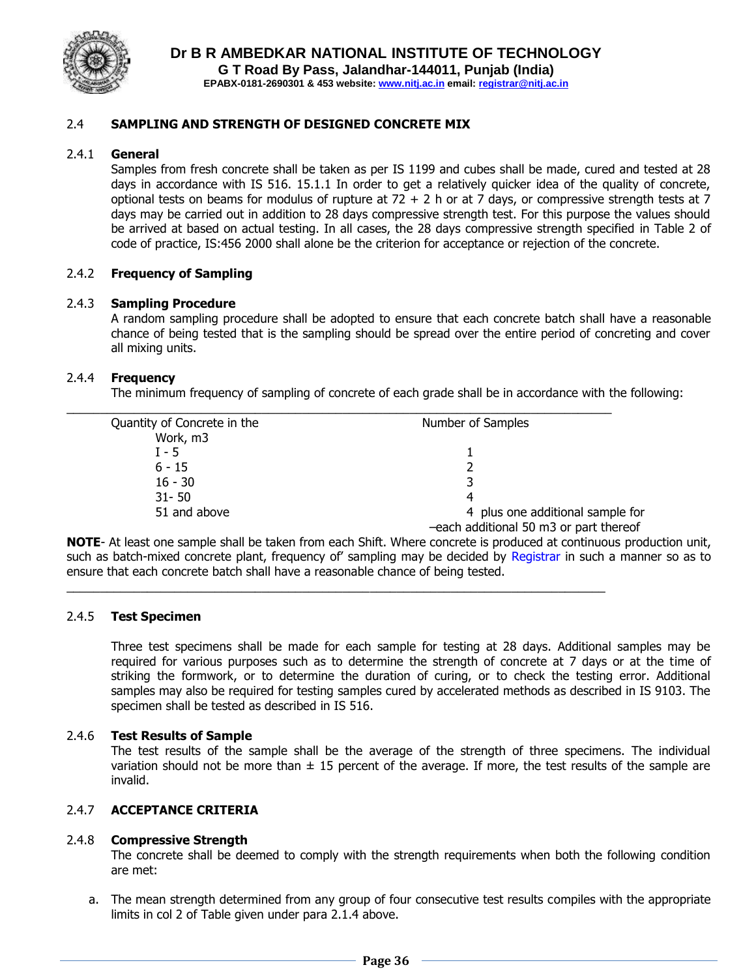

#### 2.4 **SAMPLING AND STRENGTH OF DESIGNED CONCRETE MIX**

#### 2.4.1 **General**

Samples from fresh concrete shall be taken as per IS 1199 and cubes shall be made, cured and tested at 28 days in accordance with IS 516. 15.1.1 In order to get a relatively quicker idea of the quality of concrete, optional tests on beams for modulus of rupture at  $72 + 2$  h or at 7 days, or compressive strength tests at 7 days may be carried out in addition to 28 days compressive strength test. For this purpose the values should be arrived at based on actual testing. In all cases, the 28 days compressive strength specified in Table 2 of code of practice, IS:456 2000 shall alone be the criterion for acceptance or rejection of the concrete.

#### 2.4.2 **Frequency of Sampling**

#### 2.4.3 **Sampling Procedure**

A random sampling procedure shall be adopted to ensure that each concrete batch shall have a reasonable chance of being tested that is the sampling should be spread over the entire period of concreting and cover all mixing units.

#### 2.4.4 **Frequency**

The minimum frequency of sampling of concrete of each grade shall be in accordance with the following:

| Quantity of Concrete in the | Number of Samples                      |
|-----------------------------|----------------------------------------|
| Work, m3                    |                                        |
| $I - 5$                     |                                        |
| $6 - 15$                    |                                        |
| $16 - 30$                   |                                        |
| $31 - 50$                   |                                        |
| 51 and above                | 4 plus one additional sample for       |
|                             | -each additional 50 m3 or part thereof |

 $\_$  ,  $\_$  ,  $\_$  ,  $\_$  ,  $\_$  ,  $\_$  ,  $\_$  ,  $\_$  ,  $\_$  ,  $\_$  ,  $\_$  ,  $\_$  ,  $\_$  ,  $\_$  ,  $\_$  ,  $\_$  ,  $\_$  ,  $\_$  ,  $\_$  ,  $\_$ 

**NOTE**- At least one sample shall be taken from each Shift. Where concrete is produced at continuous production unit, such as batch-mixed concrete plant, frequency of' sampling may be decided by Registrar in such a manner so as to ensure that each concrete batch shall have a reasonable chance of being tested.

#### 2.4.5 **Test Specimen**

Three test specimens shall be made for each sample for testing at 28 days. Additional samples may be required for various purposes such as to determine the strength of concrete at 7 days or at the time of striking the formwork, or to determine the duration of curing, or to check the testing error. Additional samples may also be required for testing samples cured by accelerated methods as described in IS 9103. The specimen shall be tested as described in IS 516.

#### 2.4.6 **Test Results of Sample**

The test results of the sample shall be the average of the strength of three specimens. The individual variation should not be more than  $\pm$  15 percent of the average. If more, the test results of the sample are invalid.

#### 2.4.7 **ACCEPTANCE CRITERIA**

#### 2.4.8 **Compressive Strength**

The concrete shall be deemed to comply with the strength requirements when both the following condition are met:

a. The mean strength determined from any group of four consecutive test results compiles with the appropriate limits in col 2 of Table given under para 2.1.4 above.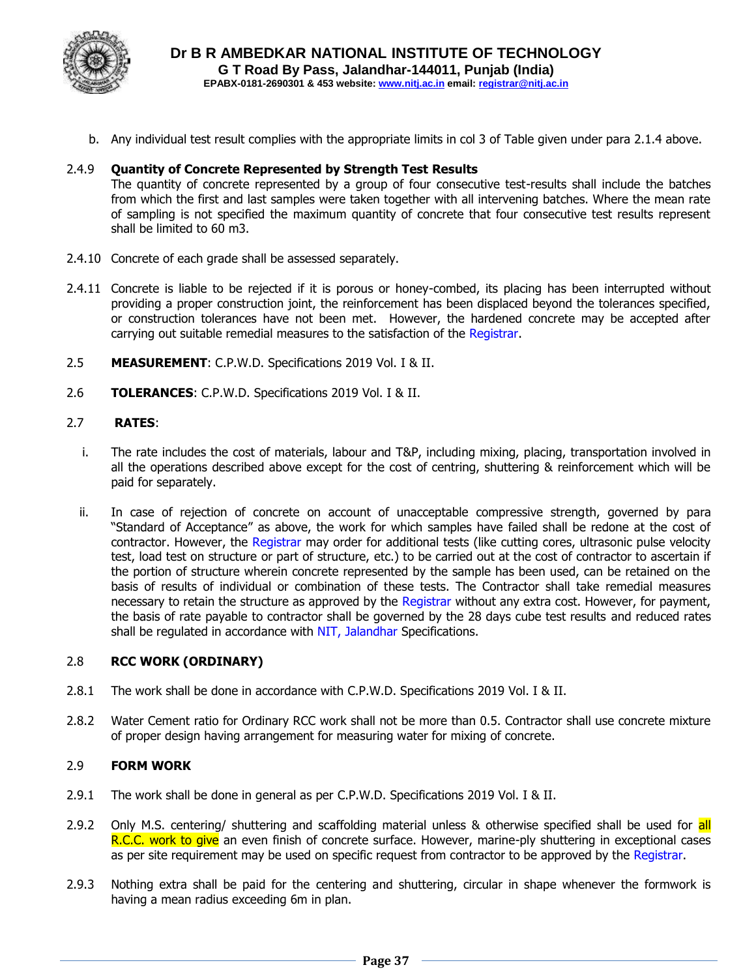

b. Any individual test result complies with the appropriate limits in col 3 of Table given under para 2.1.4 above.

## 2.4.9 **Quantity of Concrete Represented by Strength Test Results**

The quantity of concrete represented by a group of four consecutive test-results shall include the batches from which the first and last samples were taken together with all intervening batches. Where the mean rate of sampling is not specified the maximum quantity of concrete that four consecutive test results represent shall be limited to 60 m3.

- 2.4.10 Concrete of each grade shall be assessed separately.
- 2.4.11 Concrete is liable to be rejected if it is porous or honey-combed, its placing has been interrupted without providing a proper construction joint, the reinforcement has been displaced beyond the tolerances specified, or construction tolerances have not been met. However, the hardened concrete may be accepted after carrying out suitable remedial measures to the satisfaction of the Registrar.
- 2.5 **MEASUREMENT**: C.P.W.D. Specifications 2019 Vol. I & II.
- 2.6 **TOLERANCES**: C.P.W.D. Specifications 2019 Vol. I & II.

#### 2.7 **RATES**:

- i. The rate includes the cost of materials, labour and T&P, including mixing, placing, transportation involved in all the operations described above except for the cost of centring, shuttering & reinforcement which will be paid for separately.
- ii. In case of rejection of concrete on account of unacceptable compressive strength, governed by para "Standard of Acceptance" as above, the work for which samples have failed shall be redone at the cost of contractor. However, the Registrar may order for additional tests (like cutting cores, ultrasonic pulse velocity test, load test on structure or part of structure, etc.) to be carried out at the cost of contractor to ascertain if the portion of structure wherein concrete represented by the sample has been used, can be retained on the basis of results of individual or combination of these tests. The Contractor shall take remedial measures necessary to retain the structure as approved by the Registrar without any extra cost. However, for payment, the basis of rate payable to contractor shall be governed by the 28 days cube test results and reduced rates shall be regulated in accordance with NIT, Jalandhar Specifications.

#### 2.8 **RCC WORK (ORDINARY)**

- 2.8.1 The work shall be done in accordance with C.P.W.D. Specifications 2019 Vol. I & II.
- 2.8.2 Water Cement ratio for Ordinary RCC work shall not be more than 0.5. Contractor shall use concrete mixture of proper design having arrangement for measuring water for mixing of concrete.

### 2.9 **FORM WORK**

- 2.9.1 The work shall be done in general as per C.P.W.D. Specifications 2019 Vol. I & II.
- 2.9.2 Only M.S. centering/ shuttering and scaffolding material unless & otherwise specified shall be used for all R.C.C. work to give an even finish of concrete surface. However, marine-ply shuttering in exceptional cases as per site requirement may be used on specific request from contractor to be approved by the Registrar.
- 2.9.3 Nothing extra shall be paid for the centering and shuttering, circular in shape whenever the formwork is having a mean radius exceeding 6m in plan.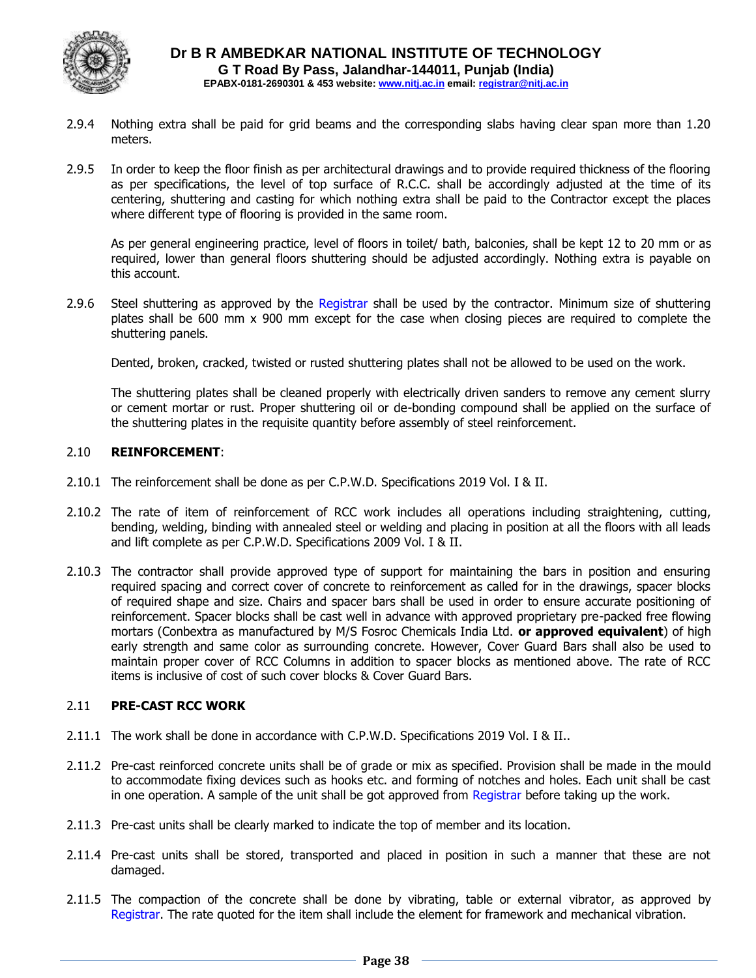

- 2.9.4 Nothing extra shall be paid for grid beams and the corresponding slabs having clear span more than 1.20 meters.
- 2.9.5 In order to keep the floor finish as per architectural drawings and to provide required thickness of the flooring as per specifications, the level of top surface of R.C.C. shall be accordingly adjusted at the time of its centering, shuttering and casting for which nothing extra shall be paid to the Contractor except the places where different type of flooring is provided in the same room.

As per general engineering practice, level of floors in toilet/ bath, balconies, shall be kept 12 to 20 mm or as required, lower than general floors shuttering should be adjusted accordingly. Nothing extra is payable on this account.

2.9.6 Steel shuttering as approved by the Registrar shall be used by the contractor. Minimum size of shuttering plates shall be 600 mm x 900 mm except for the case when closing pieces are required to complete the shuttering panels.

Dented, broken, cracked, twisted or rusted shuttering plates shall not be allowed to be used on the work.

The shuttering plates shall be cleaned properly with electrically driven sanders to remove any cement slurry or cement mortar or rust. Proper shuttering oil or de-bonding compound shall be applied on the surface of the shuttering plates in the requisite quantity before assembly of steel reinforcement.

## 2.10 **REINFORCEMENT**:

- 2.10.1 The reinforcement shall be done as per C.P.W.D. Specifications 2019 Vol. I & II.
- 2.10.2 The rate of item of reinforcement of RCC work includes all operations including straightening, cutting, bending, welding, binding with annealed steel or welding and placing in position at all the floors with all leads and lift complete as per C.P.W.D. Specifications 2009 Vol. I & II.
- 2.10.3 The contractor shall provide approved type of support for maintaining the bars in position and ensuring required spacing and correct cover of concrete to reinforcement as called for in the drawings, spacer blocks of required shape and size. Chairs and spacer bars shall be used in order to ensure accurate positioning of reinforcement. Spacer blocks shall be cast well in advance with approved proprietary pre-packed free flowing mortars (Conbextra as manufactured by M/S Fosroc Chemicals India Ltd. **or approved equivalent**) of high early strength and same color as surrounding concrete. However, Cover Guard Bars shall also be used to maintain proper cover of RCC Columns in addition to spacer blocks as mentioned above. The rate of RCC items is inclusive of cost of such cover blocks & Cover Guard Bars.

## 2.11 **PRE-CAST RCC WORK**

- 2.11.1 The work shall be done in accordance with C.P.W.D. Specifications 2019 Vol. I & II..
- 2.11.2 Pre-cast reinforced concrete units shall be of grade or mix as specified. Provision shall be made in the mould to accommodate fixing devices such as hooks etc. and forming of notches and holes. Each unit shall be cast in one operation. A sample of the unit shall be got approved from Registrar before taking up the work.
- 2.11.3 Pre-cast units shall be clearly marked to indicate the top of member and its location.
- 2.11.4 Pre-cast units shall be stored, transported and placed in position in such a manner that these are not damaged.
- 2.11.5 The compaction of the concrete shall be done by vibrating, table or external vibrator, as approved by Registrar. The rate quoted for the item shall include the element for framework and mechanical vibration.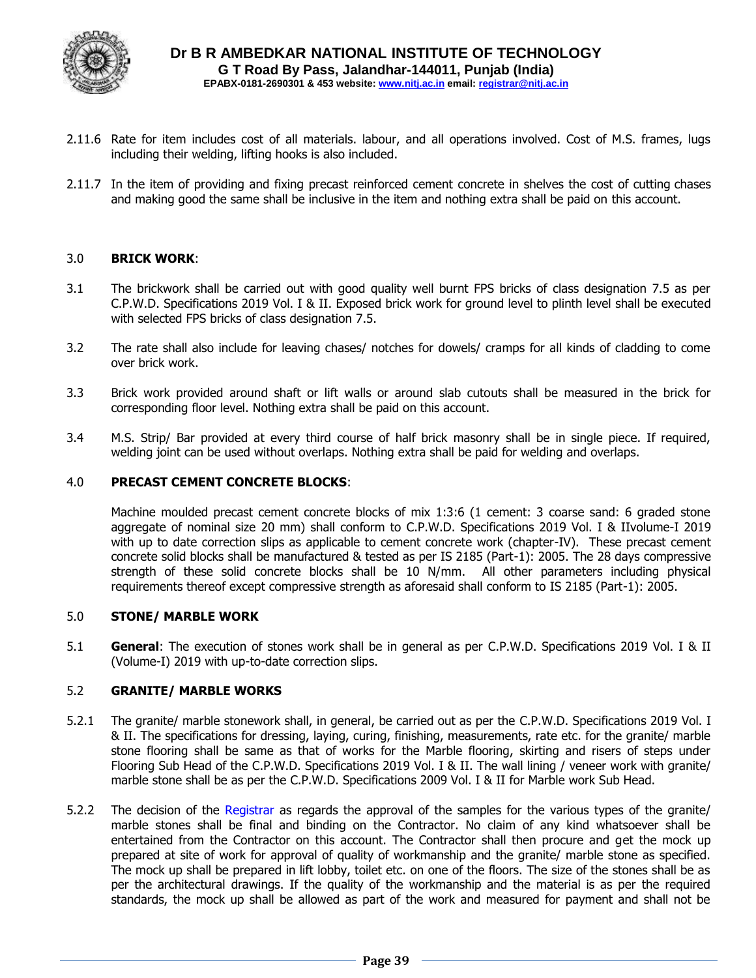

- 2.11.6 Rate for item includes cost of all materials. labour, and all operations involved. Cost of M.S. frames, lugs including their welding, lifting hooks is also included.
- 2.11.7 In the item of providing and fixing precast reinforced cement concrete in shelves the cost of cutting chases and making good the same shall be inclusive in the item and nothing extra shall be paid on this account.

#### 3.0 **BRICK WORK**:

- 3.1 The brickwork shall be carried out with good quality well burnt FPS bricks of class designation 7.5 as per C.P.W.D. Specifications 2019 Vol. I & II. Exposed brick work for ground level to plinth level shall be executed with selected FPS bricks of class designation 7.5.
- 3.2 The rate shall also include for leaving chases/ notches for dowels/ cramps for all kinds of cladding to come over brick work.
- 3.3 Brick work provided around shaft or lift walls or around slab cutouts shall be measured in the brick for corresponding floor level. Nothing extra shall be paid on this account.
- 3.4 M.S. Strip/ Bar provided at every third course of half brick masonry shall be in single piece. If required, welding joint can be used without overlaps. Nothing extra shall be paid for welding and overlaps.

#### 4.0 **PRECAST CEMENT CONCRETE BLOCKS**:

Machine moulded precast cement concrete blocks of mix 1:3:6 (1 cement: 3 coarse sand: 6 graded stone aggregate of nominal size 20 mm) shall conform to C.P.W.D. Specifications 2019 Vol. I & IIvolume-I 2019 with up to date correction slips as applicable to cement concrete work (chapter-IV). These precast cement concrete solid blocks shall be manufactured & tested as per IS 2185 (Part-1): 2005. The 28 days compressive strength of these solid concrete blocks shall be 10 N/mm. All other parameters including physical requirements thereof except compressive strength as aforesaid shall conform to IS 2185 (Part-1): 2005.

#### 5.0 **STONE/ MARBLE WORK**

5.1 **General**: The execution of stones work shall be in general as per C.P.W.D. Specifications 2019 Vol. I & II (Volume-I) 2019 with up-to-date correction slips.

#### 5.2 **GRANITE/ MARBLE WORKS**

- 5.2.1 The granite/ marble stonework shall, in general, be carried out as per the C.P.W.D. Specifications 2019 Vol. I & II. The specifications for dressing, laying, curing, finishing, measurements, rate etc. for the granite/ marble stone flooring shall be same as that of works for the Marble flooring, skirting and risers of steps under Flooring Sub Head of the C.P.W.D. Specifications 2019 Vol. I & II. The wall lining / veneer work with granite/ marble stone shall be as per the C.P.W.D. Specifications 2009 Vol. I & II for Marble work Sub Head.
- 5.2.2 The decision of the Registrar as regards the approval of the samples for the various types of the granite/ marble stones shall be final and binding on the Contractor. No claim of any kind whatsoever shall be entertained from the Contractor on this account. The Contractor shall then procure and get the mock up prepared at site of work for approval of quality of workmanship and the granite/ marble stone as specified. The mock up shall be prepared in lift lobby, toilet etc. on one of the floors. The size of the stones shall be as per the architectural drawings. If the quality of the workmanship and the material is as per the required standards, the mock up shall be allowed as part of the work and measured for payment and shall not be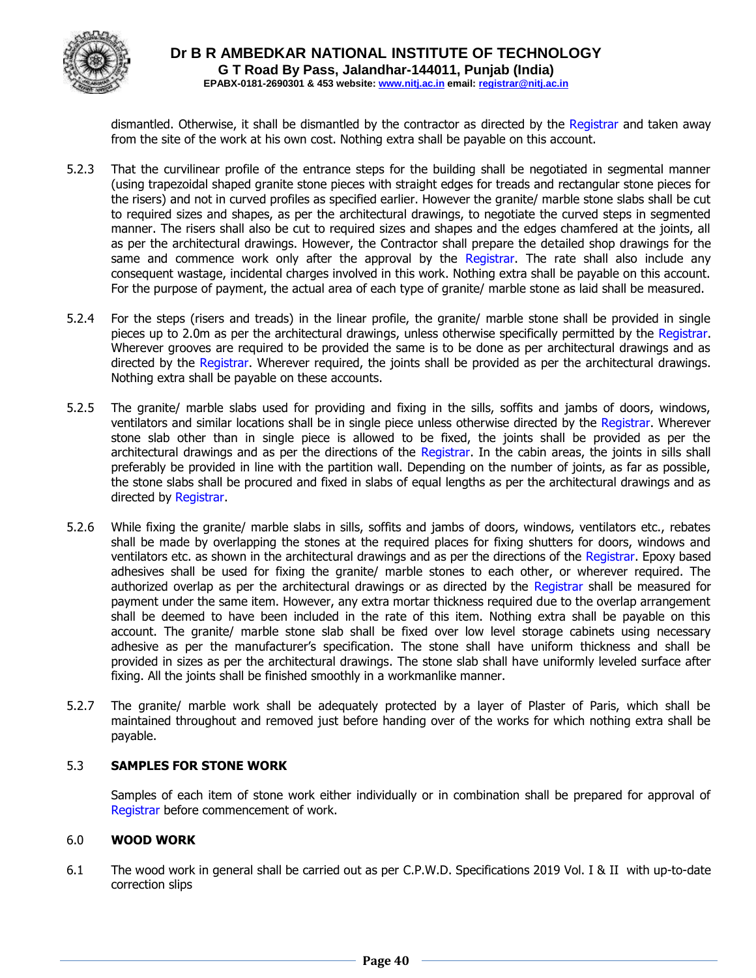

dismantled. Otherwise, it shall be dismantled by the contractor as directed by the Registrar and taken away from the site of the work at his own cost. Nothing extra shall be payable on this account.

- 5.2.3 That the curvilinear profile of the entrance steps for the building shall be negotiated in segmental manner (using trapezoidal shaped granite stone pieces with straight edges for treads and rectangular stone pieces for the risers) and not in curved profiles as specified earlier. However the granite/ marble stone slabs shall be cut to required sizes and shapes, as per the architectural drawings, to negotiate the curved steps in segmented manner. The risers shall also be cut to required sizes and shapes and the edges chamfered at the joints, all as per the architectural drawings. However, the Contractor shall prepare the detailed shop drawings for the same and commence work only after the approval by the Registrar. The rate shall also include any consequent wastage, incidental charges involved in this work. Nothing extra shall be payable on this account. For the purpose of payment, the actual area of each type of granite/ marble stone as laid shall be measured.
- 5.2.4 For the steps (risers and treads) in the linear profile, the granite/ marble stone shall be provided in single pieces up to 2.0m as per the architectural drawings, unless otherwise specifically permitted by the Registrar. Wherever grooves are required to be provided the same is to be done as per architectural drawings and as directed by the Registrar. Wherever required, the joints shall be provided as per the architectural drawings. Nothing extra shall be payable on these accounts.
- 5.2.5 The granite/ marble slabs used for providing and fixing in the sills, soffits and jambs of doors, windows, ventilators and similar locations shall be in single piece unless otherwise directed by the Registrar. Wherever stone slab other than in single piece is allowed to be fixed, the joints shall be provided as per the architectural drawings and as per the directions of the Registrar. In the cabin areas, the joints in sills shall preferably be provided in line with the partition wall. Depending on the number of joints, as far as possible, the stone slabs shall be procured and fixed in slabs of equal lengths as per the architectural drawings and as directed by Registrar.
- 5.2.6 While fixing the granite/ marble slabs in sills, soffits and jambs of doors, windows, ventilators etc., rebates shall be made by overlapping the stones at the required places for fixing shutters for doors, windows and ventilators etc. as shown in the architectural drawings and as per the directions of the Registrar. Epoxy based adhesives shall be used for fixing the granite/ marble stones to each other, or wherever required. The authorized overlap as per the architectural drawings or as directed by the Registrar shall be measured for payment under the same item. However, any extra mortar thickness required due to the overlap arrangement shall be deemed to have been included in the rate of this item. Nothing extra shall be payable on this account. The granite/ marble stone slab shall be fixed over low level storage cabinets using necessary adhesive as per the manufacturer's specification. The stone shall have uniform thickness and shall be provided in sizes as per the architectural drawings. The stone slab shall have uniformly leveled surface after fixing. All the joints shall be finished smoothly in a workmanlike manner.
- 5.2.7 The granite/ marble work shall be adequately protected by a layer of Plaster of Paris, which shall be maintained throughout and removed just before handing over of the works for which nothing extra shall be payable.

#### 5.3 **SAMPLES FOR STONE WORK**

Samples of each item of stone work either individually or in combination shall be prepared for approval of Registrar before commencement of work.

#### 6.0 **WOOD WORK**

6.1 The wood work in general shall be carried out as per C.P.W.D. Specifications 2019 Vol. I & II with up-to-date correction slips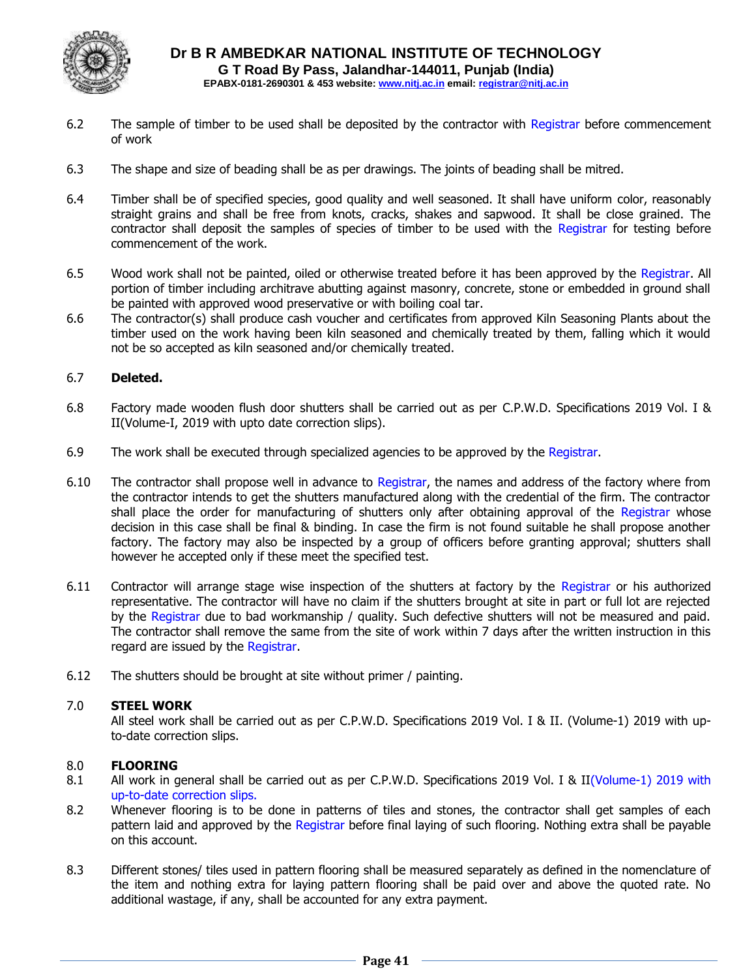

- 6.2 The sample of timber to be used shall be deposited by the contractor with Registrar before commencement of work
- 6.3 The shape and size of beading shall be as per drawings. The joints of beading shall be mitred.
- 6.4 Timber shall be of specified species, good quality and well seasoned. It shall have uniform color, reasonably straight grains and shall be free from knots, cracks, shakes and sapwood. It shall be close grained. The contractor shall deposit the samples of species of timber to be used with the Registrar for testing before commencement of the work.
- 6.5 Wood work shall not be painted, oiled or otherwise treated before it has been approved by the Registrar. All portion of timber including architrave abutting against masonry, concrete, stone or embedded in ground shall be painted with approved wood preservative or with boiling coal tar.
- 6.6 The contractor(s) shall produce cash voucher and certificates from approved Kiln Seasoning Plants about the timber used on the work having been kiln seasoned and chemically treated by them, falling which it would not be so accepted as kiln seasoned and/or chemically treated.

## 6.7 **Deleted.**

- 6.8 Factory made wooden flush door shutters shall be carried out as per C.P.W.D. Specifications 2019 Vol. I & II(Volume-I, 2019 with upto date correction slips).
- 6.9 The work shall be executed through specialized agencies to be approved by the Registrar.
- 6.10 The contractor shall propose well in advance to Registrar, the names and address of the factory where from the contractor intends to get the shutters manufactured along with the credential of the firm. The contractor shall place the order for manufacturing of shutters only after obtaining approval of the Registrar whose decision in this case shall be final & binding. In case the firm is not found suitable he shall propose another factory. The factory may also be inspected by a group of officers before granting approval; shutters shall however he accepted only if these meet the specified test.
- 6.11 Contractor will arrange stage wise inspection of the shutters at factory by the Registrar or his authorized representative. The contractor will have no claim if the shutters brought at site in part or full lot are rejected by the Registrar due to bad workmanship / quality. Such defective shutters will not be measured and paid. The contractor shall remove the same from the site of work within 7 days after the written instruction in this regard are issued by the Registrar.
- 6.12 The shutters should be brought at site without primer / painting.

#### 7.0 **STEEL WORK**

All steel work shall be carried out as per C.P.W.D. Specifications 2019 Vol. I & II. (Volume-1) 2019 with upto-date correction slips.

#### 8.0 **FLOORING**

- 8.1 All work in general shall be carried out as per C.P.W.D. Specifications 2019 Vol. I & II(Volume-1) 2019 with up-to-date correction slips.
- 8.2 Whenever flooring is to be done in patterns of tiles and stones, the contractor shall get samples of each pattern laid and approved by the Registrar before final laying of such flooring. Nothing extra shall be payable on this account.
- 8.3 Different stones/ tiles used in pattern flooring shall be measured separately as defined in the nomenclature of the item and nothing extra for laying pattern flooring shall be paid over and above the quoted rate. No additional wastage, if any, shall be accounted for any extra payment.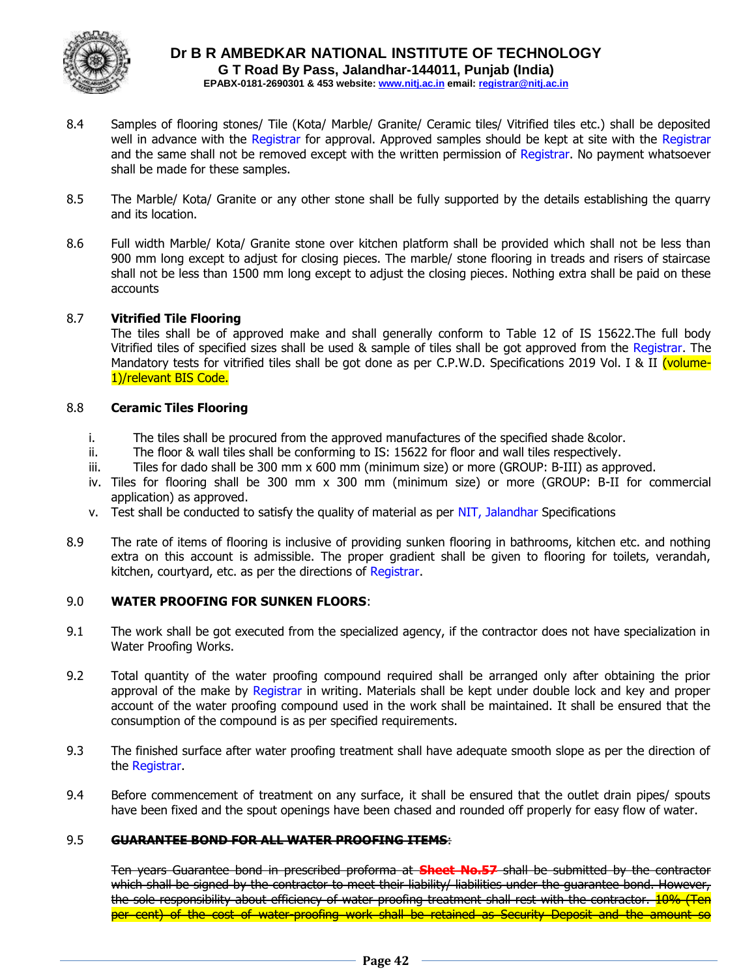

- 8.4 Samples of flooring stones/ Tile (Kota/ Marble/ Granite/ Ceramic tiles/ Vitrified tiles etc.) shall be deposited well in advance with the Registrar for approval. Approved samples should be kept at site with the Registrar and the same shall not be removed except with the written permission of Registrar. No payment whatsoever shall be made for these samples.
- 8.5 The Marble/ Kota/ Granite or any other stone shall be fully supported by the details establishing the quarry and its location.
- 8.6 Full width Marble/ Kota/ Granite stone over kitchen platform shall be provided which shall not be less than 900 mm long except to adjust for closing pieces. The marble/ stone flooring in treads and risers of staircase shall not be less than 1500 mm long except to adjust the closing pieces. Nothing extra shall be paid on these accounts

## 8.7 **Vitrified Tile Flooring**

The tiles shall be of approved make and shall generally conform to Table 12 of IS 15622.The full body Vitrified tiles of specified sizes shall be used & sample of tiles shall be got approved from the Registrar. The Mandatory tests for vitrified tiles shall be got done as per C.P.W.D. Specifications 2019 Vol. I & II (volume-1)/relevant BIS Code.

#### 8.8 **Ceramic Tiles Flooring**

- i. The tiles shall be procured from the approved manufactures of the specified shade &color.
- ii. The floor & wall tiles shall be conforming to IS: 15622 for floor and wall tiles respectively.
- iii. Tiles for dado shall be 300 mm x 600 mm (minimum size) or more (GROUP: B-III) as approved.
- iv. Tiles for flooring shall be 300 mm x 300 mm (minimum size) or more (GROUP: B-II for commercial application) as approved.
- v. Test shall be conducted to satisfy the quality of material as per NIT, Jalandhar Specifications
- 8.9 The rate of items of flooring is inclusive of providing sunken flooring in bathrooms, kitchen etc. and nothing extra on this account is admissible. The proper gradient shall be given to flooring for toilets, verandah, kitchen, courtyard, etc. as per the directions of Registrar.

#### 9.0 **WATER PROOFING FOR SUNKEN FLOORS**:

- 9.1 The work shall be got executed from the specialized agency, if the contractor does not have specialization in Water Proofing Works.
- 9.2 Total quantity of the water proofing compound required shall be arranged only after obtaining the prior approval of the make by Registrar in writing. Materials shall be kept under double lock and key and proper account of the water proofing compound used in the work shall be maintained. It shall be ensured that the consumption of the compound is as per specified requirements.
- 9.3 The finished surface after water proofing treatment shall have adequate smooth slope as per the direction of the Registrar.
- 9.4 Before commencement of treatment on any surface, it shall be ensured that the outlet drain pipes/ spouts have been fixed and the spout openings have been chased and rounded off properly for easy flow of water.

#### 9.5 **GUARANTEE BOND FOR ALL WATER PROOFING ITEMS**:

Ten years Guarantee bond in prescribed proforma at **Sheet No.57** shall be submitted by the contractor which shall be signed by the contractor to meet their liability/ liabilities under the guarantee bond. However, the sole responsibility about efficiency of water proofing treatment shall rest with the contractor. 10% (Ten per cent) of the cost of water-proofing work shall be retained as Security Deposit and the amount so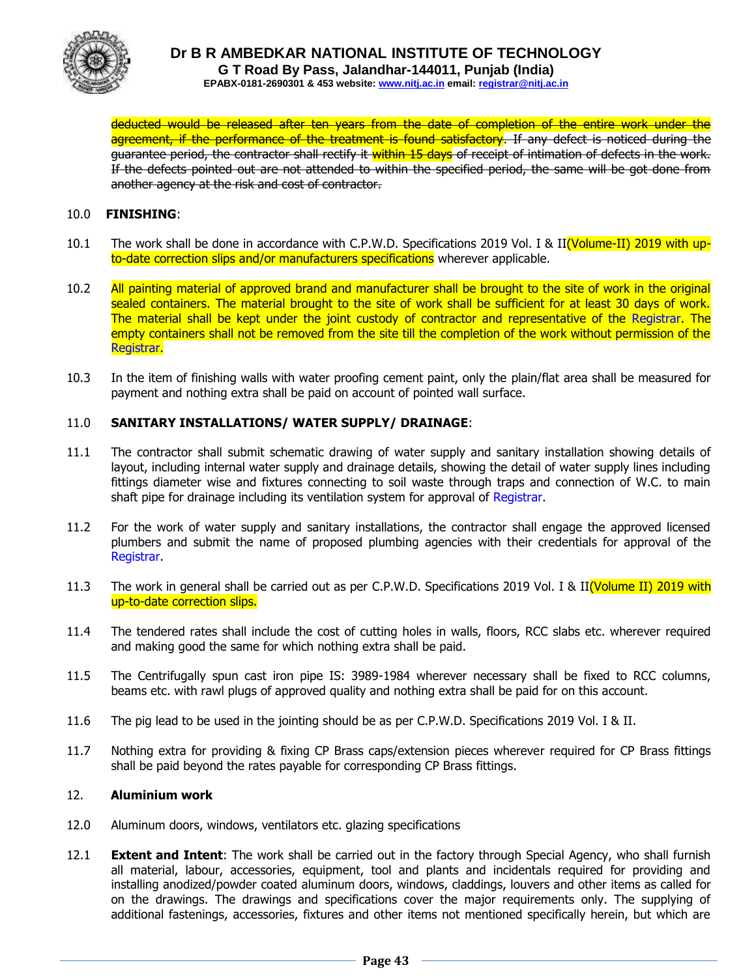

deducted would be released after ten years from the date of completion of the entire work under the agreement, if the performance of the treatment is found satisfactory. If any defect is noticed during the guarantee period, the contractor shall rectify it within 15 days of receipt of intimation of defects in the work. If the defects pointed out are not attended to within the specified period, the same will be got done from another agency at the risk and cost of contractor.

#### 10.0 **FINISHING**:

- 10.1 The work shall be done in accordance with C.P.W.D. Specifications 2019 Vol. I & II(Volume-II) 2019 with upto-date correction slips and/or manufacturers specifications wherever applicable.
- 10.2 All painting material of approved brand and manufacturer shall be brought to the site of work in the original sealed containers. The material brought to the site of work shall be sufficient for at least 30 days of work. The material shall be kept under the joint custody of contractor and representative of the Registrar. The empty containers shall not be removed from the site till the completion of the work without permission of the Registrar.
- 10.3 In the item of finishing walls with water proofing cement paint, only the plain/flat area shall be measured for payment and nothing extra shall be paid on account of pointed wall surface.

## 11.0 **SANITARY INSTALLATIONS/ WATER SUPPLY/ DRAINAGE**:

- 11.1 The contractor shall submit schematic drawing of water supply and sanitary installation showing details of layout, including internal water supply and drainage details, showing the detail of water supply lines including fittings diameter wise and fixtures connecting to soil waste through traps and connection of W.C. to main shaft pipe for drainage including its ventilation system for approval of Registrar.
- 11.2 For the work of water supply and sanitary installations, the contractor shall engage the approved licensed plumbers and submit the name of proposed plumbing agencies with their credentials for approval of the Registrar.
- 11.3 The work in general shall be carried out as per C.P.W.D. Specifications 2019 Vol. I & II(Volume II) 2019 with up-to-date correction slips.
- 11.4 The tendered rates shall include the cost of cutting holes in walls, floors, RCC slabs etc. wherever required and making good the same for which nothing extra shall be paid.
- 11.5 The Centrifugally spun cast iron pipe IS: 3989-1984 wherever necessary shall be fixed to RCC columns, beams etc. with rawl plugs of approved quality and nothing extra shall be paid for on this account.
- 11.6 The pig lead to be used in the jointing should be as per C.P.W.D. Specifications 2019 Vol. I & II.
- 11.7 Nothing extra for providing & fixing CP Brass caps/extension pieces wherever required for CP Brass fittings shall be paid beyond the rates payable for corresponding CP Brass fittings.

#### 12. **Aluminium work**

- 12.0 Aluminum doors, windows, ventilators etc. glazing specifications
- 12.1 **Extent and Intent**: The work shall be carried out in the factory through Special Agency, who shall furnish all material, labour, accessories, equipment, tool and plants and incidentals required for providing and installing anodized/powder coated aluminum doors, windows, claddings, louvers and other items as called for on the drawings. The drawings and specifications cover the major requirements only. The supplying of additional fastenings, accessories, fixtures and other items not mentioned specifically herein, but which are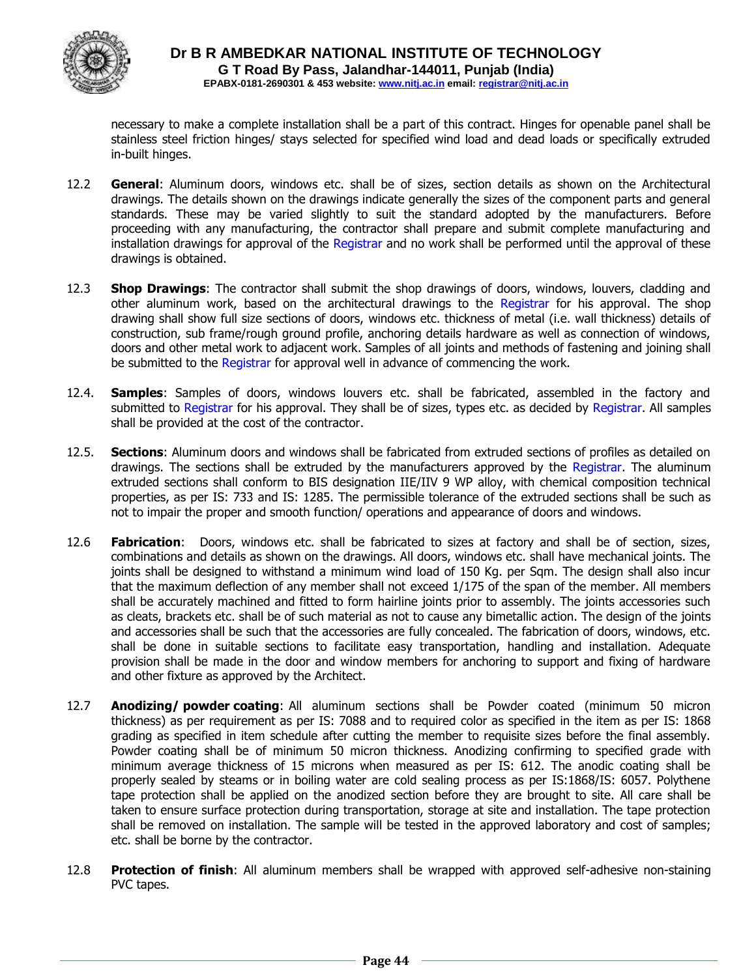

necessary to make a complete installation shall be a part of this contract. Hinges for openable panel shall be stainless steel friction hinges/ stays selected for specified wind load and dead loads or specifically extruded in-built hinges.

- 12.2 **General**: Aluminum doors, windows etc. shall be of sizes, section details as shown on the Architectural drawings. The details shown on the drawings indicate generally the sizes of the component parts and general standards. These may be varied slightly to suit the standard adopted by the manufacturers. Before proceeding with any manufacturing, the contractor shall prepare and submit complete manufacturing and installation drawings for approval of the Registrar and no work shall be performed until the approval of these drawings is obtained.
- 12.3 **Shop Drawings**: The contractor shall submit the shop drawings of doors, windows, louvers, cladding and other aluminum work, based on the architectural drawings to the Registrar for his approval. The shop drawing shall show full size sections of doors, windows etc. thickness of metal (i.e. wall thickness) details of construction, sub frame/rough ground profile, anchoring details hardware as well as connection of windows, doors and other metal work to adjacent work. Samples of all joints and methods of fastening and joining shall be submitted to the Registrar for approval well in advance of commencing the work.
- 12.4. **Samples**: Samples of doors, windows louvers etc. shall be fabricated, assembled in the factory and submitted to Registrar for his approval. They shall be of sizes, types etc. as decided by Registrar. All samples shall be provided at the cost of the contractor.
- 12.5. **Sections**: Aluminum doors and windows shall be fabricated from extruded sections of profiles as detailed on drawings. The sections shall be extruded by the manufacturers approved by the Registrar. The aluminum extruded sections shall conform to BIS designation IIE/IIV 9 WP alloy, with chemical composition technical properties, as per IS: 733 and IS: 1285. The permissible tolerance of the extruded sections shall be such as not to impair the proper and smooth function/ operations and appearance of doors and windows.
- 12.6 **Fabrication**: Doors, windows etc. shall be fabricated to sizes at factory and shall be of section, sizes, combinations and details as shown on the drawings. All doors, windows etc. shall have mechanical joints. The joints shall be designed to withstand a minimum wind load of 150 Kg. per Sqm. The design shall also incur that the maximum deflection of any member shall not exceed 1/175 of the span of the member. All members shall be accurately machined and fitted to form hairline joints prior to assembly. The joints accessories such as cleats, brackets etc. shall be of such material as not to cause any bimetallic action. The design of the joints and accessories shall be such that the accessories are fully concealed. The fabrication of doors, windows, etc. shall be done in suitable sections to facilitate easy transportation, handling and installation. Adequate provision shall be made in the door and window members for anchoring to support and fixing of hardware and other fixture as approved by the Architect.
- 12.7 **Anodizing/ powder coating**: All aluminum sections shall be Powder coated (minimum 50 micron thickness) as per requirement as per IS: 7088 and to required color as specified in the item as per IS: 1868 grading as specified in item schedule after cutting the member to requisite sizes before the final assembly. Powder coating shall be of minimum 50 micron thickness. Anodizing confirming to specified grade with minimum average thickness of 15 microns when measured as per IS: 612. The anodic coating shall be properly sealed by steams or in boiling water are cold sealing process as per IS:1868/IS: 6057. Polythene tape protection shall be applied on the anodized section before they are brought to site. All care shall be taken to ensure surface protection during transportation, storage at site and installation. The tape protection shall be removed on installation. The sample will be tested in the approved laboratory and cost of samples; etc. shall be borne by the contractor.
- 12.8 **Protection of finish**: All aluminum members shall be wrapped with approved self-adhesive non-staining PVC tapes.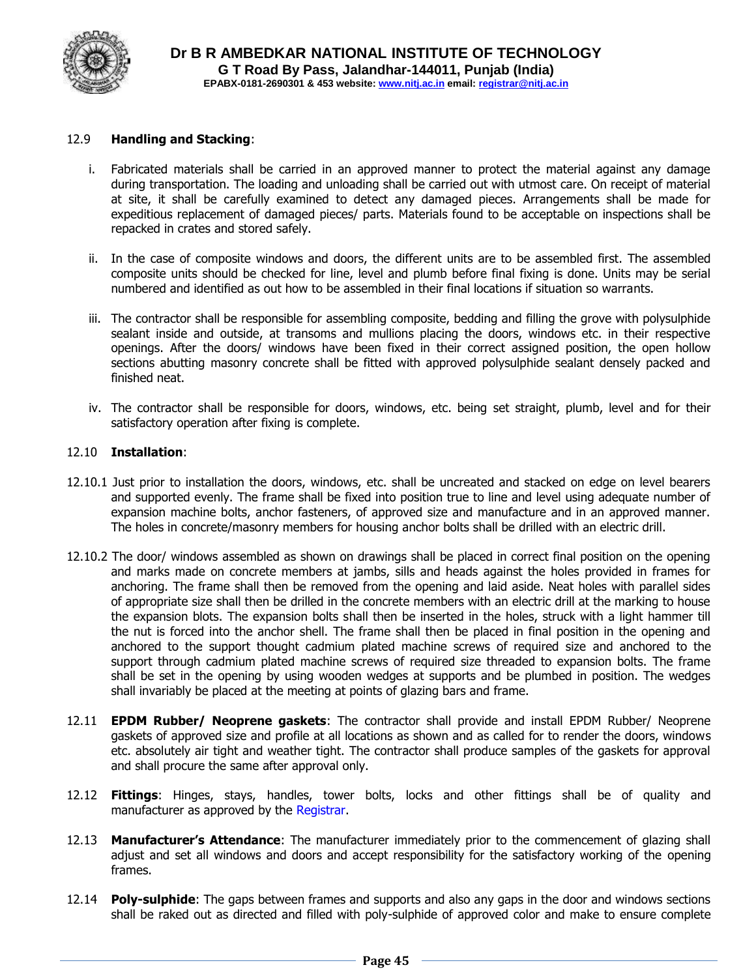

#### 12.9 **Handling and Stacking**:

- i. Fabricated materials shall be carried in an approved manner to protect the material against any damage during transportation. The loading and unloading shall be carried out with utmost care. On receipt of material at site, it shall be carefully examined to detect any damaged pieces. Arrangements shall be made for expeditious replacement of damaged pieces/ parts. Materials found to be acceptable on inspections shall be repacked in crates and stored safely.
- ii. In the case of composite windows and doors, the different units are to be assembled first. The assembled composite units should be checked for line, level and plumb before final fixing is done. Units may be serial numbered and identified as out how to be assembled in their final locations if situation so warrants.
- iii. The contractor shall be responsible for assembling composite, bedding and filling the grove with polysulphide sealant inside and outside, at transoms and mullions placing the doors, windows etc. in their respective openings. After the doors/ windows have been fixed in their correct assigned position, the open hollow sections abutting masonry concrete shall be fitted with approved polysulphide sealant densely packed and finished neat.
- iv. The contractor shall be responsible for doors, windows, etc. being set straight, plumb, level and for their satisfactory operation after fixing is complete.

#### 12.10 **Installation**:

- 12.10.1 Just prior to installation the doors, windows, etc. shall be uncreated and stacked on edge on level bearers and supported evenly. The frame shall be fixed into position true to line and level using adequate number of expansion machine bolts, anchor fasteners, of approved size and manufacture and in an approved manner. The holes in concrete/masonry members for housing anchor bolts shall be drilled with an electric drill.
- 12.10.2 The door/ windows assembled as shown on drawings shall be placed in correct final position on the opening and marks made on concrete members at jambs, sills and heads against the holes provided in frames for anchoring. The frame shall then be removed from the opening and laid aside. Neat holes with parallel sides of appropriate size shall then be drilled in the concrete members with an electric drill at the marking to house the expansion blots. The expansion bolts shall then be inserted in the holes, struck with a light hammer till the nut is forced into the anchor shell. The frame shall then be placed in final position in the opening and anchored to the support thought cadmium plated machine screws of required size and anchored to the support through cadmium plated machine screws of required size threaded to expansion bolts. The frame shall be set in the opening by using wooden wedges at supports and be plumbed in position. The wedges shall invariably be placed at the meeting at points of glazing bars and frame.
- 12.11 **EPDM Rubber/ Neoprene gaskets**: The contractor shall provide and install EPDM Rubber/ Neoprene gaskets of approved size and profile at all locations as shown and as called for to render the doors, windows etc. absolutely air tight and weather tight. The contractor shall produce samples of the gaskets for approval and shall procure the same after approval only.
- 12.12 **Fittings**: Hinges, stays, handles, tower bolts, locks and other fittings shall be of quality and manufacturer as approved by the Registrar.
- 12.13 **Manufacturer's Attendance**: The manufacturer immediately prior to the commencement of glazing shall adjust and set all windows and doors and accept responsibility for the satisfactory working of the opening frames.
- 12.14 **Poly-sulphide**: The gaps between frames and supports and also any gaps in the door and windows sections shall be raked out as directed and filled with poly-sulphide of approved color and make to ensure complete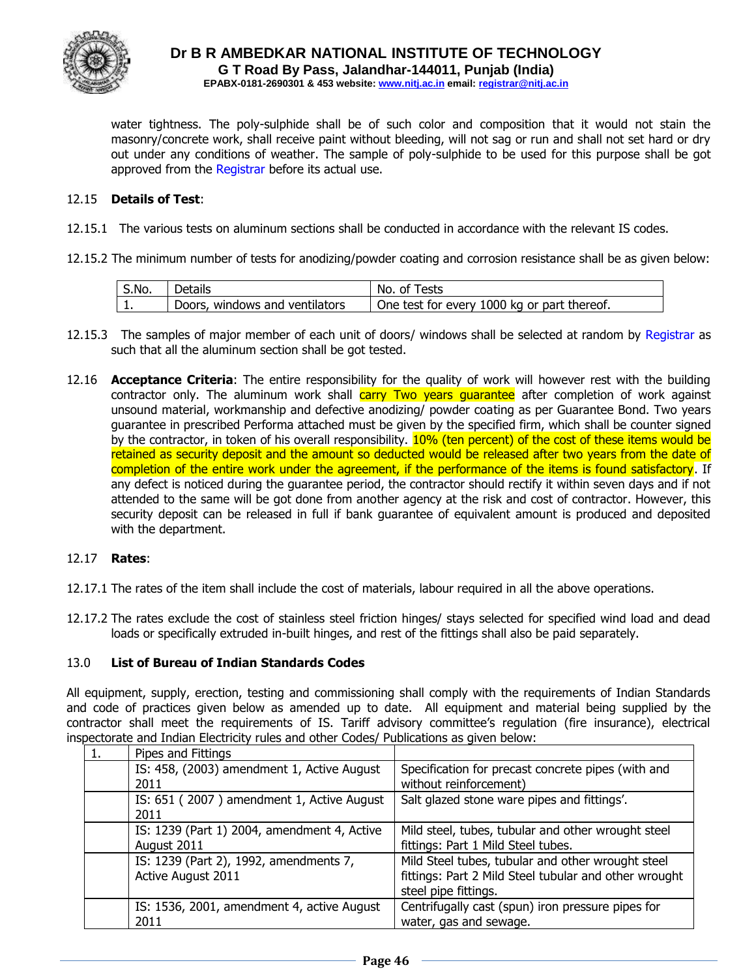

water tightness. The poly-sulphide shall be of such color and composition that it would not stain the masonry/concrete work, shall receive paint without bleeding, will not sag or run and shall not set hard or dry out under any conditions of weather. The sample of poly-sulphide to be used for this purpose shall be got approved from the Registrar before its actual use.

#### 12.15 **Details of Test**:

- 12.15.1 The various tests on aluminum sections shall be conducted in accordance with the relevant IS codes.
- 12.15.2 The minimum number of tests for anodizing/powder coating and corrosion resistance shall be as given below:

| S.No. | Details                        | No. of Tests                                |
|-------|--------------------------------|---------------------------------------------|
|       | Doors, windows and ventilators | One test for every 1000 kg or part thereof. |

- 12.15.3 The samples of major member of each unit of doors/ windows shall be selected at random by Registrar as such that all the aluminum section shall be got tested.
- 12.16 **Acceptance Criteria**: The entire responsibility for the quality of work will however rest with the building contractor only. The aluminum work shall carry Two years quarantee after completion of work against unsound material, workmanship and defective anodizing/ powder coating as per Guarantee Bond. Two years guarantee in prescribed Performa attached must be given by the specified firm, which shall be counter signed by the contractor, in token of his overall responsibility. 10% (ten percent) of the cost of these items would be retained as security deposit and the amount so deducted would be released after two years from the date of completion of the entire work under the agreement, if the performance of the items is found satisfactory. If any defect is noticed during the guarantee period, the contractor should rectify it within seven days and if not attended to the same will be got done from another agency at the risk and cost of contractor. However, this security deposit can be released in full if bank guarantee of equivalent amount is produced and deposited with the department.

#### 12.17 **Rates**:

- 12.17.1 The rates of the item shall include the cost of materials, labour required in all the above operations.
- 12.17.2 The rates exclude the cost of stainless steel friction hinges/ stays selected for specified wind load and dead loads or specifically extruded in-built hinges, and rest of the fittings shall also be paid separately.

#### 13.0 **List of Bureau of Indian Standards Codes**

All equipment, supply, erection, testing and commissioning shall comply with the requirements of Indian Standards and code of practices given below as amended up to date. All equipment and material being supplied by the contractor shall meet the requirements of IS. Tariff advisory committee's regulation (fire insurance), electrical inspectorate and Indian Electricity rules and other Codes/ Publications as given below:

| Pipes and Fittings                          |                                                       |
|---------------------------------------------|-------------------------------------------------------|
| IS: 458, (2003) amendment 1, Active August  | Specification for precast concrete pipes (with and    |
| 2011                                        | without reinforcement)                                |
| IS: 651 (2007) amendment 1, Active August   | Salt glazed stone ware pipes and fittings'.           |
| 2011                                        |                                                       |
| IS: 1239 (Part 1) 2004, amendment 4, Active | Mild steel, tubes, tubular and other wrought steel    |
| August 2011                                 | fittings: Part 1 Mild Steel tubes.                    |
| IS: 1239 (Part 2), 1992, amendments 7,      | Mild Steel tubes, tubular and other wrought steel     |
| Active August 2011                          | fittings: Part 2 Mild Steel tubular and other wrought |
|                                             | steel pipe fittings.                                  |
| IS: 1536, 2001, amendment 4, active August  | Centrifugally cast (spun) iron pressure pipes for     |
| 2011                                        | water, gas and sewage.                                |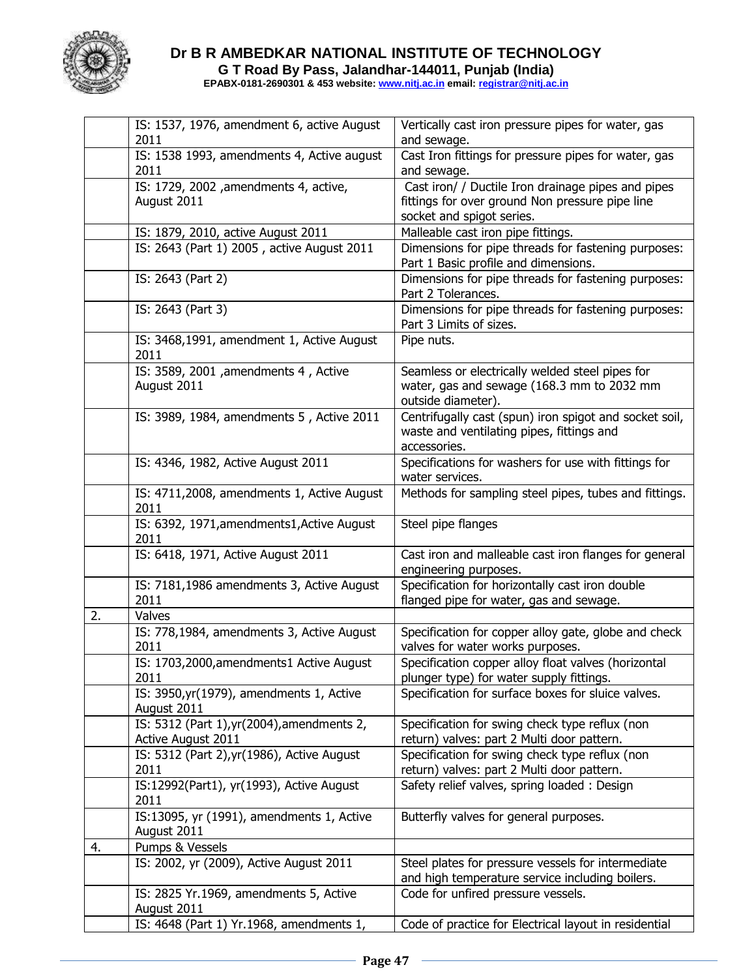

## **Dr B R AMBEDKAR NATIONAL INSTITUTE OF TECHNOLOGY G T Road By Pass, Jalandhar-144011, Punjab (India)**

**EPABX-0181-2690301 & 453 website: www.nitj.ac.in email: registrar@nitj.ac.in**

|    | IS: 1537, 1976, amendment 6, active August               | Vertically cast iron pressure pipes for water, gas                                                                  |
|----|----------------------------------------------------------|---------------------------------------------------------------------------------------------------------------------|
|    | 2011                                                     | and sewage.                                                                                                         |
|    | IS: 1538 1993, amendments 4, Active august<br>2011       | Cast Iron fittings for pressure pipes for water, gas<br>and sewage.                                                 |
|    | IS: 1729, 2002 , amendments 4, active,                   | Cast iron/ / Ductile Iron drainage pipes and pipes                                                                  |
|    | August 2011                                              | fittings for over ground Non pressure pipe line                                                                     |
|    |                                                          | socket and spigot series.                                                                                           |
|    | IS: 1879, 2010, active August 2011                       | Malleable cast iron pipe fittings.                                                                                  |
|    | IS: 2643 (Part 1) 2005, active August 2011               | Dimensions for pipe threads for fastening purposes:                                                                 |
|    |                                                          | Part 1 Basic profile and dimensions.                                                                                |
|    | IS: 2643 (Part 2)                                        | Dimensions for pipe threads for fastening purposes:<br>Part 2 Tolerances.                                           |
|    | IS: 2643 (Part 3)                                        | Dimensions for pipe threads for fastening purposes:<br>Part 3 Limits of sizes.                                      |
|    | IS: 3468,1991, amendment 1, Active August<br>2011        | Pipe nuts.                                                                                                          |
|    | IS: 3589, 2001 , amendments 4, Active                    | Seamless or electrically welded steel pipes for                                                                     |
|    | August 2011                                              | water, gas and sewage (168.3 mm to 2032 mm<br>outside diameter).                                                    |
|    | IS: 3989, 1984, amendments 5, Active 2011                | Centrifugally cast (spun) iron spigot and socket soil,<br>waste and ventilating pipes, fittings and<br>accessories. |
|    | IS: 4346, 1982, Active August 2011                       | Specifications for washers for use with fittings for<br>water services.                                             |
|    | IS: 4711,2008, amendments 1, Active August<br>2011       | Methods for sampling steel pipes, tubes and fittings.                                                               |
|    | IS: 6392, 1971, amendments1, Active August<br>2011       | Steel pipe flanges                                                                                                  |
|    | IS: 6418, 1971, Active August 2011                       | Cast iron and malleable cast iron flanges for general<br>engineering purposes.                                      |
|    | IS: 7181,1986 amendments 3, Active August                | Specification for horizontally cast iron double                                                                     |
|    | 2011                                                     | flanged pipe for water, gas and sewage.                                                                             |
| 2. | Valves                                                   |                                                                                                                     |
|    | IS: 778,1984, amendments 3, Active August<br>2011        | Specification for copper alloy gate, globe and check<br>valves for water works purposes.                            |
|    | IS: 1703,2000, amendments 1 Active August                | Specification copper alloy float valves (horizontal                                                                 |
|    | 2011                                                     | plunger type) for water supply fittings.                                                                            |
|    | IS: 3950, yr(1979), amendments 1, Active<br>August 2011  | Specification for surface boxes for sluice valves.                                                                  |
|    | IS: 5312 (Part 1), yr (2004), amendments 2,              | Specification for swing check type reflux (non                                                                      |
|    | Active August 2011                                       | return) valves: part 2 Multi door pattern.                                                                          |
|    | IS: 5312 (Part 2), yr(1986), Active August               | Specification for swing check type reflux (non                                                                      |
|    | 2011                                                     | return) valves: part 2 Multi door pattern.                                                                          |
|    | IS:12992(Part1), yr(1993), Active August<br>2011         | Safety relief valves, spring loaded: Design                                                                         |
|    | IS:13095, yr (1991), amendments 1, Active<br>August 2011 | Butterfly valves for general purposes.                                                                              |
| 4. | Pumps & Vessels                                          |                                                                                                                     |
|    | IS: 2002, yr (2009), Active August 2011                  | Steel plates for pressure vessels for intermediate<br>and high temperature service including boilers.               |
|    | IS: 2825 Yr.1969, amendments 5, Active                   | Code for unfired pressure vessels.                                                                                  |
|    | August 2011                                              |                                                                                                                     |
|    | IS: 4648 (Part 1) Yr.1968, amendments 1,                 | Code of practice for Electrical layout in residential                                                               |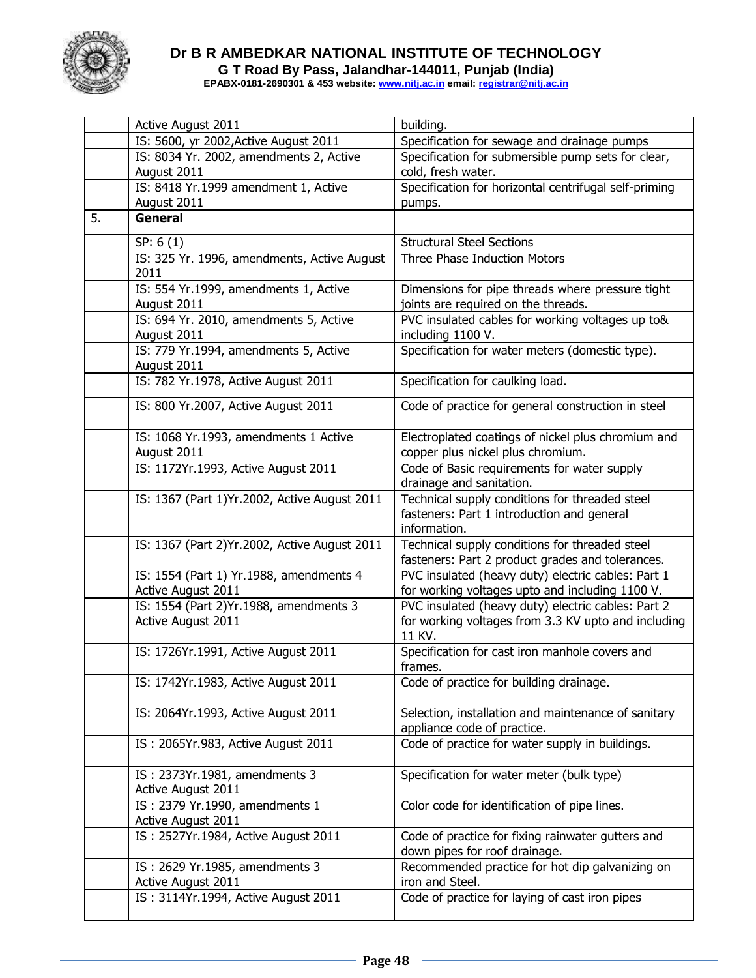

## **Dr B R AMBEDKAR NATIONAL INSTITUTE OF TECHNOLOGY G T Road By Pass, Jalandhar-144011, Punjab (India)**

**EPABX-0181-2690301 & 453 website: www.nitj.ac.in email: registrar@nitj.ac.in**

|    | Active August 2011                                             | building.                                                                                                           |  |  |  |  |
|----|----------------------------------------------------------------|---------------------------------------------------------------------------------------------------------------------|--|--|--|--|
|    | IS: 5600, yr 2002, Active August 2011                          | Specification for sewage and drainage pumps                                                                         |  |  |  |  |
|    | IS: 8034 Yr. 2002, amendments 2, Active<br>August 2011         | Specification for submersible pump sets for clear,<br>cold, fresh water.                                            |  |  |  |  |
|    | IS: 8418 Yr.1999 amendment 1, Active                           | Specification for horizontal centrifugal self-priming                                                               |  |  |  |  |
|    | August 2011                                                    | pumps.                                                                                                              |  |  |  |  |
| 5. | <b>General</b>                                                 |                                                                                                                     |  |  |  |  |
|    |                                                                |                                                                                                                     |  |  |  |  |
|    | SP: 6(1)                                                       | <b>Structural Steel Sections</b>                                                                                    |  |  |  |  |
|    | IS: 325 Yr. 1996, amendments, Active August<br>2011            | Three Phase Induction Motors                                                                                        |  |  |  |  |
|    | IS: 554 Yr.1999, amendments 1, Active<br>August 2011           | Dimensions for pipe threads where pressure tight<br>joints are required on the threads.                             |  |  |  |  |
|    | IS: 694 Yr. 2010, amendments 5, Active<br>August 2011          | PVC insulated cables for working voltages up to&<br>including 1100 V.                                               |  |  |  |  |
|    | IS: 779 Yr.1994, amendments 5, Active<br>August 2011           | Specification for water meters (domestic type).                                                                     |  |  |  |  |
|    | IS: 782 Yr.1978, Active August 2011                            | Specification for caulking load.                                                                                    |  |  |  |  |
|    | IS: 800 Yr.2007, Active August 2011                            | Code of practice for general construction in steel                                                                  |  |  |  |  |
|    | IS: 1068 Yr.1993, amendments 1 Active<br>August 2011           | Electroplated coatings of nickel plus chromium and<br>copper plus nickel plus chromium.                             |  |  |  |  |
|    | IS: 1172Yr.1993, Active August 2011                            | Code of Basic requirements for water supply<br>drainage and sanitation.                                             |  |  |  |  |
|    | IS: 1367 (Part 1) Yr. 2002, Active August 2011                 | Technical supply conditions for threaded steel<br>fasteners: Part 1 introduction and general<br>information.        |  |  |  |  |
|    | IS: 1367 (Part 2) Yr. 2002, Active August 2011                 | Technical supply conditions for threaded steel<br>fasteners: Part 2 product grades and tolerances.                  |  |  |  |  |
|    | IS: 1554 (Part 1) Yr.1988, amendments 4<br>Active August 2011  | PVC insulated (heavy duty) electric cables: Part 1<br>for working voltages upto and including 1100 V.               |  |  |  |  |
|    | IS: 1554 (Part 2) Yr. 1988, amendments 3<br>Active August 2011 | PVC insulated (heavy duty) electric cables: Part 2<br>for working voltages from 3.3 KV upto and including<br>11 KV. |  |  |  |  |
|    | IS: 1726Yr.1991, Active August 2011                            | Specification for cast iron manhole covers and<br>frames.                                                           |  |  |  |  |
|    | IS: 1742Yr.1983, Active August 2011                            | Code of practice for building drainage.                                                                             |  |  |  |  |
|    | IS: 2064Yr.1993, Active August 2011                            | Selection, installation and maintenance of sanitary<br>appliance code of practice.                                  |  |  |  |  |
|    | IS: 2065Yr.983, Active August 2011                             | Code of practice for water supply in buildings.                                                                     |  |  |  |  |
|    | IS: 2373Yr.1981, amendments 3<br>Active August 2011            | Specification for water meter (bulk type)                                                                           |  |  |  |  |
|    | IS: 2379 Yr.1990, amendments 1<br>Active August 2011           | Color code for identification of pipe lines.                                                                        |  |  |  |  |
|    | IS: 2527Yr.1984, Active August 2011                            | Code of practice for fixing rainwater gutters and<br>down pipes for roof drainage.                                  |  |  |  |  |
|    | IS: 2629 Yr.1985, amendments 3<br>Active August 2011           | Recommended practice for hot dip galvanizing on<br>iron and Steel.                                                  |  |  |  |  |
|    | IS: 3114Yr.1994, Active August 2011                            | Code of practice for laying of cast iron pipes                                                                      |  |  |  |  |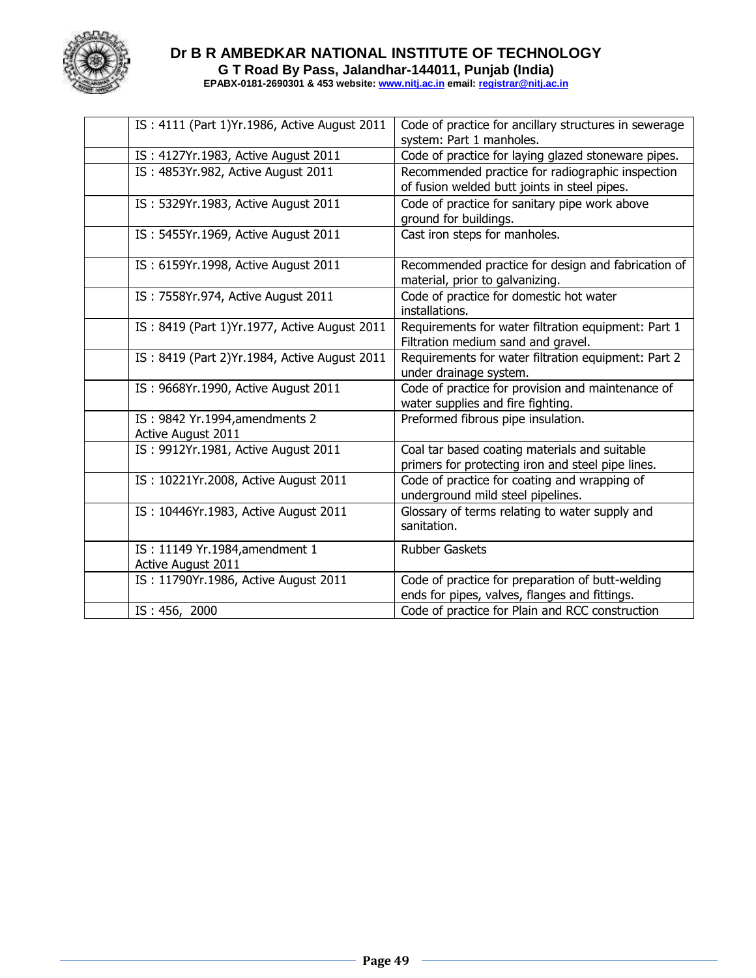

| IS: 4111 (Part 1) Yr. 1986, Active August 2011       | Code of practice for ancillary structures in sewerage<br>system: Part 1 manholes.                  |  |  |
|------------------------------------------------------|----------------------------------------------------------------------------------------------------|--|--|
| IS: 4127Yr.1983, Active August 2011                  | Code of practice for laying glazed stoneware pipes.                                                |  |  |
| IS: 4853Yr.982, Active August 2011                   | Recommended practice for radiographic inspection<br>of fusion welded butt joints in steel pipes.   |  |  |
| IS: 5329Yr.1983, Active August 2011                  | Code of practice for sanitary pipe work above<br>ground for buildings.                             |  |  |
| IS: 5455Yr.1969, Active August 2011                  | Cast iron steps for manholes.                                                                      |  |  |
| IS: 6159Yr.1998, Active August 2011                  | Recommended practice for design and fabrication of<br>material, prior to galvanizing.              |  |  |
| IS: 7558Yr.974, Active August 2011                   | Code of practice for domestic hot water<br>installations.                                          |  |  |
| IS: 8419 (Part 1) Yr. 1977, Active August 2011       | Requirements for water filtration equipment: Part 1<br>Filtration medium sand and gravel.          |  |  |
| IS: 8419 (Part 2) Yr. 1984, Active August 2011       | Requirements for water filtration equipment: Part 2<br>under drainage system.                      |  |  |
| IS: 9668Yr.1990, Active August 2011                  | Code of practice for provision and maintenance of<br>water supplies and fire fighting.             |  |  |
| IS: 9842 Yr.1994, amendments 2<br>Active August 2011 | Preformed fibrous pipe insulation.                                                                 |  |  |
| IS: 9912Yr.1981, Active August 2011                  | Coal tar based coating materials and suitable<br>primers for protecting iron and steel pipe lines. |  |  |
| IS: 10221Yr.2008, Active August 2011                 | Code of practice for coating and wrapping of<br>underground mild steel pipelines.                  |  |  |
| IS: 10446Yr.1983, Active August 2011                 | Glossary of terms relating to water supply and<br>sanitation.                                      |  |  |
| IS: 11149 Yr.1984, amendment 1<br>Active August 2011 | <b>Rubber Gaskets</b>                                                                              |  |  |
| IS: 11790Yr.1986, Active August 2011                 | Code of practice for preparation of butt-welding<br>ends for pipes, valves, flanges and fittings.  |  |  |
| IS: 456, 2000                                        | Code of practice for Plain and RCC construction                                                    |  |  |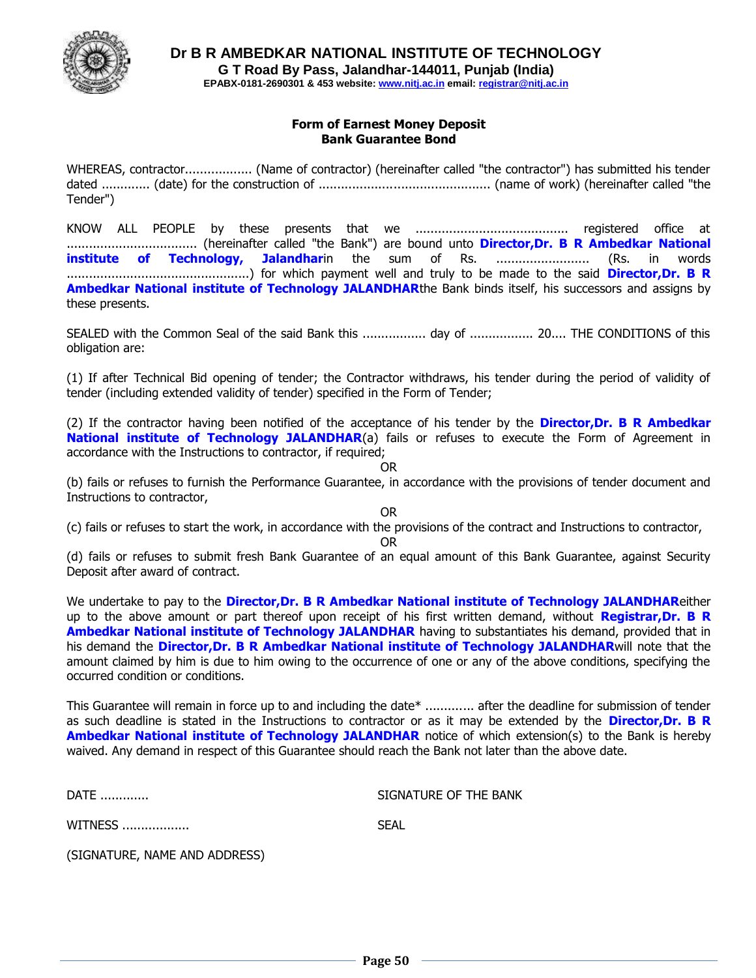

#### **Form of Earnest Money Deposit Bank Guarantee Bond**

WHEREAS, contractor.................. (Name of contractor) (hereinafter called "the contractor") has submitted his tender dated ............. (date) for the construction of .............................................. (name of work) (hereinafter called "the Tender")

KNOW ALL PEOPLE by these presents that we ......................................... registered office at ................................... (hereinafter called "the Bank") are bound unto **Director,Dr. B R Ambedkar National institute of Technology, Jalandhar**in the sum of Rs. ......................... (Rs. in words .................................................) for which payment well and truly to be made to the said **Director,Dr. B R Ambedkar National institute of Technology JALANDHAR**the Bank binds itself, his successors and assigns by these presents.

SEALED with the Common Seal of the said Bank this ................. day of ................. 20.... THE CONDITIONS of this obligation are:

(1) If after Technical Bid opening of tender; the Contractor withdraws, his tender during the period of validity of tender (including extended validity of tender) specified in the Form of Tender;

(2) If the contractor having been notified of the acceptance of his tender by the **Director,Dr. B R Ambedkar National institute of Technology JALANDHAR(a)** fails or refuses to execute the Form of Agreement in accordance with the Instructions to contractor, if required;

OR

(b) fails or refuses to furnish the Performance Guarantee, in accordance with the provisions of tender document and Instructions to contractor,

OR

(c) fails or refuses to start the work, in accordance with the provisions of the contract and Instructions to contractor,

OR

(d) fails or refuses to submit fresh Bank Guarantee of an equal amount of this Bank Guarantee, against Security Deposit after award of contract.

We undertake to pay to the **Director,Dr. B R Ambedkar National institute of Technology JALANDHAR**either up to the above amount or part thereof upon receipt of his first written demand, without **Registrar,Dr. B R Ambedkar National institute of Technology JALANDHAR** having to substantiates his demand, provided that in his demand the **Director,Dr. B R Ambedkar National institute of Technology JALANDHAR**will note that the amount claimed by him is due to him owing to the occurrence of one or any of the above conditions, specifying the occurred condition or conditions.

This Guarantee will remain in force up to and including the date\* .............. after the deadline for submission of tender as such deadline is stated in the Instructions to contractor or as it may be extended by the **Director,Dr. B R Ambedkar National institute of Technology JALANDHAR** notice of which extension(s) to the Bank is hereby waived. Any demand in respect of this Guarantee should reach the Bank not later than the above date.

DATE ............. SIGNATURE OF THE BANK

WITNESS .................. SEAL

(SIGNATURE, NAME AND ADDRESS)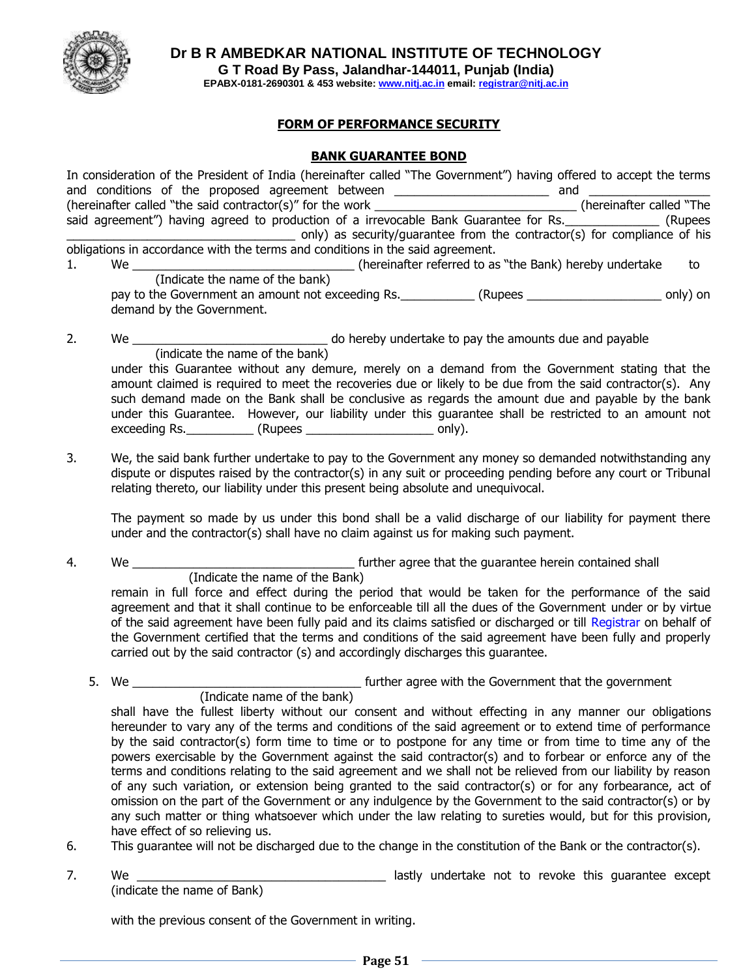

**Dr B R AMBEDKAR NATIONAL INSTITUTE OF TECHNOLOGY**

**G T Road By Pass, Jalandhar-144011, Punjab (India)**

**EPABX-0181-2690301 & 453 website: www.nitj.ac.in email: registrar@nitj.ac.in**

## **FORM OF PERFORMANCE SECURITY**

## **BANK GUARANTEE BOND**

|    |                                 | In consideration of the President of India (hereinafter called "The Government") having offered to accept the terms<br>and conditions of the proposed agreement between ________________________________ and<br>(hereinafter called "the said contractor(s)" for the work ____________________________(hereinafter called "The<br>said agreement") having agreed to production of a irrevocable Bank Guarantee for Rs. ______________ (Rupees<br>only) as security/guarantee from the contractor(s) for compliance of his |  |          |  |  |  |
|----|---------------------------------|---------------------------------------------------------------------------------------------------------------------------------------------------------------------------------------------------------------------------------------------------------------------------------------------------------------------------------------------------------------------------------------------------------------------------------------------------------------------------------------------------------------------------|--|----------|--|--|--|
|    |                                 | obligations in accordance with the terms and conditions in the said agreement.                                                                                                                                                                                                                                                                                                                                                                                                                                            |  |          |  |  |  |
|    |                                 |                                                                                                                                                                                                                                                                                                                                                                                                                                                                                                                           |  |          |  |  |  |
| 1. | to                              |                                                                                                                                                                                                                                                                                                                                                                                                                                                                                                                           |  |          |  |  |  |
|    | (Indicate the name of the bank) |                                                                                                                                                                                                                                                                                                                                                                                                                                                                                                                           |  |          |  |  |  |
|    |                                 | pay to the Government an amount not exceeding Rs. _____________(Rupees ________________                                                                                                                                                                                                                                                                                                                                                                                                                                   |  | only) on |  |  |  |
|    | demand by the Government.       |                                                                                                                                                                                                                                                                                                                                                                                                                                                                                                                           |  |          |  |  |  |
| 2. | We $\qquad \qquad \qquad$       | do hereby undertake to pay the amounts due and payable                                                                                                                                                                                                                                                                                                                                                                                                                                                                    |  |          |  |  |  |
|    | (indicate the name of the bank) |                                                                                                                                                                                                                                                                                                                                                                                                                                                                                                                           |  |          |  |  |  |
|    |                                 | under this Guarantee without any demure, merely on a demand from the Government stating that the                                                                                                                                                                                                                                                                                                                                                                                                                          |  |          |  |  |  |
|    |                                 | amount claimed is required to meet the recoveries due or likely to be due from the said contractor(s). Any                                                                                                                                                                                                                                                                                                                                                                                                                |  |          |  |  |  |
|    |                                 |                                                                                                                                                                                                                                                                                                                                                                                                                                                                                                                           |  |          |  |  |  |
|    |                                 | such demand made on the Bank shall be conclusive as regards the amount due and payable by the bank                                                                                                                                                                                                                                                                                                                                                                                                                        |  |          |  |  |  |

3. We, the said bank further undertake to pay to the Government any money so demanded notwithstanding any dispute or disputes raised by the contractor(s) in any suit or proceeding pending before any court or Tribunal relating thereto, our liability under this present being absolute and unequivocal.

The payment so made by us under this bond shall be a valid discharge of our liability for payment there under and the contractor(s) shall have no claim against us for making such payment.

under this Guarantee. However, our liability under this guarantee shall be restricted to an amount not

4. We \_\_\_\_\_\_\_\_\_\_\_\_\_\_\_\_\_\_\_\_\_\_\_\_\_\_\_\_\_\_\_\_\_ further agree that the guarantee herein contained shall (Indicate the name of the Bank)

exceeding Rs. \_\_\_\_\_\_\_\_\_\_\_\_ (Rupees \_\_\_\_\_\_\_\_\_\_\_\_\_\_\_\_\_\_\_\_\_\_\_\_\_\_ only).

remain in full force and effect during the period that would be taken for the performance of the said agreement and that it shall continue to be enforceable till all the dues of the Government under or by virtue of the said agreement have been fully paid and its claims satisfied or discharged or till Registrar on behalf of the Government certified that the terms and conditions of the said agreement have been fully and properly carried out by the said contractor (s) and accordingly discharges this guarantee.

5. We the same of the same of the Government that the government that the government same of the government of the government of the government of the government of the government of the government of the government of the (Indicate name of the bank)

shall have the fullest liberty without our consent and without effecting in any manner our obligations hereunder to vary any of the terms and conditions of the said agreement or to extend time of performance by the said contractor(s) form time to time or to postpone for any time or from time to time any of the powers exercisable by the Government against the said contractor(s) and to forbear or enforce any of the terms and conditions relating to the said agreement and we shall not be relieved from our liability by reason of any such variation, or extension being granted to the said contractor(s) or for any forbearance, act of omission on the part of the Government or any indulgence by the Government to the said contractor(s) or by any such matter or thing whatsoever which under the law relating to sureties would, but for this provision, have effect of so relieving us.

- 6. This guarantee will not be discharged due to the change in the constitution of the Bank or the contractor(s).
- 7. We <u>entitled the second of the second of the second vertex of the second vertex of the second vertex of the second vertex of the second vertex of the second vertex of the second vertex of the second vertex of the second</u> (indicate the name of Bank)

with the previous consent of the Government in writing.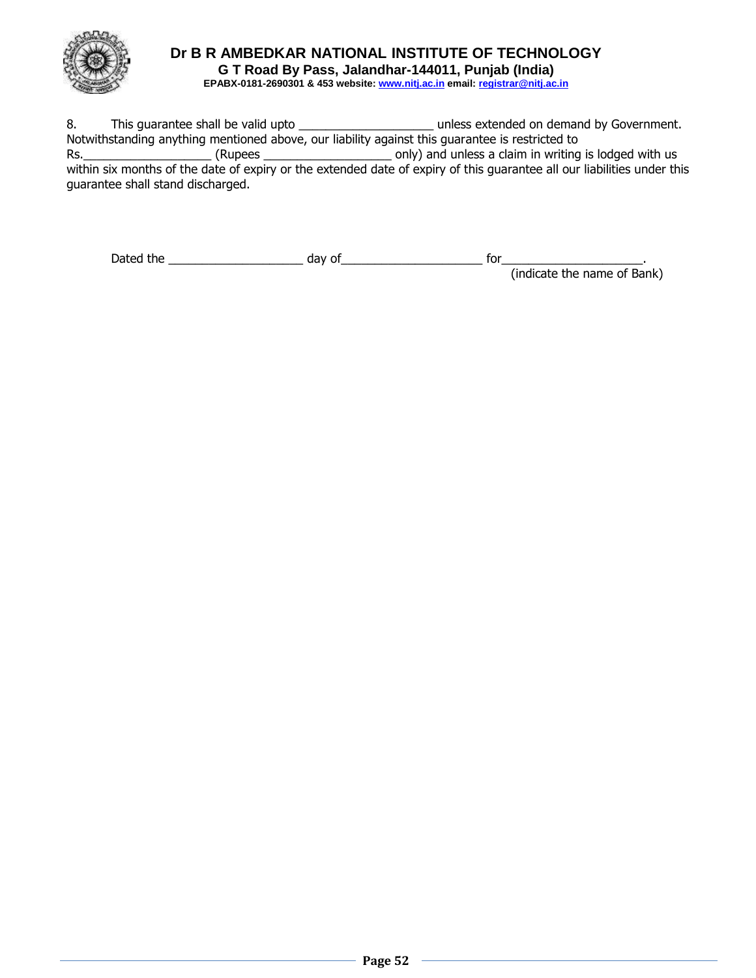

8. This guarantee shall be valid upto \_\_\_\_\_\_\_\_\_\_\_\_\_\_\_\_\_\_\_\_\_\_\_\_\_\_\_\_\_\_unless extended on demand by Government. Notwithstanding anything mentioned above, our liability against this guarantee is restricted to Rs.\_\_\_\_\_\_\_\_\_\_\_\_\_\_\_\_\_\_\_ (Rupees \_\_\_\_\_\_\_\_\_\_\_\_\_\_\_\_\_\_\_ only) and unless a claim in writing is lodged with us within six months of the date of expiry or the extended date of expiry of this guarantee all our liabilities under this guarantee shall stand discharged.

| Dated<br>the | -- | $\sim$<br>$\cdot$ |  |
|--------------|----|-------------------|--|
|              |    |                   |  |

(indicate the name of Bank)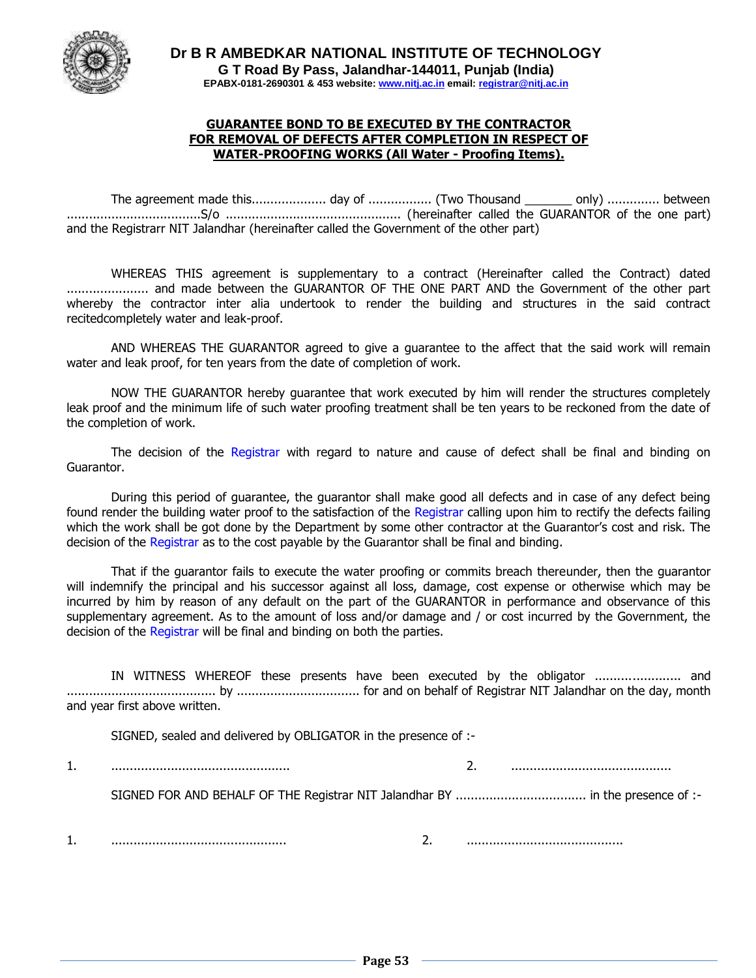

#### **GUARANTEE BOND TO BE EXECUTED BY THE CONTRACTOR FOR REMOVAL OF DEFECTS AFTER COMPLETION IN RESPECT OF WATER-PROOFING WORKS (All Water - Proofing Items).**

The agreement made this.................... day of ................. (Two Thousand \_\_\_\_\_\_\_ only) .............. between ....................................S/o ............................................... (hereinafter called the GUARANTOR of the one part) and the Registrarr NIT Jalandhar (hereinafter called the Government of the other part)

WHEREAS THIS agreement is supplementary to a contract (Hereinafter called the Contract) dated ...................... and made between the GUARANTOR OF THE ONE PART AND the Government of the other part whereby the contractor inter alia undertook to render the building and structures in the said contract recitedcompletely water and leak-proof.

AND WHEREAS THE GUARANTOR agreed to give a guarantee to the affect that the said work will remain water and leak proof, for ten years from the date of completion of work.

NOW THE GUARANTOR hereby guarantee that work executed by him will render the structures completely leak proof and the minimum life of such water proofing treatment shall be ten years to be reckoned from the date of the completion of work.

The decision of the Registrar with regard to nature and cause of defect shall be final and binding on Guarantor.

During this period of guarantee, the guarantor shall make good all defects and in case of any defect being found render the building water proof to the satisfaction of the Registrar calling upon him to rectify the defects failing which the work shall be got done by the Department by some other contractor at the Guarantor's cost and risk. The decision of the Registrar as to the cost payable by the Guarantor shall be final and binding.

That if the guarantor fails to execute the water proofing or commits breach thereunder, then the guarantor will indemnify the principal and his successor against all loss, damage, cost expense or otherwise which may be incurred by him by reason of any default on the part of the GUARANTOR in performance and observance of this supplementary agreement. As to the amount of loss and/or damage and / or cost incurred by the Government, the decision of the Registrar will be final and binding on both the parties.

IN WITNESS WHEREOF these presents have been executed by the obligator ....................... and ........................................ by ................................. for and on behalf of Registrar NIT Jalandhar on the day, month and year first above written.

SIGNED, sealed and delivered by OBLIGATOR in the presence of :-

1. ................................................ 2. ...........................................

SIGNED FOR AND BEHALF OF THE Registrar NIT Jalandhar BY ................................... in the presence of :-

1. ............................................... 2. ..........................................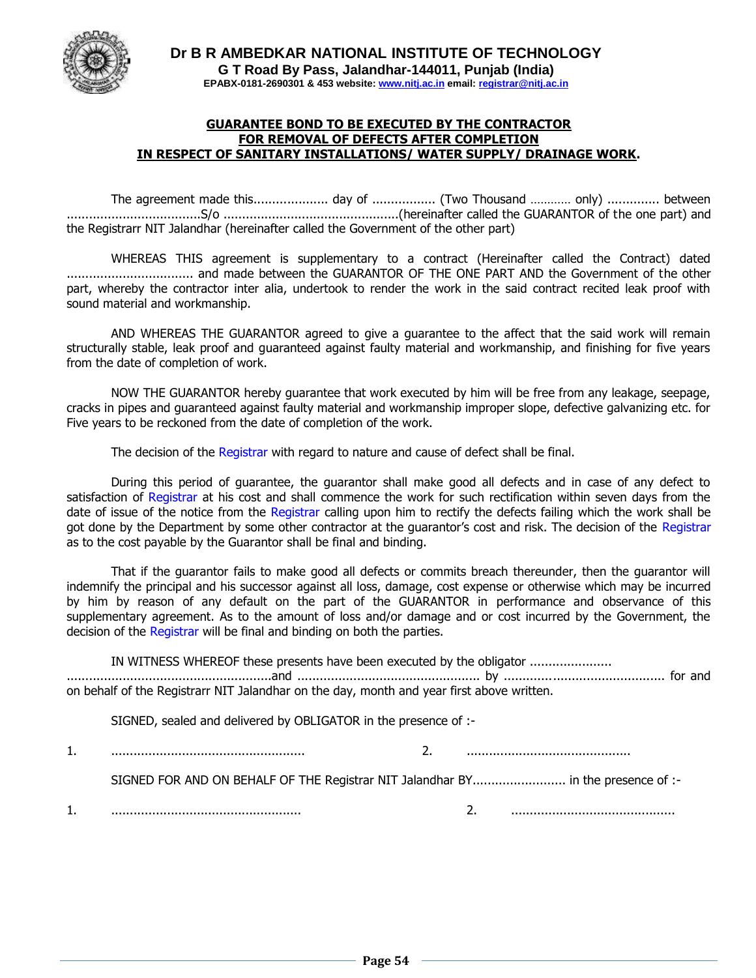

#### **GUARANTEE BOND TO BE EXECUTED BY THE CONTRACTOR FOR REMOVAL OF DEFECTS AFTER COMPLETION IN RESPECT OF SANITARY INSTALLATIONS/ WATER SUPPLY/ DRAINAGE WORK.**

The agreement made this.................... day of ................. (Two Thousand ………… only) .............. between ....................................S/o ...............................................(hereinafter called the GUARANTOR of the one part) and the Registrarr NIT Jalandhar (hereinafter called the Government of the other part)

WHEREAS THIS agreement is supplementary to a contract (Hereinafter called the Contract) dated .................................. and made between the GUARANTOR OF THE ONE PART AND the Government of the other part, whereby the contractor inter alia, undertook to render the work in the said contract recited leak proof with sound material and workmanship.

AND WHEREAS THE GUARANTOR agreed to give a guarantee to the affect that the said work will remain structurally stable, leak proof and guaranteed against faulty material and workmanship, and finishing for five years from the date of completion of work.

NOW THE GUARANTOR hereby guarantee that work executed by him will be free from any leakage, seepage, cracks in pipes and guaranteed against faulty material and workmanship improper slope, defective galvanizing etc. for Five years to be reckoned from the date of completion of the work.

The decision of the Registrar with regard to nature and cause of defect shall be final.

During this period of guarantee, the guarantor shall make good all defects and in case of any defect to satisfaction of Registrar at his cost and shall commence the work for such rectification within seven days from the date of issue of the notice from the Registrar calling upon him to rectify the defects failing which the work shall be got done by the Department by some other contractor at the guarantor's cost and risk. The decision of the Registrar as to the cost payable by the Guarantor shall be final and binding.

That if the guarantor fails to make good all defects or commits breach thereunder, then the guarantor will indemnify the principal and his successor against all loss, damage, cost expense or otherwise which may be incurred by him by reason of any default on the part of the GUARANTOR in performance and observance of this supplementary agreement. As to the amount of loss and/or damage and or cost incurred by the Government, the decision of the Registrar will be final and binding on both the parties.

IN WITNESS WHEREOF these presents have been executed by the obligator ...................... .......................................................and ................................................. by ........................................... for and on behalf of the Registrarr NIT Jalandhar on the day, month and year first above written.

SIGNED, sealed and delivered by OBLIGATOR in the presence of :-

1. .................................................... 2. ............................................

SIGNED FOR AND ON BEHALF OF THE Registrar NIT Jalandhar BY............................... in the presence of :-

1. ................................................... 2. ............................................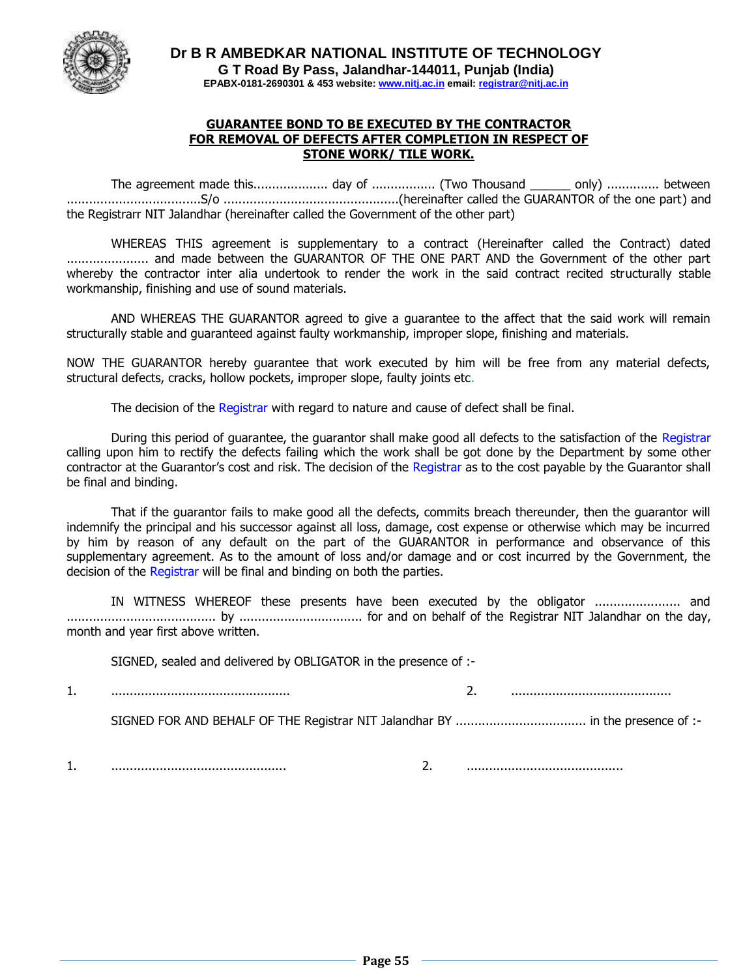

#### **GUARANTEE BOND TO BE EXECUTED BY THE CONTRACTOR FOR REMOVAL OF DEFECTS AFTER COMPLETION IN RESPECT OF STONE WORK/ TILE WORK.**

The agreement made this.................... day of ................. (Two Thousand \_\_\_\_\_\_ only) .............. between ....................................S/o ...............................................(hereinafter called the GUARANTOR of the one part) and the Registrarr NIT Jalandhar (hereinafter called the Government of the other part)

WHEREAS THIS agreement is supplementary to a contract (Hereinafter called the Contract) dated ...................... and made between the GUARANTOR OF THE ONE PART AND the Government of the other part whereby the contractor inter alia undertook to render the work in the said contract recited structurally stable workmanship, finishing and use of sound materials.

AND WHEREAS THE GUARANTOR agreed to give a guarantee to the affect that the said work will remain structurally stable and guaranteed against faulty workmanship, improper slope, finishing and materials.

NOW THE GUARANTOR hereby guarantee that work executed by him will be free from any material defects, structural defects, cracks, hollow pockets, improper slope, faulty joints etc.

The decision of the Registrar with regard to nature and cause of defect shall be final.

During this period of quarantee, the quarantor shall make good all defects to the satisfaction of the Registrar calling upon him to rectify the defects failing which the work shall be got done by the Department by some other contractor at the Guarantor's cost and risk. The decision of the Registrar as to the cost payable by the Guarantor shall be final and binding.

That if the guarantor fails to make good all the defects, commits breach thereunder, then the guarantor will indemnify the principal and his successor against all loss, damage, cost expense or otherwise which may be incurred by him by reason of any default on the part of the GUARANTOR in performance and observance of this supplementary agreement. As to the amount of loss and/or damage and or cost incurred by the Government, the decision of the Registrar will be final and binding on both the parties.

IN WITNESS WHEREOF these presents have been executed by the obligator ....................... and ........................................ by ................................. for and on behalf of the Registrar NIT Jalandhar on the day, month and year first above written.

SIGNED, sealed and delivered by OBLIGATOR in the presence of :-

1. ................................................ 2. ...........................................

SIGNED FOR AND BEHALF OF THE Registrar NIT Jalandhar BY ................................... in the presence of :-

1. ............................................... 2. ..........................................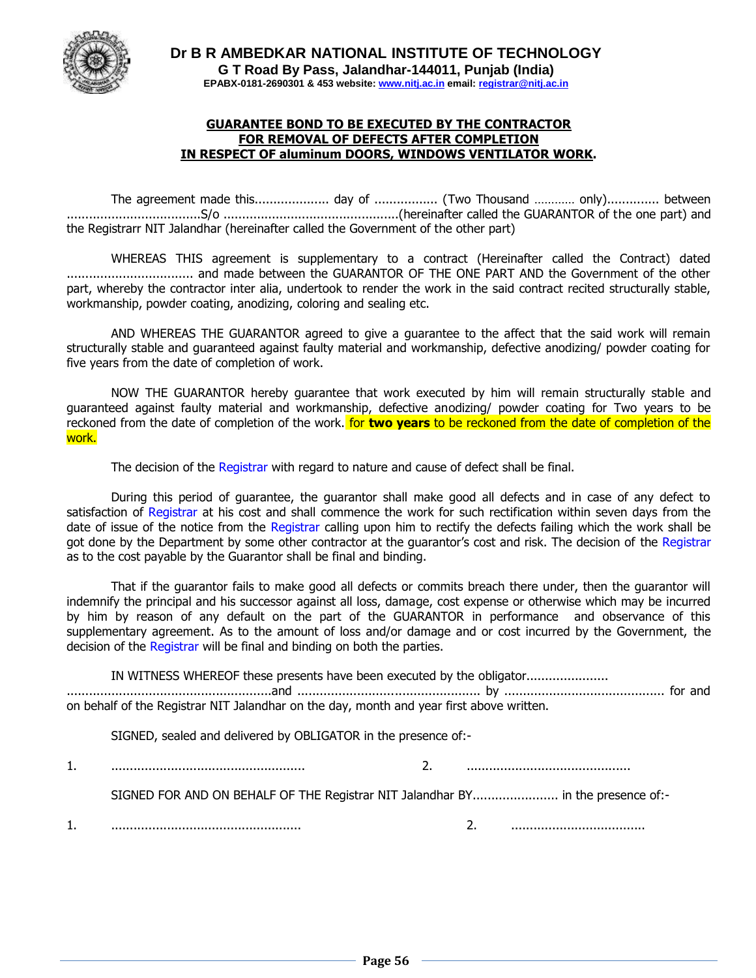

#### **GUARANTEE BOND TO BE EXECUTED BY THE CONTRACTOR FOR REMOVAL OF DEFECTS AFTER COMPLETION IN RESPECT OF aluminum DOORS, WINDOWS VENTILATOR WORK.**

The agreement made this.................... day of ................. (Two Thousand ………… only).............. between ....................................S/o ...............................................(hereinafter called the GUARANTOR of the one part) and the Registrarr NIT Jalandhar (hereinafter called the Government of the other part)

WHEREAS THIS agreement is supplementary to a contract (Hereinafter called the Contract) dated .................................. and made between the GUARANTOR OF THE ONE PART AND the Government of the other part, whereby the contractor inter alia, undertook to render the work in the said contract recited structurally stable, workmanship, powder coating, anodizing, coloring and sealing etc.

AND WHEREAS THE GUARANTOR agreed to give a guarantee to the affect that the said work will remain structurally stable and guaranteed against faulty material and workmanship, defective anodizing/ powder coating for five years from the date of completion of work.

NOW THE GUARANTOR hereby guarantee that work executed by him will remain structurally stable and guaranteed against faulty material and workmanship, defective anodizing/ powder coating for Two years to be reckoned from the date of completion of the work. for **two years** to be reckoned from the date of completion of the work.

The decision of the Registrar with regard to nature and cause of defect shall be final.

During this period of guarantee, the guarantor shall make good all defects and in case of any defect to satisfaction of Registrar at his cost and shall commence the work for such rectification within seven days from the date of issue of the notice from the Registrar calling upon him to rectify the defects failing which the work shall be got done by the Department by some other contractor at the guarantor's cost and risk. The decision of the Registrar as to the cost payable by the Guarantor shall be final and binding.

That if the guarantor fails to make good all defects or commits breach there under, then the guarantor will indemnify the principal and his successor against all loss, damage, cost expense or otherwise which may be incurred by him by reason of any default on the part of the GUARANTOR in performance and observance of this supplementary agreement. As to the amount of loss and/or damage and or cost incurred by the Government, the decision of the Registrar will be final and binding on both the parties.

IN WITNESS WHEREOF these presents have been executed by the obligator...................... .......................................................and ................................................. by ........................................... for and on behalf of the Registrar NIT Jalandhar on the day, month and year first above written.

SIGNED, sealed and delivered by OBLIGATOR in the presence of:-

1. .................................................... 2. ............................................

SIGNED FOR AND ON BEHALF OF THE Registrar NIT Jalandhar BY....................... in the presence of:-

1. ................................................... 2. ....................................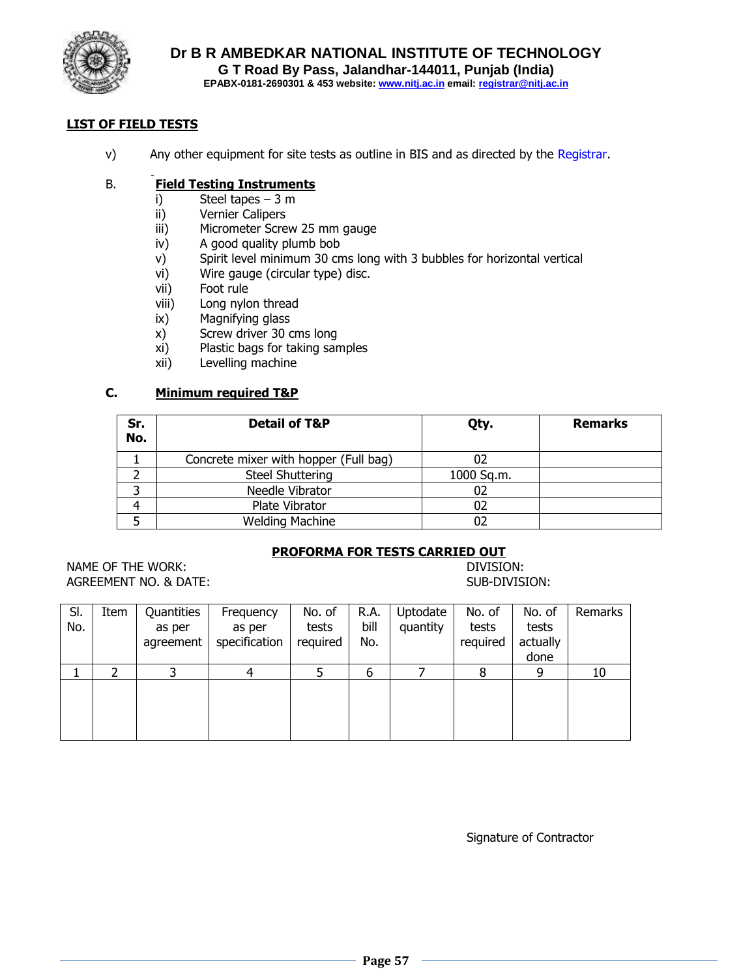

## **LIST OF FIELD TESTS**

v) Any other equipment for site tests as outline in BIS and as directed by the Registrar.

#### B. **Field Testing Instruments**

- i) Steel tapes 3 m
- ii) Vernier Calipers
- iii) Micrometer Screw 25 mm gauge
- iv) A good quality plumb bob
- v) Spirit level minimum 30 cms long with 3 bubbles for horizontal vertical
- vi) Wire gauge (circular type) disc.
- vii) Foot rule
- viii) Long nylon thread
- ix) Magnifying glass
- x) Screw driver 30 cms long
- xi) Plastic bags for taking samples
- xii) Levelling machine

#### **C. Minimum required T&P**

| Sr.<br>No. | <b>Detail of T&amp;P</b>              | Qty.       | <b>Remarks</b> |
|------------|---------------------------------------|------------|----------------|
|            | Concrete mixer with hopper (Full bag) |            |                |
|            | <b>Steel Shuttering</b>               | 1000 Sq.m. |                |
|            | Needle Vibrator                       | 02         |                |
|            | Plate Vibrator                        | 02         |                |
|            | <b>Welding Machine</b>                | 02         |                |

#### **PROFORMA FOR TESTS CARRIED OUT**

NAME OF THE WORK:  $\qquad \qquad$  NAME OF THE WORK: AGREEMENT NO. & DATE: SUB-DIVISION:

| SI.<br>No. | Item | Quantities<br>as per | Frequency<br>as per | No. of<br>tests | R.A.<br>bill | Uptodate<br>quantity | No. of<br>tests | No. of<br>tests | Remarks |
|------------|------|----------------------|---------------------|-----------------|--------------|----------------------|-----------------|-----------------|---------|
|            |      | agreement            | specification       | required        | No.          |                      | required        | actually        |         |
|            |      |                      |                     |                 |              |                      |                 | done            |         |
|            |      |                      | Δ                   |                 | 6            |                      | 8               | 9               | 10      |
|            |      |                      |                     |                 |              |                      |                 |                 |         |
|            |      |                      |                     |                 |              |                      |                 |                 |         |
|            |      |                      |                     |                 |              |                      |                 |                 |         |
|            |      |                      |                     |                 |              |                      |                 |                 |         |

Signature of Contractor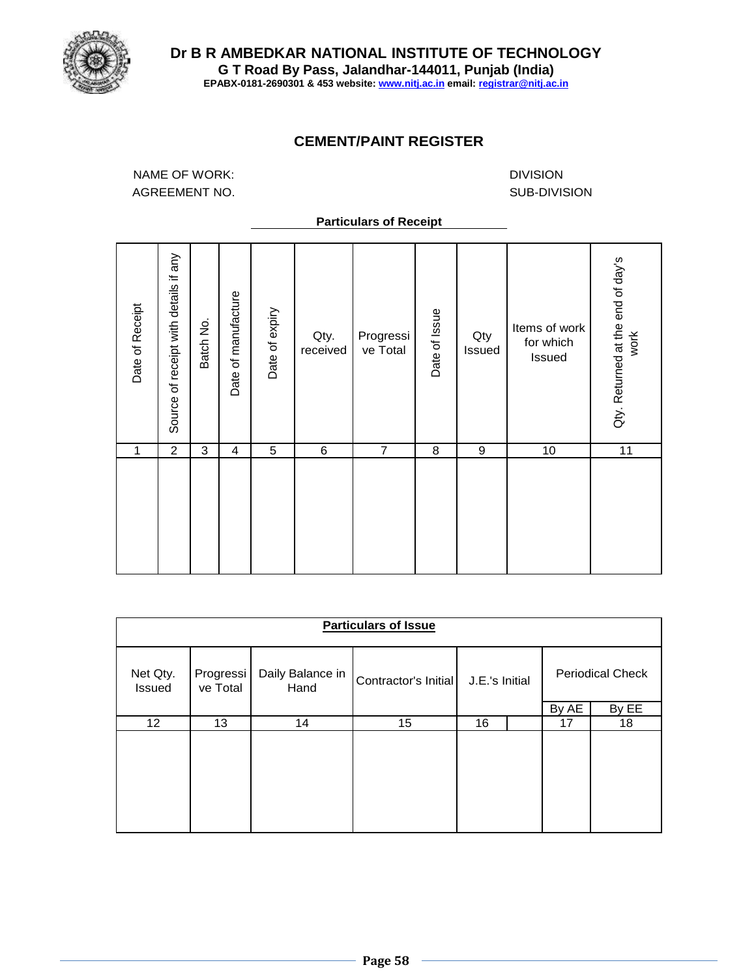

## **CEMENT/PAINT REGISTER**

NAME OF WORK: AGREEMENT NO.

DIVISION SUB-DIVISION

#### **Particulars of Receipt**

| Date of Receipt<br>1 | Source of receipt with details if any<br>$\overline{2}$ | Batch No.<br>3 | Date of manufacture<br>4 | Date of expiry<br>5 | Qty.<br>received<br>6 | Progressi<br>ve Total<br>$\overline{7}$ | Date of Issue<br>8 | Qty<br>Issued<br>9 | Items of work<br>for which<br>Issued<br>10 | Qty. Returned at the end of day's<br>work<br>11 |
|----------------------|---------------------------------------------------------|----------------|--------------------------|---------------------|-----------------------|-----------------------------------------|--------------------|--------------------|--------------------------------------------|-------------------------------------------------|
|                      |                                                         |                |                          |                     |                       |                                         |                    |                    |                                            |                                                 |

|                           | <b>Particulars of Issue</b> |                                                  |    |                |  |                         |       |
|---------------------------|-----------------------------|--------------------------------------------------|----|----------------|--|-------------------------|-------|
| Net Qty.<br><b>Issued</b> | Progressi<br>ve Total       | Daily Balance in<br>Contractor's Initial<br>Hand |    | J.E.'s Initial |  | <b>Periodical Check</b> |       |
|                           |                             |                                                  |    |                |  | By AE                   | By EE |
| 12                        | 13                          | 14                                               | 15 | 16             |  | 17                      | 18    |
|                           |                             |                                                  |    |                |  |                         |       |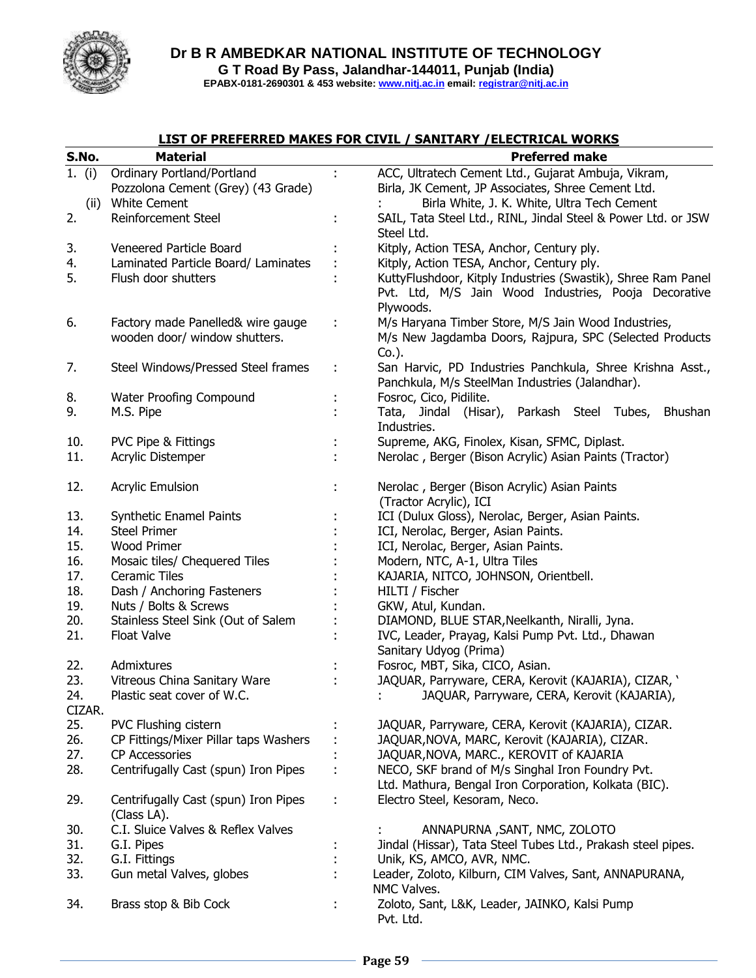

**EPABX-0181-2690301 & 453 website: www.nitj.ac.in email: registrar@nitj.ac.in**

## **LIST OF PREFERRED MAKES FOR CIVIL / SANITARY /ELECTRICAL WORKS**

| S.No.    | <b>Material</b>                       |   | <b>Preferred make</b>                                         |
|----------|---------------------------------------|---|---------------------------------------------------------------|
| 1. $(i)$ | Ordinary Portland/Portland            |   | ACC, Ultratech Cement Ltd., Gujarat Ambuja, Vikram,           |
|          | Pozzolona Cement (Grey) (43 Grade)    |   | Birla, JK Cement, JP Associates, Shree Cement Ltd.            |
| (ii)     | <b>White Cement</b>                   |   | Birla White, J. K. White, Ultra Tech Cement                   |
| 2.       | Reinforcement Steel                   |   | SAIL, Tata Steel Ltd., RINL, Jindal Steel & Power Ltd. or JSW |
|          |                                       |   | Steel Ltd.                                                    |
| 3.       | Veneered Particle Board               |   | Kitply, Action TESA, Anchor, Century ply.                     |
| 4.       | Laminated Particle Board/ Laminates   |   | Kitply, Action TESA, Anchor, Century ply.                     |
| 5.       | Flush door shutters                   |   | KuttyFlushdoor, Kitply Industries (Swastik), Shree Ram Panel  |
|          |                                       |   | Pvt. Ltd, M/S Jain Wood Industries, Pooja Decorative          |
|          |                                       |   | Plywoods.                                                     |
| 6.       | Factory made Panelled& wire gauge     |   | M/s Haryana Timber Store, M/S Jain Wood Industries,           |
|          | wooden door/ window shutters.         |   | M/s New Jagdamba Doors, Rajpura, SPC (Selected Products       |
|          |                                       |   | $Co.$ ).                                                      |
| 7.       | Steel Windows/Pressed Steel frames    | t | San Harvic, PD Industries Panchkula, Shree Krishna Asst.,     |
|          |                                       |   | Panchkula, M/s SteelMan Industries (Jalandhar).               |
| 8.       | Water Proofing Compound               |   | Fosroc, Cico, Pidilite.                                       |
| 9.       | M.S. Pipe                             |   | Tata, Jindal (Hisar), Parkash Steel Tubes,<br>Bhushan         |
|          |                                       |   | Industries.                                                   |
| 10.      | <b>PVC Pipe &amp; Fittings</b>        |   | Supreme, AKG, Finolex, Kisan, SFMC, Diplast.                  |
| 11.      | Acrylic Distemper                     |   | Nerolac, Berger (Bison Acrylic) Asian Paints (Tractor)        |
|          |                                       |   |                                                               |
| 12.      | <b>Acrylic Emulsion</b>               |   | Nerolac, Berger (Bison Acrylic) Asian Paints                  |
|          |                                       |   | (Tractor Acrylic), ICI                                        |
| 13.      | Synthetic Enamel Paints               |   | ICI (Dulux Gloss), Nerolac, Berger, Asian Paints.             |
| 14.      | <b>Steel Primer</b>                   |   | ICI, Nerolac, Berger, Asian Paints.                           |
| 15.      | Wood Primer                           |   | ICI, Nerolac, Berger, Asian Paints.                           |
| 16.      | Mosaic tiles/ Chequered Tiles         |   | Modern, NTC, A-1, Ultra Tiles                                 |
| 17.      | <b>Ceramic Tiles</b>                  |   | KAJARIA, NITCO, JOHNSON, Orientbell.                          |
| 18.      | Dash / Anchoring Fasteners            |   | HILTI / Fischer                                               |
| 19.      | Nuts / Bolts & Screws                 |   | GKW, Atul, Kundan.                                            |
| 20.      | Stainless Steel Sink (Out of Salem    |   | DIAMOND, BLUE STAR, Neelkanth, Niralli, Jyna.                 |
| 21.      | <b>Float Valve</b>                    |   | IVC, Leader, Prayag, Kalsi Pump Pvt. Ltd., Dhawan             |
|          |                                       |   | Sanitary Udyog (Prima)                                        |
| 22.      | Admixtures                            |   | Fosroc, MBT, Sika, CICO, Asian.                               |
| 23.      | Vitreous China Sanitary Ware          |   | JAQUAR, Parryware, CERA, Kerovit (KAJARIA), CIZAR, '          |
| 24.      | Plastic seat cover of W.C.            |   | JAQUAR, Parryware, CERA, Kerovit (KAJARIA),                   |
| CIZAR.   |                                       |   |                                                               |
| 25.      | PVC Flushing cistern                  |   | JAQUAR, Parryware, CERA, Kerovit (KAJARIA), CIZAR.            |
| 26.      | CP Fittings/Mixer Pillar taps Washers |   | JAQUAR, NOVA, MARC, Kerovit (KAJARIA), CIZAR.                 |
| 27.      | <b>CP Accessories</b>                 |   | JAQUAR, NOVA, MARC., KEROVIT of KAJARIA                       |
| 28.      | Centrifugally Cast (spun) Iron Pipes  |   | NECO, SKF brand of M/s Singhal Iron Foundry Pvt.              |
|          |                                       |   | Ltd. Mathura, Bengal Iron Corporation, Kolkata (BIC).         |
| 29.      | Centrifugally Cast (spun) Iron Pipes  |   | Electro Steel, Kesoram, Neco.                                 |
|          | (Class LA).                           |   |                                                               |
| 30.      | C.I. Sluice Valves & Reflex Valves    |   | ANNAPURNA, SANT, NMC, ZOLOTO                                  |
| 31.      | G.I. Pipes                            |   | Jindal (Hissar), Tata Steel Tubes Ltd., Prakash steel pipes.  |
| 32.      | G.I. Fittings                         |   | Unik, KS, AMCO, AVR, NMC.                                     |
| 33.      | Gun metal Valves, globes              |   | Leader, Zoloto, Kilburn, CIM Valves, Sant, ANNAPURANA,        |
|          |                                       |   | NMC Valves.                                                   |
| 34.      | Brass stop & Bib Cock                 |   | Zoloto, Sant, L&K, Leader, JAINKO, Kalsi Pump                 |
|          |                                       |   | Pvt. Ltd.                                                     |
|          |                                       |   |                                                               |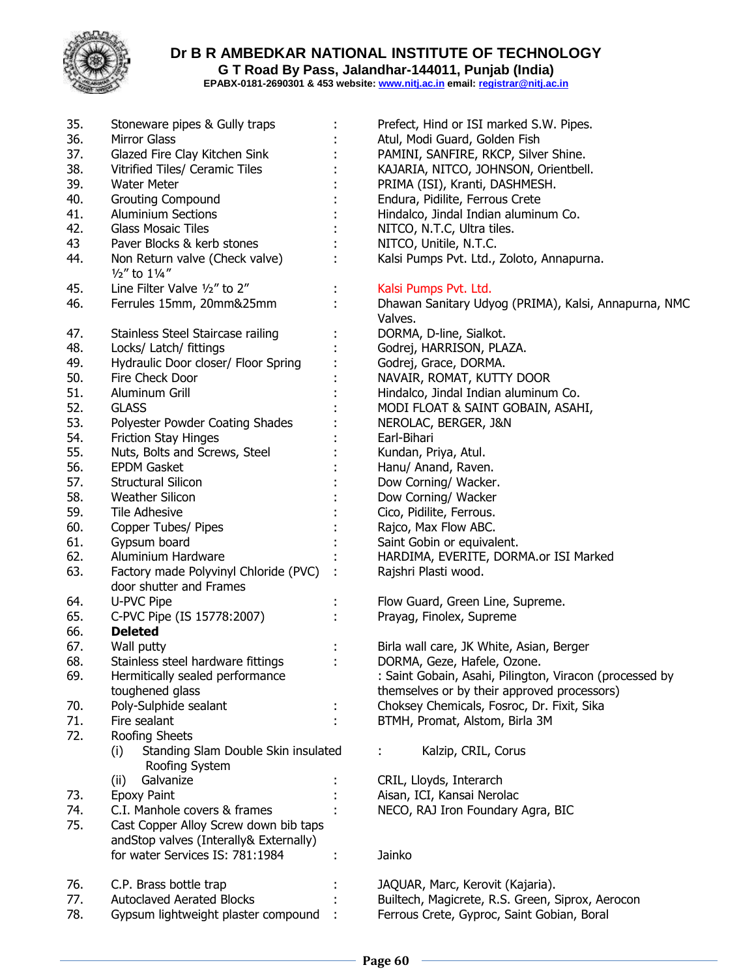

**Dr B R AMBEDKAR NATIONAL INSTITUTE OF TECHNOLOGY G T Road By Pass, Jalandhar-144011, Punjab (India)**

**EPABX-0181-2690301 & 453 website: www.nitj.ac.in email: registrar@nitj.ac.in**

| 35. | Stoneware pipes & Gully traps                                | Prefect, Hind or ISI marked S.W. Pipes.                         |
|-----|--------------------------------------------------------------|-----------------------------------------------------------------|
| 36. | <b>Mirror Glass</b>                                          | Atul, Modi Guard, Golden Fish                                   |
| 37. | Glazed Fire Clay Kitchen Sink                                | PAMINI, SANFIRE, RKCP, Silver Shine.                            |
| 38. | Vitrified Tiles/ Ceramic Tiles                               | KAJARIA, NITCO, JOHNSON, Orientbell.                            |
| 39. | <b>Water Meter</b>                                           | PRIMA (ISI), Kranti, DASHMESH.                                  |
| 40. | <b>Grouting Compound</b>                                     | Endura, Pidilite, Ferrous Crete                                 |
| 41. | <b>Aluminium Sections</b>                                    | Hindalco, Jindal Indian aluminum Co.                            |
| 42. | <b>Glass Mosaic Tiles</b>                                    | NITCO, N.T.C, Ultra tiles.                                      |
| 43  | Paver Blocks & kerb stones                                   | NITCO, Unitile, N.T.C.                                          |
| 44. | Non Return valve (Check valve)                               | Kalsi Pumps Pvt. Ltd., Zoloto, Annapurna.                       |
|     | $\frac{1}{2}$ to $\frac{1}{4}$                               |                                                                 |
| 45. | Line Filter Valve 1/2" to 2"                                 | Kalsi Pumps Pvt. Ltd.                                           |
| 46. | Ferrules 15mm, 20mm&25mm                                     | Dhawan Sanitary Udyog (PRIMA), Kalsi, Annapurna, NMC<br>Valves. |
| 47. | Stainless Steel Staircase railing                            | DORMA, D-line, Sialkot.                                         |
| 48. | Locks/ Latch/ fittings                                       | Godrej, HARRISON, PLAZA.                                        |
| 49. | Hydraulic Door closer/ Floor Spring                          | Godrej, Grace, DORMA.                                           |
| 50. | Fire Check Door                                              | NAVAIR, ROMAT, KUTTY DOOR                                       |
| 51. | Aluminum Grill                                               | Hindalco, Jindal Indian aluminum Co.                            |
| 52. | <b>GLASS</b>                                                 | MODI FLOAT & SAINT GOBAIN, ASAHI,                               |
| 53. | Polyester Powder Coating Shades                              | NEROLAC, BERGER, J&N                                            |
| 54. | <b>Friction Stay Hinges</b>                                  | Earl-Bihari                                                     |
| 55. | Nuts, Bolts and Screws, Steel                                | Kundan, Priya, Atul.                                            |
| 56. | <b>EPDM Gasket</b>                                           | Hanu/ Anand, Raven.                                             |
| 57. | Structural Silicon                                           | Dow Corning/ Wacker.                                            |
| 58. | Weather Silicon                                              | Dow Corning/ Wacker                                             |
| 59. | <b>Tile Adhesive</b>                                         | Cico, Pidilite, Ferrous.                                        |
| 60. | Copper Tubes/ Pipes                                          | Rajco, Max Flow ABC.                                            |
| 61. | Gypsum board                                                 | Saint Gobin or equivalent.                                      |
| 62. | Aluminium Hardware                                           | HARDIMA, EVERITE, DORMA.or ISI Marked                           |
| 63. | Factory made Polyvinyl Chloride (PVC)                        | Rajshri Plasti wood.                                            |
|     | door shutter and Frames                                      |                                                                 |
| 64. | U-PVC Pipe                                                   | Flow Guard, Green Line, Supreme.                                |
| 65. | C-PVC Pipe (IS 15778:2007)                                   | Prayag, Finolex, Supreme                                        |
| 66. | <b>Deleted</b>                                               |                                                                 |
| 67. | Wall putty                                                   | Birla wall care, JK White, Asian, Berger                        |
| 68. | Stainless steel hardware fittings                            | DORMA, Geze, Hafele, Ozone.                                     |
| 69. | Hermitically sealed performance                              | : Saint Gobain, Asahi, Pilington, Viracon (processed by         |
|     | toughened glass                                              | themselves or by their approved processors)                     |
| 70. | Poly-Sulphide sealant                                        | Choksey Chemicals, Fosroc, Dr. Fixit, Sika                      |
| 71. | Fire sealant                                                 |                                                                 |
|     |                                                              | BTMH, Promat, Alstom, Birla 3M                                  |
| 72. | Roofing Sheets<br>Standing Slam Double Skin insulated<br>(i) | Kalzip, CRIL, Corus                                             |
|     | Roofing System                                               |                                                                 |
|     | Galvanize<br>(ii)                                            | CRIL, Lloyds, Interarch                                         |
| 73. | <b>Epoxy Paint</b>                                           | Aisan, ICI, Kansai Nerolac                                      |
| 74. | C.I. Manhole covers & frames                                 | NECO, RAJ Iron Foundary Agra, BIC                               |
| 75. | Cast Copper Alloy Screw down bib taps                        |                                                                 |
|     | andStop valves (Interally& Externally)                       |                                                                 |
|     | for water Services IS: 781:1984                              | Jainko                                                          |
| 76. | C.P. Brass bottle trap                                       | JAQUAR, Marc, Kerovit (Kajaria).                                |
| 77. | <b>Autoclaved Aerated Blocks</b>                             | Builtech, Magicrete, R.S. Green, Siprox, Aerocon                |
| 78. | Gypsum lightweight plaster compound                          | Ferrous Crete, Gyproc, Saint Gobian, Boral                      |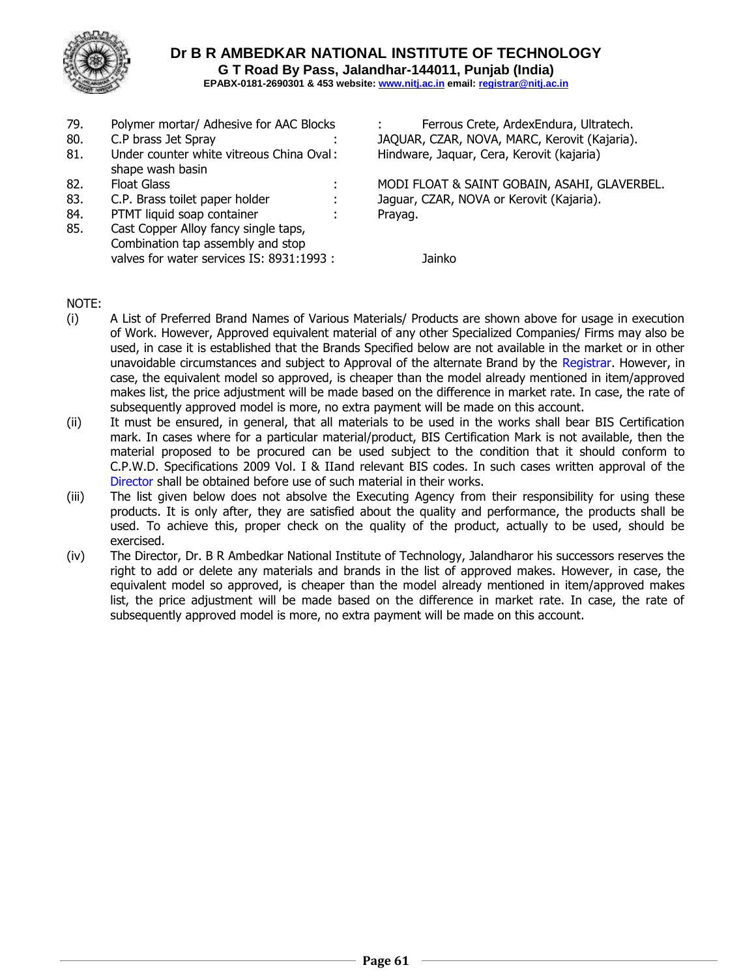

- 
- 81. Under counter white vitreous China Oval: Hindware, Jaquar, Cera, Kerovit (kajaria) shape wash basin
- 
- 
- 84. PTMT liquid soap container : Prayag.
- 85. Cast Copper Alloy fancy single taps, Combination tap assembly and stop valves for water services IS: 8931:1993 : Jainko

79. Polymer mortar/ Adhesive for AAC Blocks : Ferrous Crete, ArdexEndura, Ultratech. 80. C.P brass Jet Spray : JAQUAR, CZAR, NOVA, MARC, Kerovit (Kajaria).

82. Float Glass The State of the South Communist Communist MODI FLOAT & SAINT GOBAIN, ASAHI, GLAVERBEL. 83. C.P. Brass toilet paper holder : Jaguar, CZAR, NOVA or Kerovit (Kajaria).

## NOTE:

- (i) A List of Preferred Brand Names of Various Materials/ Products are shown above for usage in execution of Work. However, Approved equivalent material of any other Specialized Companies/ Firms may also be used, in case it is established that the Brands Specified below are not available in the market or in other unavoidable circumstances and subject to Approval of the alternate Brand by the Registrar. However, in case, the equivalent model so approved, is cheaper than the model already mentioned in item/approved makes list, the price adjustment will be made based on the difference in market rate. In case, the rate of subsequently approved model is more, no extra payment will be made on this account.
- (ii) It must be ensured, in general, that all materials to be used in the works shall bear BIS Certification mark. In cases where for a particular material/product, BIS Certification Mark is not available, then the material proposed to be procured can be used subject to the condition that it should conform to C.P.W.D. Specifications 2009 Vol. I & IIand relevant BIS codes. In such cases written approval of the Director shall be obtained before use of such material in their works.
- (iii) The list given below does not absolve the Executing Agency from their responsibility for using these products. It is only after, they are satisfied about the quality and performance, the products shall be used. To achieve this, proper check on the quality of the product, actually to be used, should be exercised.
- (iv) The Director, Dr. B R Ambedkar National Institute of Technology, Jalandharor his successors reserves the right to add or delete any materials and brands in the list of approved makes. However, in case, the equivalent model so approved, is cheaper than the model already mentioned in item/approved makes list, the price adjustment will be made based on the difference in market rate. In case, the rate of subsequently approved model is more, no extra payment will be made on this account.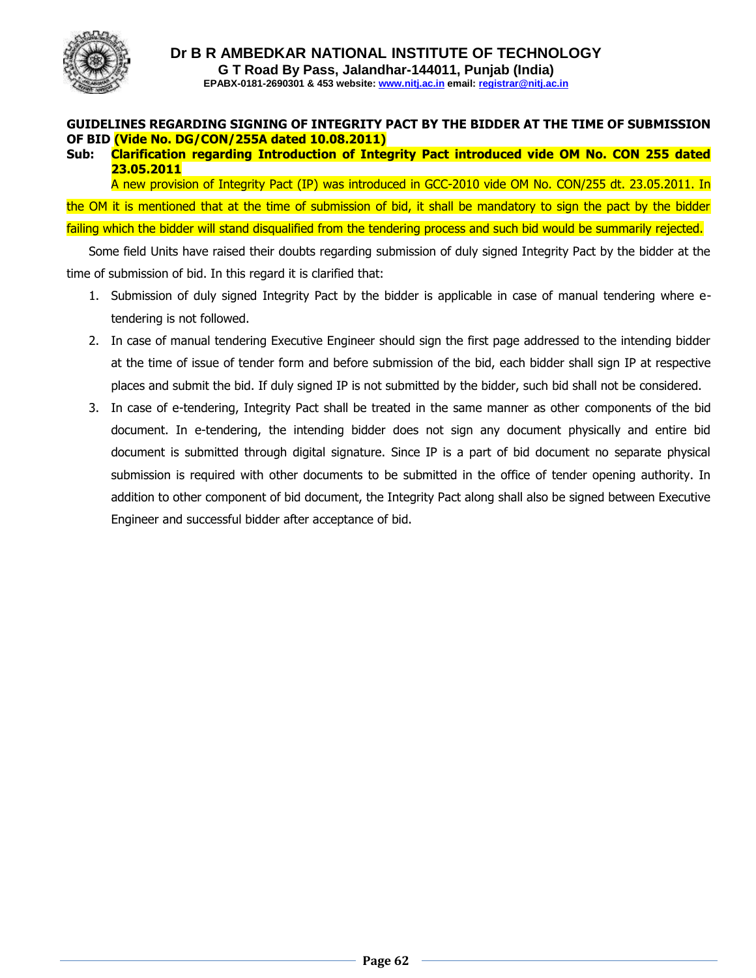

## **GUIDELINES REGARDING SIGNING OF INTEGRITY PACT BY THE BIDDER AT THE TIME OF SUBMISSION OF BID (Vide No. DG/CON/255A dated 10.08.2011)**

## **Sub: Clarification regarding Introduction of Integrity Pact introduced vide OM No. CON 255 dated 23.05.2011**

A new provision of Integrity Pact (IP) was introduced in GCC-2010 vide OM No. CON/255 dt. 23.05.2011. In the OM it is mentioned that at the time of submission of bid, it shall be mandatory to sign the pact by the bidder failing which the bidder will stand disqualified from the tendering process and such bid would be summarily rejected.

Some field Units have raised their doubts regarding submission of duly signed Integrity Pact by the bidder at the time of submission of bid. In this regard it is clarified that:

- 1. Submission of duly signed Integrity Pact by the bidder is applicable in case of manual tendering where etendering is not followed.
- 2. In case of manual tendering Executive Engineer should sign the first page addressed to the intending bidder at the time of issue of tender form and before submission of the bid, each bidder shall sign IP at respective places and submit the bid. If duly signed IP is not submitted by the bidder, such bid shall not be considered.
- 3. In case of e-tendering, Integrity Pact shall be treated in the same manner as other components of the bid document. In e-tendering, the intending bidder does not sign any document physically and entire bid document is submitted through digital signature. Since IP is a part of bid document no separate physical submission is required with other documents to be submitted in the office of tender opening authority. In addition to other component of bid document, the Integrity Pact along shall also be signed between Executive Engineer and successful bidder after acceptance of bid.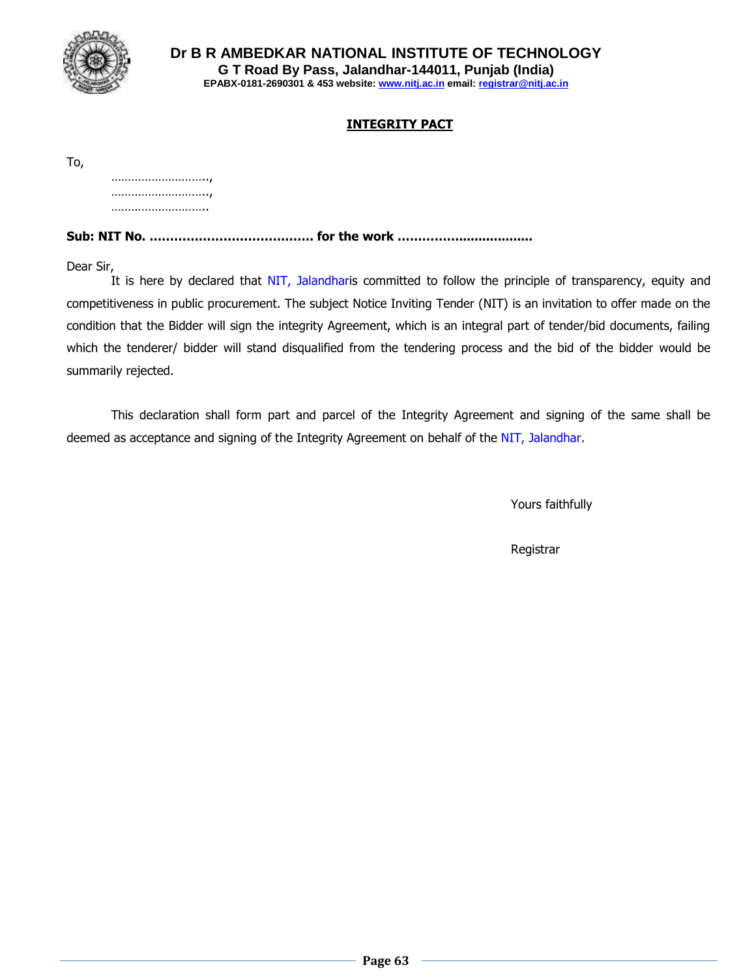

## **INTEGRITY PACT**

To,

………………………, ………………………, ……………………………

**Sub: NIT No. …………………………………. for the work ……………...................**

Dear Sir,

It is here by declared that NIT, Jalandharis committed to follow the principle of transparency, equity and competitiveness in public procurement. The subject Notice Inviting Tender (NIT) is an invitation to offer made on the condition that the Bidder will sign the integrity Agreement, which is an integral part of tender/bid documents, failing which the tenderer/ bidder will stand disqualified from the tendering process and the bid of the bidder would be summarily rejected.

This declaration shall form part and parcel of the Integrity Agreement and signing of the same shall be deemed as acceptance and signing of the Integrity Agreement on behalf of the NIT, Jalandhar.

Yours faithfully

Registrar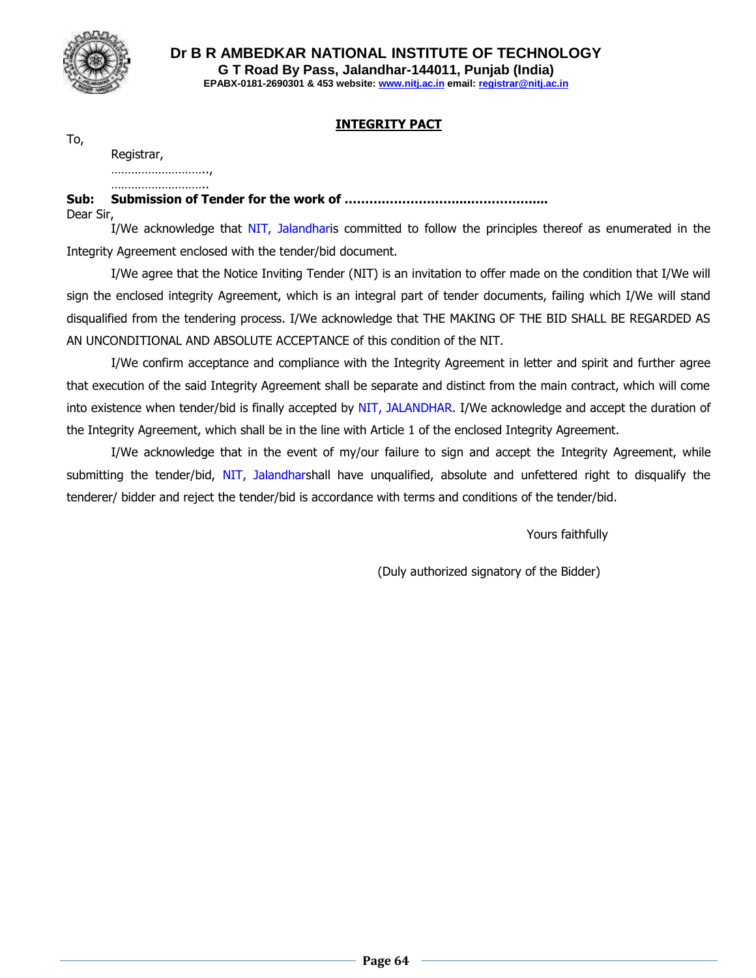

## **INTEGRITY PACT**

To,

Registrar,

………………………..,

………………………… **Sub: Submission of Tender for the work of ………………………....……………....** Dear Sir,

I/We acknowledge that NIT, Jalandharis committed to follow the principles thereof as enumerated in the Integrity Agreement enclosed with the tender/bid document.

I/We agree that the Notice Inviting Tender (NIT) is an invitation to offer made on the condition that I/We will sign the enclosed integrity Agreement, which is an integral part of tender documents, failing which I/We will stand disqualified from the tendering process. I/We acknowledge that THE MAKING OF THE BID SHALL BE REGARDED AS AN UNCONDITIONAL AND ABSOLUTE ACCEPTANCE of this condition of the NIT.

I/We confirm acceptance and compliance with the Integrity Agreement in letter and spirit and further agree that execution of the said Integrity Agreement shall be separate and distinct from the main contract, which will come into existence when tender/bid is finally accepted by NIT, JALANDHAR. I/We acknowledge and accept the duration of the Integrity Agreement, which shall be in the line with Article 1 of the enclosed Integrity Agreement.

I/We acknowledge that in the event of my/our failure to sign and accept the Integrity Agreement, while submitting the tender/bid, NIT, Jalandharshall have unqualified, absolute and unfettered right to disqualify the tenderer/ bidder and reject the tender/bid is accordance with terms and conditions of the tender/bid.

Yours faithfully

(Duly authorized signatory of the Bidder)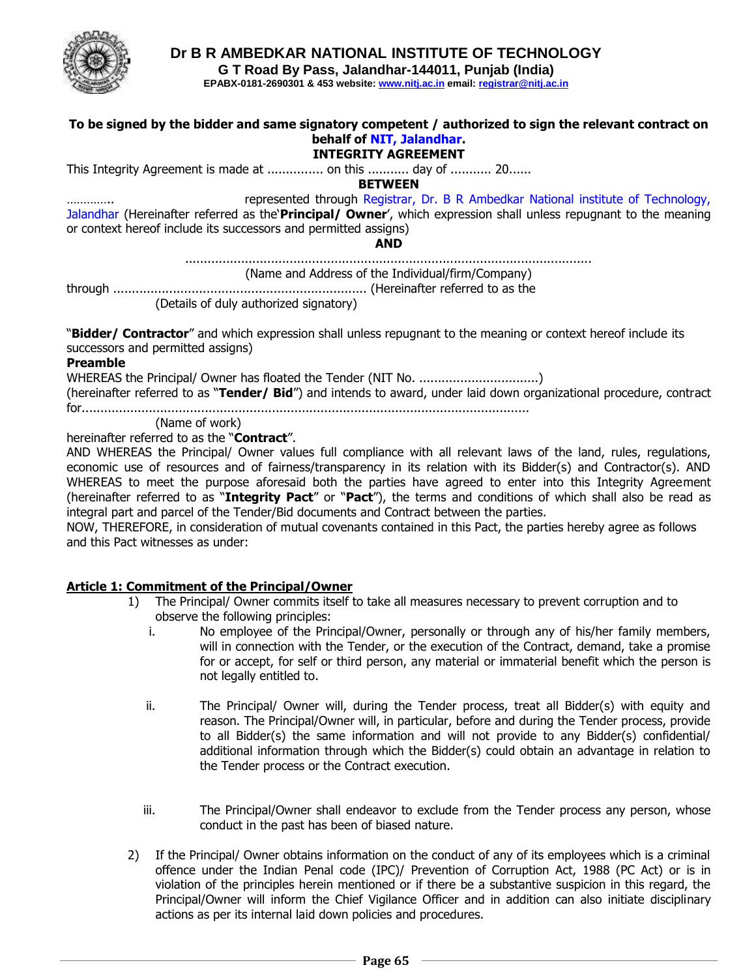

**Dr B R AMBEDKAR NATIONAL INSTITUTE OF TECHNOLOGY**

**G T Road By Pass, Jalandhar-144011, Punjab (India)**

**EPABX-0181-2690301 & 453 website: www.nitj.ac.in email: registrar@nitj.ac.in**

## **To be signed by the bidder and same signatory competent / authorized to sign the relevant contract on behalf of NIT, Jalandhar. INTEGRITY AGREEMENT** This Integrity Agreement is made at ................ on this ........... day of ........... 20...... **BETWEEN** represented through Registrar, Dr. B R Ambedkar National institute of Technology, Jalandhar (Hereinafter referred as the'**Principal/ Owner**', which expression shall unless repugnant to the meaning or context hereof include its successors and permitted assigns) **AND** ............................................................................................................. (Name and Address of the Individual/firm/Company) through .................................................................... (Hereinafter referred to as the (Details of duly authorized signatory) "**Bidder/ Contractor**" and which expression shall unless repugnant to the meaning or context hereof include its successors and permitted assigns) **Preamble** WHEREAS the Principal/ Owner has floated the Tender (NIT No. ................................) (hereinafter referred to as "**Tender/ Bid**") and intends to award, under laid down organizational procedure, contract for........................................................................................................................

(Name of work)

hereinafter referred to as the "**Contract**".

AND WHEREAS the Principal/ Owner values full compliance with all relevant laws of the land, rules, regulations, economic use of resources and of fairness/transparency in its relation with its Bidder(s) and Contractor(s). AND WHEREAS to meet the purpose aforesaid both the parties have agreed to enter into this Integrity Agreement (hereinafter referred to as "**Integrity Pact**" or "**Pact**"), the terms and conditions of which shall also be read as integral part and parcel of the Tender/Bid documents and Contract between the parties.

NOW, THEREFORE, in consideration of mutual covenants contained in this Pact, the parties hereby agree as follows and this Pact witnesses as under:

## **Article 1: Commitment of the Principal/Owner**

- 1) The Principal/ Owner commits itself to take all measures necessary to prevent corruption and to observe the following principles:
	- i. No employee of the Principal/Owner, personally or through any of his/her family members, will in connection with the Tender, or the execution of the Contract, demand, take a promise for or accept, for self or third person, any material or immaterial benefit which the person is not legally entitled to.
	- ii. The Principal/ Owner will, during the Tender process, treat all Bidder(s) with equity and reason. The Principal/Owner will, in particular, before and during the Tender process, provide to all Bidder(s) the same information and will not provide to any Bidder(s) confidential/ additional information through which the Bidder(s) could obtain an advantage in relation to the Tender process or the Contract execution.
	- iii. The Principal/Owner shall endeavor to exclude from the Tender process any person, whose conduct in the past has been of biased nature.
- 2) If the Principal/ Owner obtains information on the conduct of any of its employees which is a criminal offence under the Indian Penal code (IPC)/ Prevention of Corruption Act, 1988 (PC Act) or is in violation of the principles herein mentioned or if there be a substantive suspicion in this regard, the Principal/Owner will inform the Chief Vigilance Officer and in addition can also initiate disciplinary actions as per its internal laid down policies and procedures.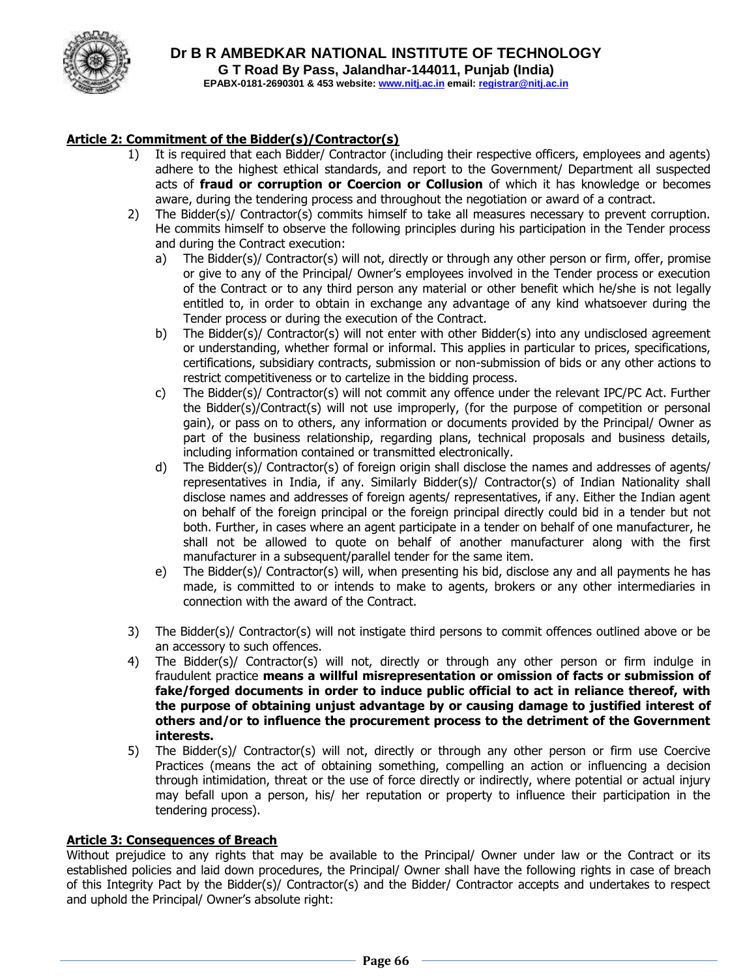

## **Article 2: Commitment of the Bidder(s)/Contractor(s)**

- 1) It is required that each Bidder/ Contractor (including their respective officers, employees and agents) adhere to the highest ethical standards, and report to the Government/ Department all suspected acts of **fraud or corruption or Coercion or Collusion** of which it has knowledge or becomes aware, during the tendering process and throughout the negotiation or award of a contract.
- 2) The Bidder(s)/ Contractor(s) commits himself to take all measures necessary to prevent corruption. He commits himself to observe the following principles during his participation in the Tender process and during the Contract execution:
	- a) The Bidder(s)/ Contractor(s) will not, directly or through any other person or firm, offer, promise or give to any of the Principal/ Owner's employees involved in the Tender process or execution of the Contract or to any third person any material or other benefit which he/she is not legally entitled to, in order to obtain in exchange any advantage of any kind whatsoever during the Tender process or during the execution of the Contract.
	- b) The Bidder(s)/ Contractor(s) will not enter with other Bidder(s) into any undisclosed agreement or understanding, whether formal or informal. This applies in particular to prices, specifications, certifications, subsidiary contracts, submission or non-submission of bids or any other actions to restrict competitiveness or to cartelize in the bidding process.
	- c) The Bidder(s)/ Contractor(s) will not commit any offence under the relevant IPC/PC Act. Further the Bidder(s)/Contract(s) will not use improperly, (for the purpose of competition or personal gain), or pass on to others, any information or documents provided by the Principal/ Owner as part of the business relationship, regarding plans, technical proposals and business details, including information contained or transmitted electronically.
	- d) The Bidder(s)/ Contractor(s) of foreign origin shall disclose the names and addresses of agents/ representatives in India, if any. Similarly Bidder(s)/ Contractor(s) of Indian Nationality shall disclose names and addresses of foreign agents/ representatives, if any. Either the Indian agent on behalf of the foreign principal or the foreign principal directly could bid in a tender but not both. Further, in cases where an agent participate in a tender on behalf of one manufacturer, he shall not be allowed to quote on behalf of another manufacturer along with the first manufacturer in a subsequent/parallel tender for the same item.
	- e) The Bidder(s)/ Contractor(s) will, when presenting his bid, disclose any and all payments he has made, is committed to or intends to make to agents, brokers or any other intermediaries in connection with the award of the Contract.
- 3) The Bidder(s)/ Contractor(s) will not instigate third persons to commit offences outlined above or be an accessory to such offences.
- 4) The Bidder(s)/ Contractor(s) will not, directly or through any other person or firm indulge in fraudulent practice **means a willful misrepresentation or omission of facts or submission of fake/forged documents in order to induce public official to act in reliance thereof, with the purpose of obtaining unjust advantage by or causing damage to justified interest of others and/or to influence the procurement process to the detriment of the Government interests.**
- 5) The Bidder(s)/ Contractor(s) will not, directly or through any other person or firm use Coercive Practices (means the act of obtaining something, compelling an action or influencing a decision through intimidation, threat or the use of force directly or indirectly, where potential or actual injury may befall upon a person, his/ her reputation or property to influence their participation in the tendering process).

#### **Article 3: Consequences of Breach**

Without prejudice to any rights that may be available to the Principal/ Owner under law or the Contract or its established policies and laid down procedures, the Principal/ Owner shall have the following rights in case of breach of this Integrity Pact by the Bidder(s)/ Contractor(s) and the Bidder/ Contractor accepts and undertakes to respect and uphold the Principal/ Owner's absolute right: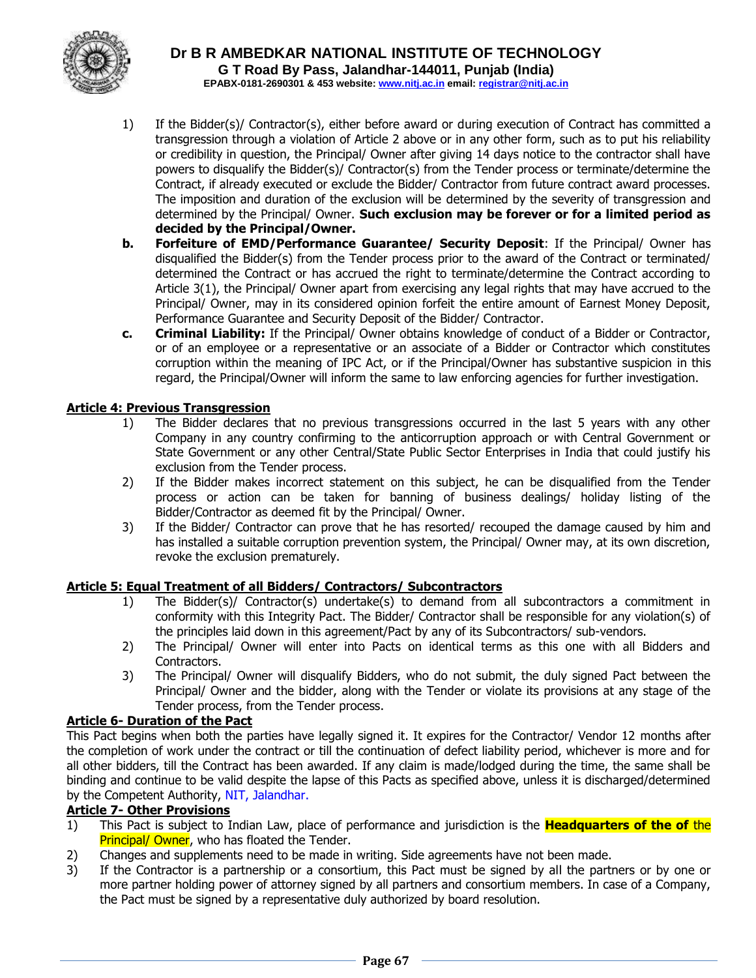

- 1) If the Bidder(s)/ Contractor(s), either before award or during execution of Contract has committed a transgression through a violation of Article 2 above or in any other form, such as to put his reliability or credibility in question, the Principal/ Owner after giving 14 days notice to the contractor shall have powers to disqualify the Bidder(s)/ Contractor(s) from the Tender process or terminate/determine the Contract, if already executed or exclude the Bidder/ Contractor from future contract award processes. The imposition and duration of the exclusion will be determined by the severity of transgression and determined by the Principal/ Owner. **Such exclusion may be forever or for a limited period as decided by the Principal/Owner.**
- **b. Forfeiture of EMD/Performance Guarantee/ Security Deposit**: If the Principal/ Owner has disqualified the Bidder(s) from the Tender process prior to the award of the Contract or terminated/ determined the Contract or has accrued the right to terminate/determine the Contract according to Article 3(1), the Principal/ Owner apart from exercising any legal rights that may have accrued to the Principal/ Owner, may in its considered opinion forfeit the entire amount of Earnest Money Deposit, Performance Guarantee and Security Deposit of the Bidder/ Contractor.
- **c. Criminal Liability:** If the Principal/ Owner obtains knowledge of conduct of a Bidder or Contractor, or of an employee or a representative or an associate of a Bidder or Contractor which constitutes corruption within the meaning of IPC Act, or if the Principal/Owner has substantive suspicion in this regard, the Principal/Owner will inform the same to law enforcing agencies for further investigation.

## **Article 4: Previous Transgression**

- 1) The Bidder declares that no previous transgressions occurred in the last 5 years with any other Company in any country confirming to the anticorruption approach or with Central Government or State Government or any other Central/State Public Sector Enterprises in India that could justify his exclusion from the Tender process.
- 2) If the Bidder makes incorrect statement on this subject, he can be disqualified from the Tender process or action can be taken for banning of business dealings/ holiday listing of the Bidder/Contractor as deemed fit by the Principal/ Owner.
- 3) If the Bidder/ Contractor can prove that he has resorted/ recouped the damage caused by him and has installed a suitable corruption prevention system, the Principal/ Owner may, at its own discretion, revoke the exclusion prematurely.

## **Article 5: Equal Treatment of all Bidders/ Contractors/ Subcontractors**

- 1) The Bidder(s)/ Contractor(s) undertake(s) to demand from all subcontractors a commitment in conformity with this Integrity Pact. The Bidder/ Contractor shall be responsible for any violation(s) of the principles laid down in this agreement/Pact by any of its Subcontractors/ sub-vendors.
- 2) The Principal/ Owner will enter into Pacts on identical terms as this one with all Bidders and Contractors.
- 3) The Principal/ Owner will disqualify Bidders, who do not submit, the duly signed Pact between the Principal/ Owner and the bidder, along with the Tender or violate its provisions at any stage of the Tender process, from the Tender process.

## **Article 6- Duration of the Pact**

This Pact begins when both the parties have legally signed it. It expires for the Contractor/ Vendor 12 months after the completion of work under the contract or till the continuation of defect liability period, whichever is more and for all other bidders, till the Contract has been awarded. If any claim is made/lodged during the time, the same shall be binding and continue to be valid despite the lapse of this Pacts as specified above, unless it is discharged/determined by the Competent Authority, NIT, Jalandhar.

#### **Article 7- Other Provisions**

- 1) This Pact is subject to Indian Law, place of performance and jurisdiction is the **Headquarters of the of** the **Principal/ Owner,** who has floated the Tender.
- 2) Changes and supplements need to be made in writing. Side agreements have not been made.
- 3) If the Contractor is a partnership or a consortium, this Pact must be signed by all the partners or by one or more partner holding power of attorney signed by all partners and consortium members. In case of a Company, the Pact must be signed by a representative duly authorized by board resolution.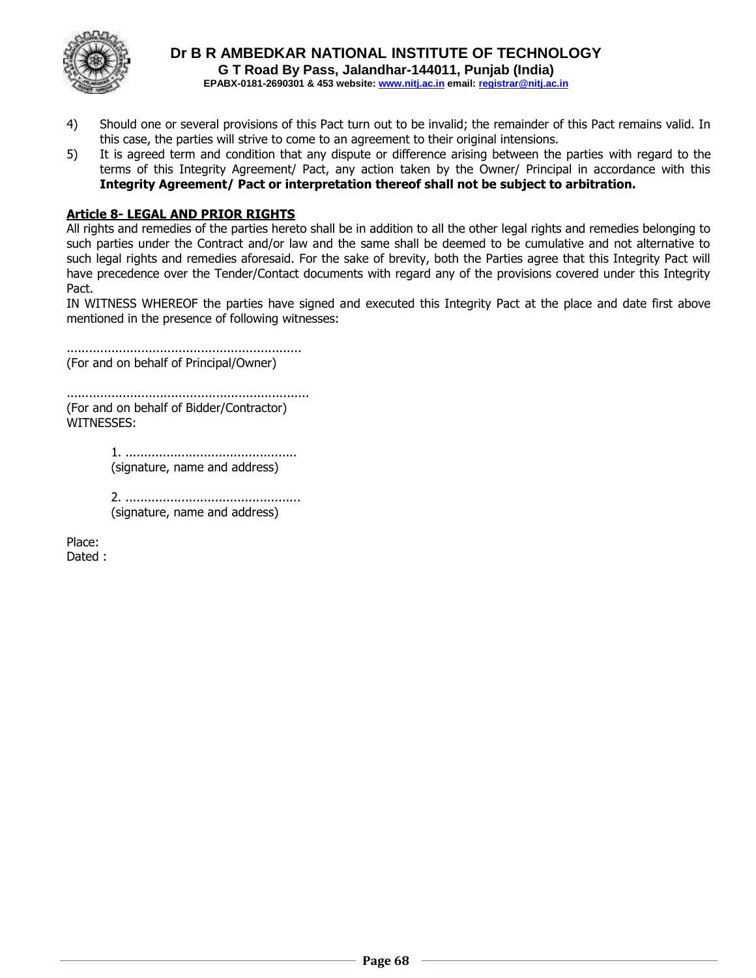

- 4) Should one or several provisions of this Pact turn out to be invalid; the remainder of this Pact remains valid. In this case, the parties will strive to come to an agreement to their original intensions.
- 5) It is agreed term and condition that any dispute or difference arising between the parties with regard to the terms of this Integrity Agreement/ Pact, any action taken by the Owner/ Principal in accordance with this **Integrity Agreement/ Pact or interpretation thereof shall not be subject to arbitration.**

## **Article 8- LEGAL AND PRIOR RIGHTS**

All rights and remedies of the parties hereto shall be in addition to all the other legal rights and remedies belonging to such parties under the Contract and/or law and the same shall be deemed to be cumulative and not alternative to such legal rights and remedies aforesaid. For the sake of brevity, both the Parties agree that this Integrity Pact will have precedence over the Tender/Contact documents with regard any of the provisions covered under this Integrity Pact.

IN WITNESS WHEREOF the parties have signed and executed this Integrity Pact at the place and date first above mentioned in the presence of following witnesses:

............................................................... (For and on behalf of Principal/Owner)

................................................................. (For and on behalf of Bidder/Contractor) WITNESSES:

> 1. .............................................. (signature, name and address)

2. ............................................... (signature, name and address)

Place: Dated :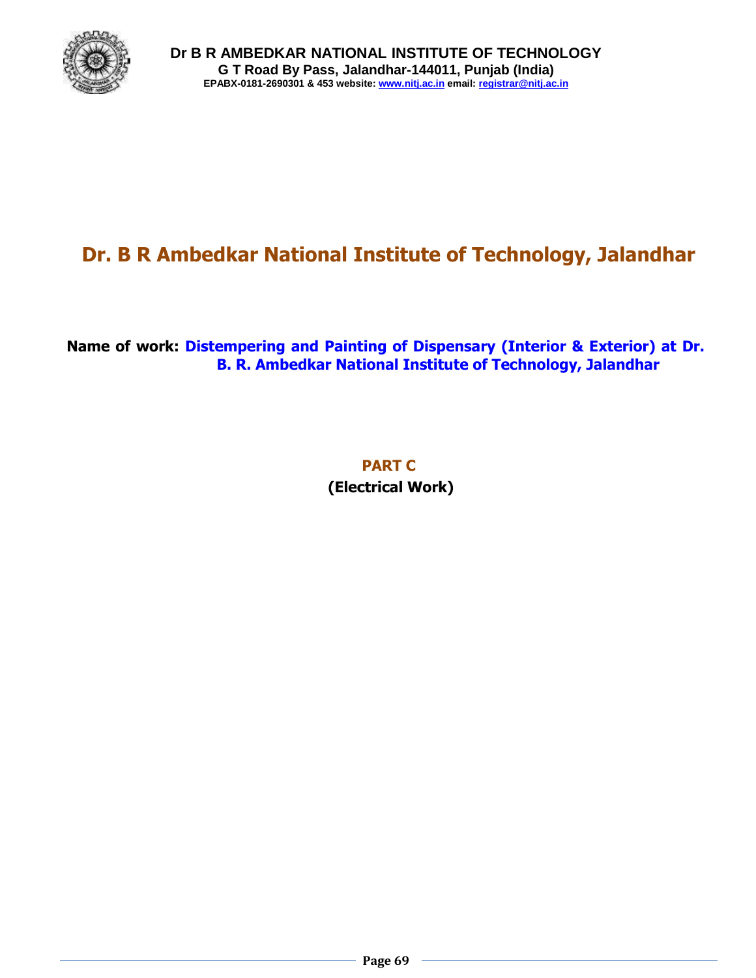

# **Dr. B R Ambedkar National Institute of Technology, Jalandhar**

# **Name of work: Distempering and Painting of Dispensary (Interior & Exterior) at Dr. B. R. Ambedkar National Institute of Technology, Jalandhar**

**PART C (Electrical Work)**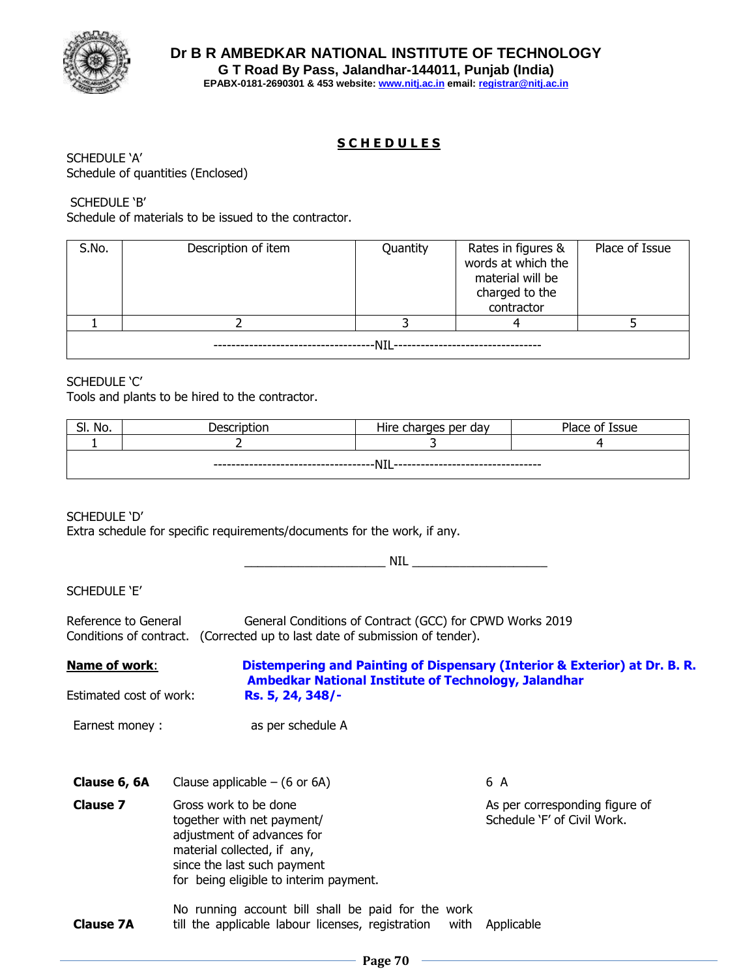

## **S C H E D U L E S**

SCHEDULE 'A' Schedule of quantities (Enclosed)

## SCHEDULE 'B'

Schedule of materials to be issued to the contractor.

| S.No. | Description of item | Quantity | Rates in figures &<br>words at which the<br>material will be<br>charged to the<br>contractor | Place of Issue |  |  |  |  |
|-------|---------------------|----------|----------------------------------------------------------------------------------------------|----------------|--|--|--|--|
|       |                     |          |                                                                                              |                |  |  |  |  |
| NIL   |                     |          |                                                                                              |                |  |  |  |  |

#### SCHEDULE 'C'

Tools and plants to be hired to the contractor.

| No.<br>$\sim$<br>וכ.                   | ЮL | .<br>charges per day<br>Hıre | Place of<br>Issue |  |  |  |  |
|----------------------------------------|----|------------------------------|-------------------|--|--|--|--|
|                                        |    |                              |                   |  |  |  |  |
| .<br>———— N⊥∟<br>---<br>$- - -$<br>--- |    |                              |                   |  |  |  |  |

SCHEDULE 'D'

Extra schedule for specific requirements/documents for the work, if any.

\_\_\_\_\_\_\_\_\_\_\_\_\_\_\_\_\_\_\_\_\_ NIL \_\_\_\_\_\_\_\_\_\_\_\_\_\_\_\_\_\_\_\_

SCHEDULE 'E'

Reference to General General Conditions of Contract (GCC) for CPWD Works 2019 Conditions of contract. (Corrected up to last date of submission of tender).

**Name of work**: **Distempering and Painting of Dispensary (Interior & Exterior) at Dr. B. R. Ambedkar National Institute of Technology, Jalandhar** Estimated cost of work: **Rs. 5, 24, 348/-**

Earnest money : as per schedule A

- **Clause 6, 6A** Clause applicable  $-$  (6 or 6A) 6 A **Clause 7** Gross work to be done together with net payment/ adjustment of advances for material collected, if any, since the last such payment for being eligible to interim payment. As per corresponding figure of Schedule 'F' of Civil Work.
- **Clause 7A** No running account bill shall be paid for the work till the applicable labour licenses, registration with Applicable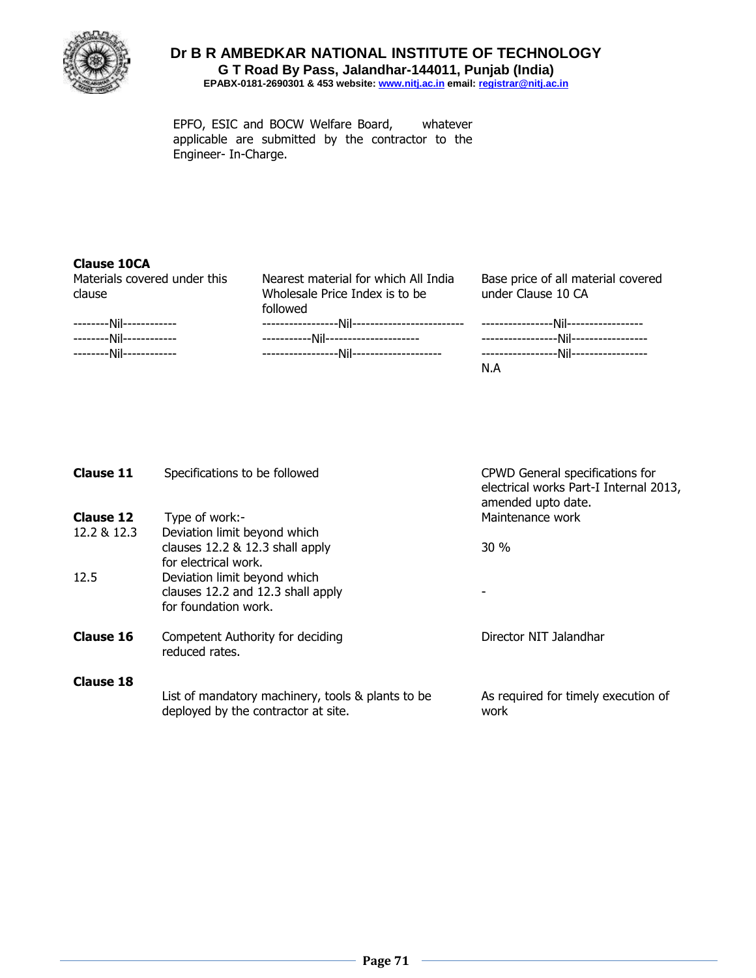

EPFO, ESIC and BOCW Welfare Board, whatever applicable are submitted by the contractor to the Engineer- In-Charge.

## **Clause 10CA**

| Materials covered under this | Nearest material for which All India | Base price of all material covered |
|------------------------------|--------------------------------------|------------------------------------|
| clause                       | Wholesale Price Index is to be       | under Clause 10 CA                 |
|                              | followed                             |                                    |
| --------Nil------------      |                                      |                                    |
| --------Nil------------      |                                      |                                    |
| --------Nil------------      |                                      |                                    |
|                              |                                      | N.A                                |

| <b>Clause 11</b> | Specifications to be followed                                                            | CPWD General specifications for<br>electrical works Part-I Internal 2013,<br>amended upto date. |
|------------------|------------------------------------------------------------------------------------------|-------------------------------------------------------------------------------------------------|
| <b>Clause 12</b> | Type of work:-                                                                           | Maintenance work                                                                                |
| 12.2 & 12.3      | Deviation limit beyond which                                                             |                                                                                                 |
|                  | clauses 12.2 & 12.3 shall apply<br>for electrical work.                                  | $30\%$                                                                                          |
| 12.5             | Deviation limit beyond which                                                             |                                                                                                 |
|                  | clauses 12.2 and 12.3 shall apply<br>for foundation work.                                |                                                                                                 |
| <b>Clause 16</b> | Competent Authority for deciding<br>reduced rates.                                       | Director NIT Jalandhar                                                                          |
| <b>Clause 18</b> |                                                                                          |                                                                                                 |
|                  | List of mandatory machinery, tools & plants to be<br>deployed by the contractor at site. | As required for timely execution of<br>work                                                     |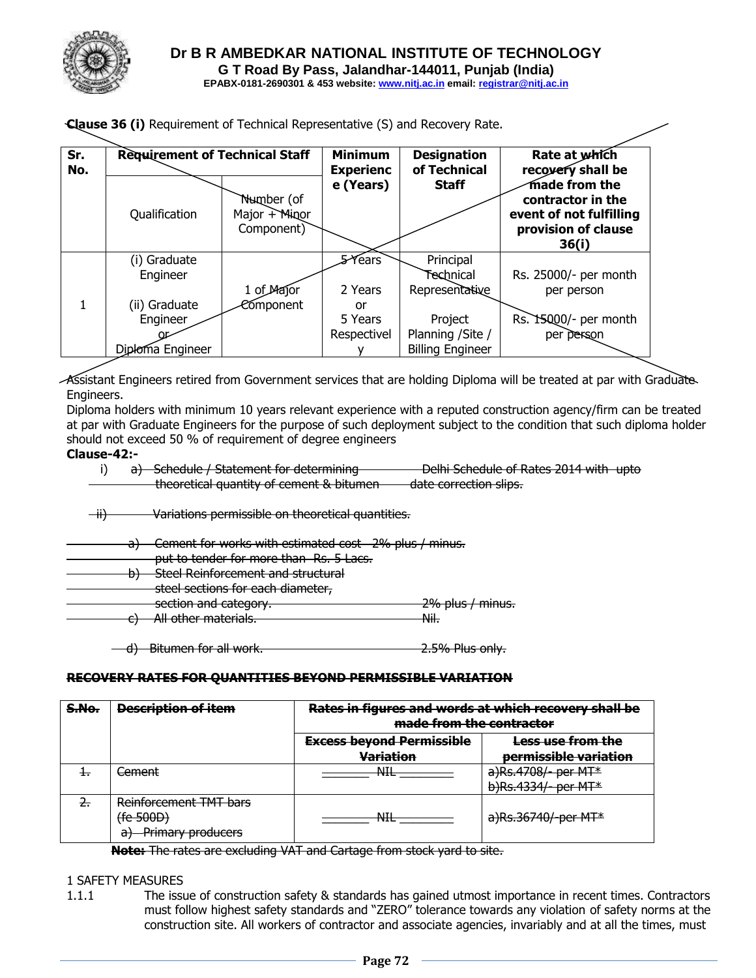

|  |  |  |  | <b>Clause 36 (i)</b> Requirement of Technical Representative (S) and Recovery Rate. |  |  |
|--|--|--|--|-------------------------------------------------------------------------------------|--|--|
|  |  |  |  |                                                                                     |  |  |

| Sr.<br>No. | <b>Requirement of Technical Staff</b> |                                           | <b>Minimum</b><br><b>Experienc</b> | <b>Designation</b><br>of Technical | Rate at which<br>recovery shall be                                                            |  |
|------------|---------------------------------------|-------------------------------------------|------------------------------------|------------------------------------|-----------------------------------------------------------------------------------------------|--|
|            | Qualification                         | Number (of<br>Major + Minor<br>Component) | e (Years)                          | <b>Staff</b>                       | made from the<br>contractor in the<br>event of not fulfilling<br>provision of clause<br>36(i) |  |
|            | (i) Graduate                          |                                           | 5-Years                            | Principal                          |                                                                                               |  |
|            | Engineer                              |                                           |                                    | Technical                          | Rs. 25000/- per month                                                                         |  |
|            |                                       | 1 of Major                                | 2 Years                            | Representative                     | per person                                                                                    |  |
| 1          | (ii) Graduate                         | Component                                 | or                                 |                                    |                                                                                               |  |
|            | Engineer                              |                                           | 5 Years                            | Project                            | Rs. 15000/- per month                                                                         |  |
|            |                                       |                                           | Respectivel                        | Planning / Site /                  | per person                                                                                    |  |
|            | Diploma Engineer                      |                                           |                                    | <b>Billing Engineer</b>            |                                                                                               |  |

Assistant Engineers retired from Government services that are holding Diploma will be treated at par with Graduate-Engineers.

Diploma holders with minimum 10 years relevant experience with a reputed construction agency/firm can be treated at par with Graduate Engineers for the purpose of such deployment subject to the condition that such diploma holder should not exceed 50 % of requirement of degree engineers

#### **Clause-42:-**

i) a) Schedule / Statement for determining Delhi Schedule of Rates 2014 with upto theoretical quantity of cement & bitumen date correction slips.

ii) Variations permissible on theoretical quantities.

- Cement for works with estimated cost 2% plus / minus.
- put to tender for more than Rs. 5 Lacs.
- b) Steel Reinforcement and structural
	- steel sections for each diameter,

section and category. 2% plus / minus.

c) All other materials. Nil.

d) Bitumen for all work. 2.5% Plus only.

#### **RECOVERY RATES FOR QUANTITIES BEYOND PERMISSIBLE VARIATION**

| S.No.          | <b>Description of item</b>    | Rates in figures and words at which recovery shall be<br>made from the contractor |                                 |  |  |  |
|----------------|-------------------------------|-----------------------------------------------------------------------------------|---------------------------------|--|--|--|
|                |                               | <b>Excess beyond Permissible</b>                                                  | Less use from the               |  |  |  |
|                |                               | <b>Variation</b>                                                                  | permissible variation           |  |  |  |
| $+$            | Cement                        | NITI<br>ᅟᆏᅚ                                                                       | a)Rs.4708/- per MT*             |  |  |  |
|                |                               |                                                                                   | b)Rs.4334/- per MT*             |  |  |  |
| $\overline{2}$ | Reinforcement TMT bars        |                                                                                   |                                 |  |  |  |
|                | (fe 500D)                     | NITI<br>™                                                                         | a)Rs.36740/-per MT <sup>*</sup> |  |  |  |
|                | <b>Primary producers</b><br>a |                                                                                   |                                 |  |  |  |

**Note:** The rates are excluding VAT and Cartage from stock yard to site.

#### 1 SAFETY MEASURES

1.1.1 The issue of construction safety & standards has gained utmost importance in recent times. Contractors must follow highest safety standards and "ZERO" tolerance towards any violation of safety norms at the construction site. All workers of contractor and associate agencies, invariably and at all the times, must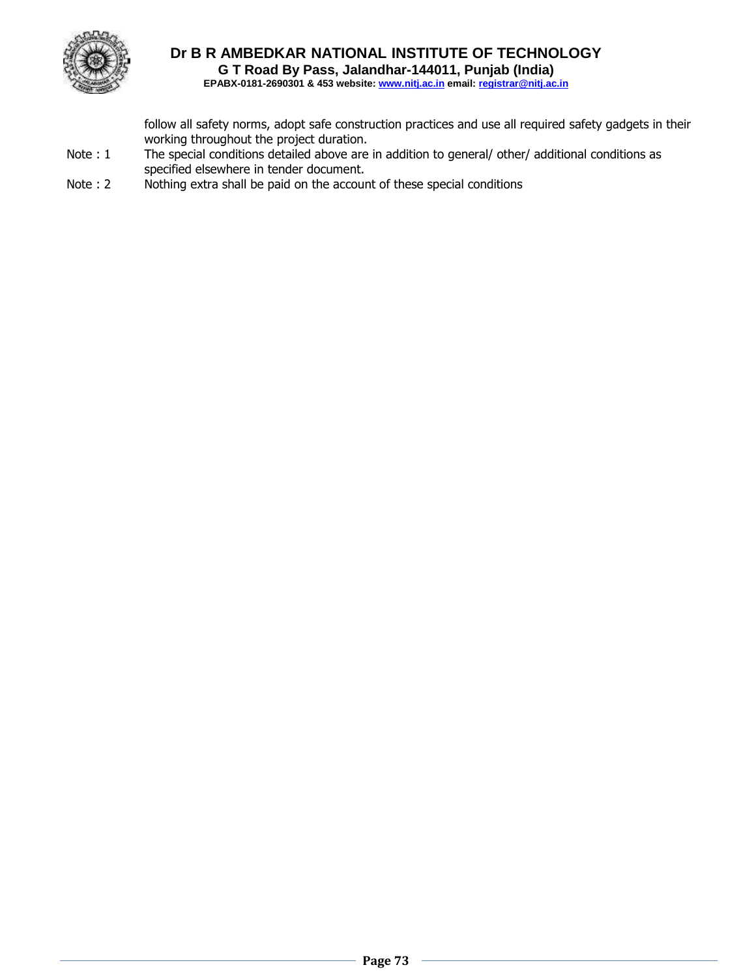

# **Dr B R AMBEDKAR NATIONAL INSTITUTE OF TECHNOLOGY G T Road By Pass, Jalandhar-144011, Punjab (India)**

**EPABX-0181-2690301 & 453 website: www.nitj.ac.in email: registrar@nitj.ac.in**

follow all safety norms, adopt safe construction practices and use all required safety gadgets in their working throughout the project duration.

- Note : 1 The special conditions detailed above are in addition to general/ other/ additional conditions as specified elsewhere in tender document.
- Note : 2 Nothing extra shall be paid on the account of these special conditions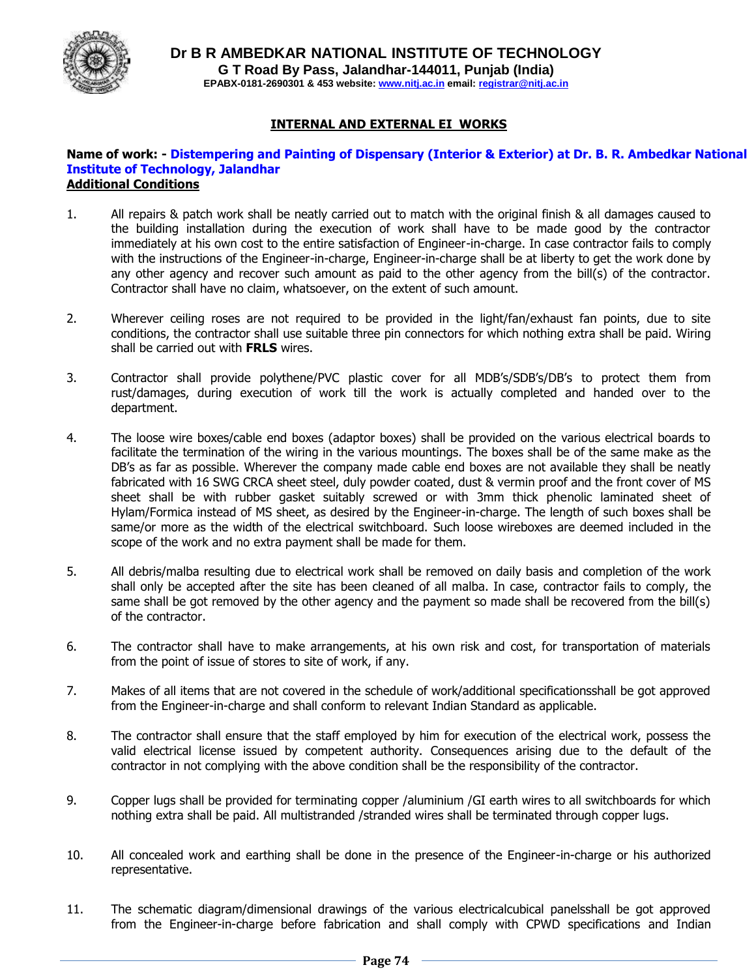

#### **INTERNAL AND EXTERNAL EI WORKS**

#### **Name of work: - Distempering and Painting of Dispensary (Interior & Exterior) at Dr. B. R. Ambedkar National Institute of Technology, Jalandhar Additional Conditions**

- 1. All repairs & patch work shall be neatly carried out to match with the original finish & all damages caused to the building installation during the execution of work shall have to be made good by the contractor immediately at his own cost to the entire satisfaction of Engineer-in-charge. In case contractor fails to comply with the instructions of the Engineer-in-charge, Engineer-in-charge shall be at liberty to get the work done by any other agency and recover such amount as paid to the other agency from the bill(s) of the contractor. Contractor shall have no claim, whatsoever, on the extent of such amount.
- 2. Wherever ceiling roses are not required to be provided in the light/fan/exhaust fan points, due to site conditions, the contractor shall use suitable three pin connectors for which nothing extra shall be paid. Wiring shall be carried out with **FRLS** wires.
- 3. Contractor shall provide polythene/PVC plastic cover for all MDB's/SDB's/DB's to protect them from rust/damages, during execution of work till the work is actually completed and handed over to the department.
- 4. The loose wire boxes/cable end boxes (adaptor boxes) shall be provided on the various electrical boards to facilitate the termination of the wiring in the various mountings. The boxes shall be of the same make as the DB's as far as possible. Wherever the company made cable end boxes are not available they shall be neatly fabricated with 16 SWG CRCA sheet steel, duly powder coated, dust & vermin proof and the front cover of MS sheet shall be with rubber gasket suitably screwed or with 3mm thick phenolic laminated sheet of Hylam/Formica instead of MS sheet, as desired by the Engineer-in-charge. The length of such boxes shall be same/or more as the width of the electrical switchboard. Such loose wireboxes are deemed included in the scope of the work and no extra payment shall be made for them.
- 5. All debris/malba resulting due to electrical work shall be removed on daily basis and completion of the work shall only be accepted after the site has been cleaned of all malba. In case, contractor fails to comply, the same shall be got removed by the other agency and the payment so made shall be recovered from the bill(s) of the contractor.
- 6. The contractor shall have to make arrangements, at his own risk and cost, for transportation of materials from the point of issue of stores to site of work, if any.
- 7. Makes of all items that are not covered in the schedule of work/additional specificationsshall be got approved from the Engineer-in-charge and shall conform to relevant Indian Standard as applicable.
- 8. The contractor shall ensure that the staff employed by him for execution of the electrical work, possess the valid electrical license issued by competent authority. Consequences arising due to the default of the contractor in not complying with the above condition shall be the responsibility of the contractor.
- 9. Copper lugs shall be provided for terminating copper /aluminium /GI earth wires to all switchboards for which nothing extra shall be paid. All multistranded /stranded wires shall be terminated through copper lugs.
- 10. All concealed work and earthing shall be done in the presence of the Engineer-in-charge or his authorized representative.
- 11. The schematic diagram/dimensional drawings of the various electricalcubical panelsshall be got approved from the Engineer-in-charge before fabrication and shall comply with CPWD specifications and Indian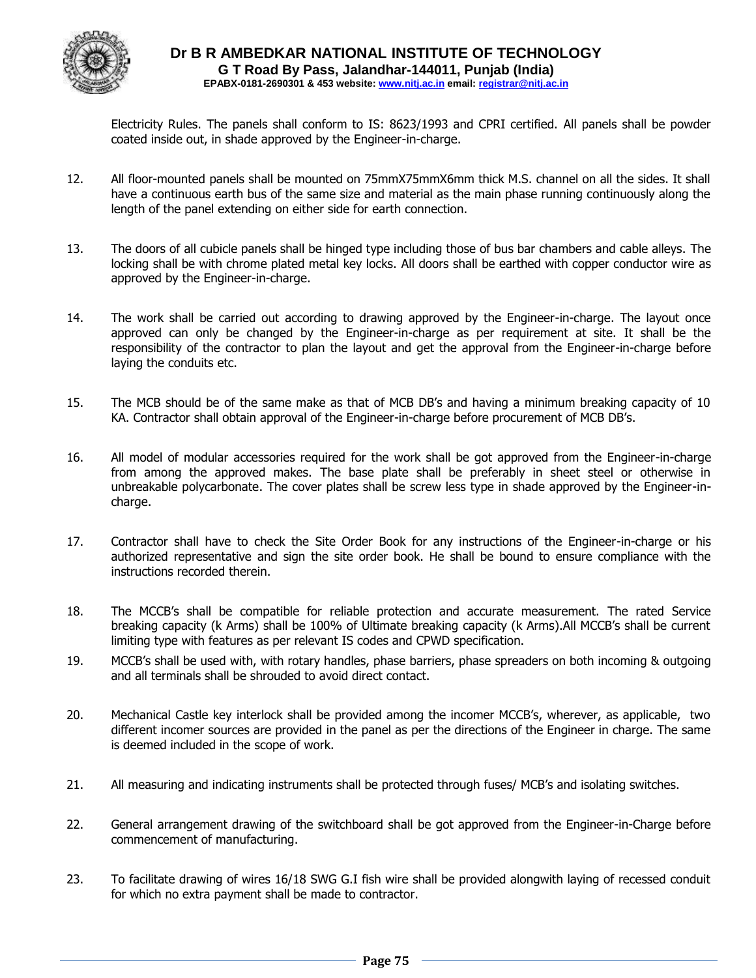

Electricity Rules. The panels shall conform to IS: 8623/1993 and CPRI certified. All panels shall be powder coated inside out, in shade approved by the Engineer-in-charge.

- 12. All floor-mounted panels shall be mounted on 75mmX75mmX6mm thick M.S. channel on all the sides. It shall have a continuous earth bus of the same size and material as the main phase running continuously along the length of the panel extending on either side for earth connection.
- 13. The doors of all cubicle panels shall be hinged type including those of bus bar chambers and cable alleys. The locking shall be with chrome plated metal key locks. All doors shall be earthed with copper conductor wire as approved by the Engineer-in-charge.
- 14. The work shall be carried out according to drawing approved by the Engineer-in-charge. The layout once approved can only be changed by the Engineer-in-charge as per requirement at site. It shall be the responsibility of the contractor to plan the layout and get the approval from the Engineer-in-charge before laying the conduits etc.
- 15. The MCB should be of the same make as that of MCB DB's and having a minimum breaking capacity of 10 KA. Contractor shall obtain approval of the Engineer-in-charge before procurement of MCB DB's.
- 16. All model of modular accessories required for the work shall be got approved from the Engineer-in-charge from among the approved makes. The base plate shall be preferably in sheet steel or otherwise in unbreakable polycarbonate. The cover plates shall be screw less type in shade approved by the Engineer-incharge.
- 17. Contractor shall have to check the Site Order Book for any instructions of the Engineer-in-charge or his authorized representative and sign the site order book. He shall be bound to ensure compliance with the instructions recorded therein.
- 18. The MCCB's shall be compatible for reliable protection and accurate measurement. The rated Service breaking capacity (k Arms) shall be 100% of Ultimate breaking capacity (k Arms).All MCCB's shall be current limiting type with features as per relevant IS codes and CPWD specification.
- 19. MCCB's shall be used with, with rotary handles, phase barriers, phase spreaders on both incoming & outgoing and all terminals shall be shrouded to avoid direct contact.
- 20. Mechanical Castle key interlock shall be provided among the incomer MCCB's, wherever, as applicable, two different incomer sources are provided in the panel as per the directions of the Engineer in charge. The same is deemed included in the scope of work.
- 21. All measuring and indicating instruments shall be protected through fuses/ MCB's and isolating switches.
- 22. General arrangement drawing of the switchboard shall be got approved from the Engineer-in-Charge before commencement of manufacturing.
- 23. To facilitate drawing of wires 16/18 SWG G.I fish wire shall be provided alongwith laying of recessed conduit for which no extra payment shall be made to contractor.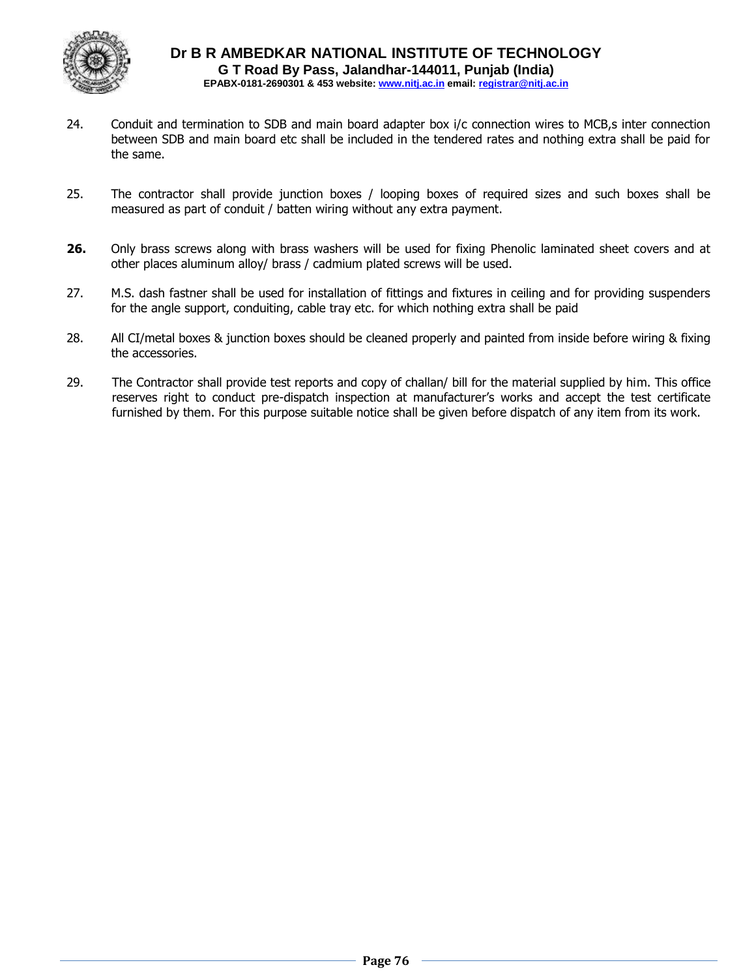

- 24. Conduit and termination to SDB and main board adapter box i/c connection wires to MCB,s inter connection between SDB and main board etc shall be included in the tendered rates and nothing extra shall be paid for the same.
- 25. The contractor shall provide junction boxes / looping boxes of required sizes and such boxes shall be measured as part of conduit / batten wiring without any extra payment.
- **26.** Only brass screws along with brass washers will be used for fixing Phenolic laminated sheet covers and at other places aluminum alloy/ brass / cadmium plated screws will be used.
- 27. M.S. dash fastner shall be used for installation of fittings and fixtures in ceiling and for providing suspenders for the angle support, conduiting, cable tray etc. for which nothing extra shall be paid
- 28. All CI/metal boxes & junction boxes should be cleaned properly and painted from inside before wiring & fixing the accessories.
- 29. The Contractor shall provide test reports and copy of challan/ bill for the material supplied by him. This office reserves right to conduct pre-dispatch inspection at manufacturer's works and accept the test certificate furnished by them. For this purpose suitable notice shall be given before dispatch of any item from its work.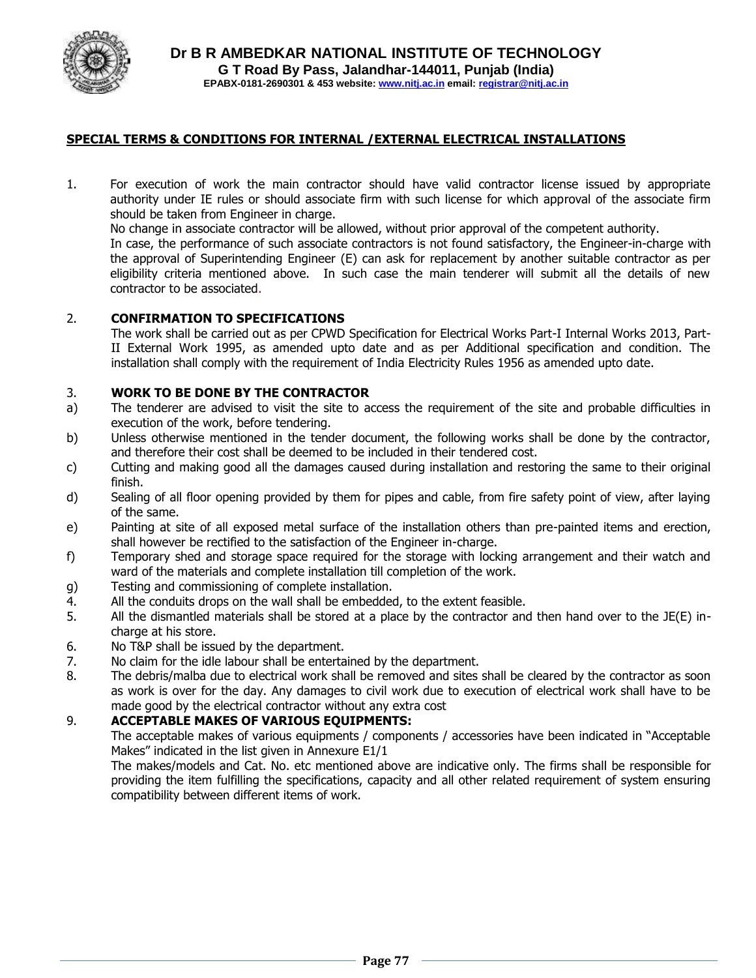

#### **SPECIAL TERMS & CONDITIONS FOR INTERNAL /EXTERNAL ELECTRICAL INSTALLATIONS**

1. For execution of work the main contractor should have valid contractor license issued by appropriate authority under IE rules or should associate firm with such license for which approval of the associate firm should be taken from Engineer in charge.

No change in associate contractor will be allowed, without prior approval of the competent authority.

In case, the performance of such associate contractors is not found satisfactory, the Engineer-in-charge with the approval of Superintending Engineer (E) can ask for replacement by another suitable contractor as per eligibility criteria mentioned above. In such case the main tenderer will submit all the details of new contractor to be associated.

#### 2. **CONFIRMATION TO SPECIFICATIONS**

The work shall be carried out as per CPWD Specification for Electrical Works Part-I Internal Works 2013, Part-II External Work 1995, as amended upto date and as per Additional specification and condition. The installation shall comply with the requirement of India Electricity Rules 1956 as amended upto date.

#### 3. **WORK TO BE DONE BY THE CONTRACTOR**

- a) The tenderer are advised to visit the site to access the requirement of the site and probable difficulties in execution of the work, before tendering.
- b) Unless otherwise mentioned in the tender document, the following works shall be done by the contractor, and therefore their cost shall be deemed to be included in their tendered cost.
- c) Cutting and making good all the damages caused during installation and restoring the same to their original finish.
- d) Sealing of all floor opening provided by them for pipes and cable, from fire safety point of view, after laying of the same.
- e) Painting at site of all exposed metal surface of the installation others than pre-painted items and erection, shall however be rectified to the satisfaction of the Engineer in-charge.
- f) Temporary shed and storage space required for the storage with locking arrangement and their watch and ward of the materials and complete installation till completion of the work.
- g) Testing and commissioning of complete installation.
- 4. All the conduits drops on the wall shall be embedded, to the extent feasible.
- 5. All the dismantled materials shall be stored at a place by the contractor and then hand over to the JE(E) incharge at his store.
- 6. No T&P shall be issued by the department.
- 7. No claim for the idle labour shall be entertained by the department.
- 8. The debris/malba due to electrical work shall be removed and sites shall be cleared by the contractor as soon as work is over for the day. Any damages to civil work due to execution of electrical work shall have to be made good by the electrical contractor without any extra cost

#### 9. **ACCEPTABLE MAKES OF VARIOUS EQUIPMENTS:**

The acceptable makes of various equipments / components / accessories have been indicated in "Acceptable Makes" indicated in the list given in Annexure E1/1

The makes/models and Cat. No. etc mentioned above are indicative only. The firms shall be responsible for providing the item fulfilling the specifications, capacity and all other related requirement of system ensuring compatibility between different items of work.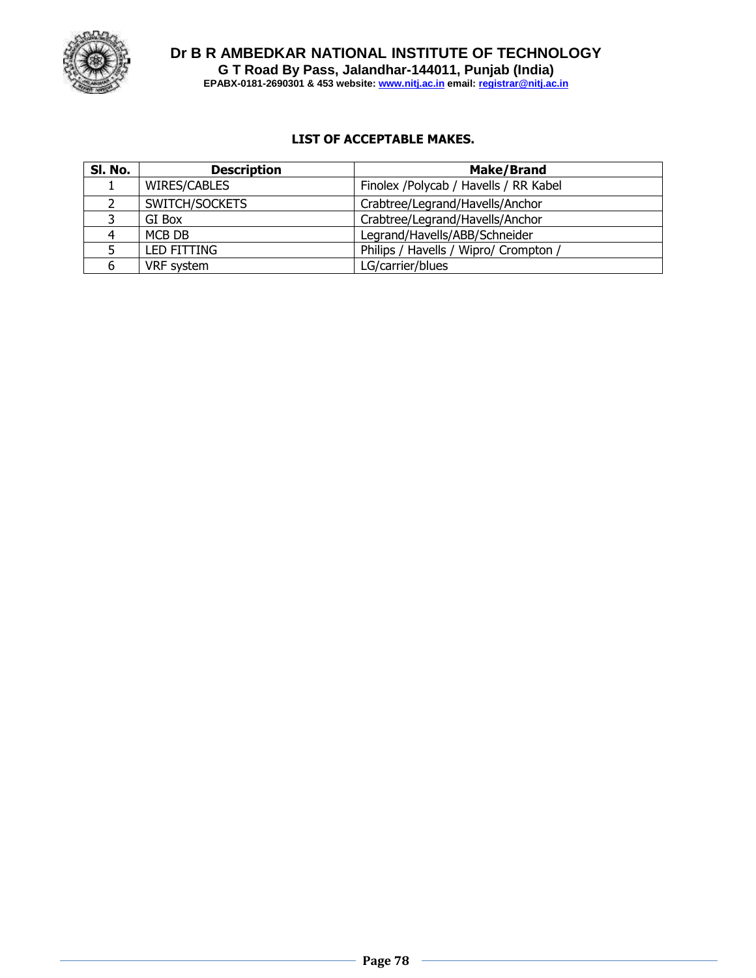

**Dr B R AMBEDKAR NATIONAL INSTITUTE OF TECHNOLOGY G T Road By Pass, Jalandhar-144011, Punjab (India) EPABX-0181-2690301 & 453 website: www.nitj.ac.in email: registrar@nitj.ac.in**

## **LIST OF ACCEPTABLE MAKES.**

| SI. No. | <b>Description</b> | <b>Make/Brand</b>                     |  |  |  |
|---------|--------------------|---------------------------------------|--|--|--|
|         | WIRES/CABLES       | Finolex /Polycab / Havells / RR Kabel |  |  |  |
|         | SWITCH/SOCKETS     | Crabtree/Legrand/Havells/Anchor       |  |  |  |
|         | GI Box             | Crabtree/Legrand/Havells/Anchor       |  |  |  |
|         | MCB DB             | Legrand/Havells/ABB/Schneider         |  |  |  |
|         | <b>LED FITTING</b> | Philips / Havells / Wipro/ Crompton / |  |  |  |
|         | VRF system         | LG/carrier/blues                      |  |  |  |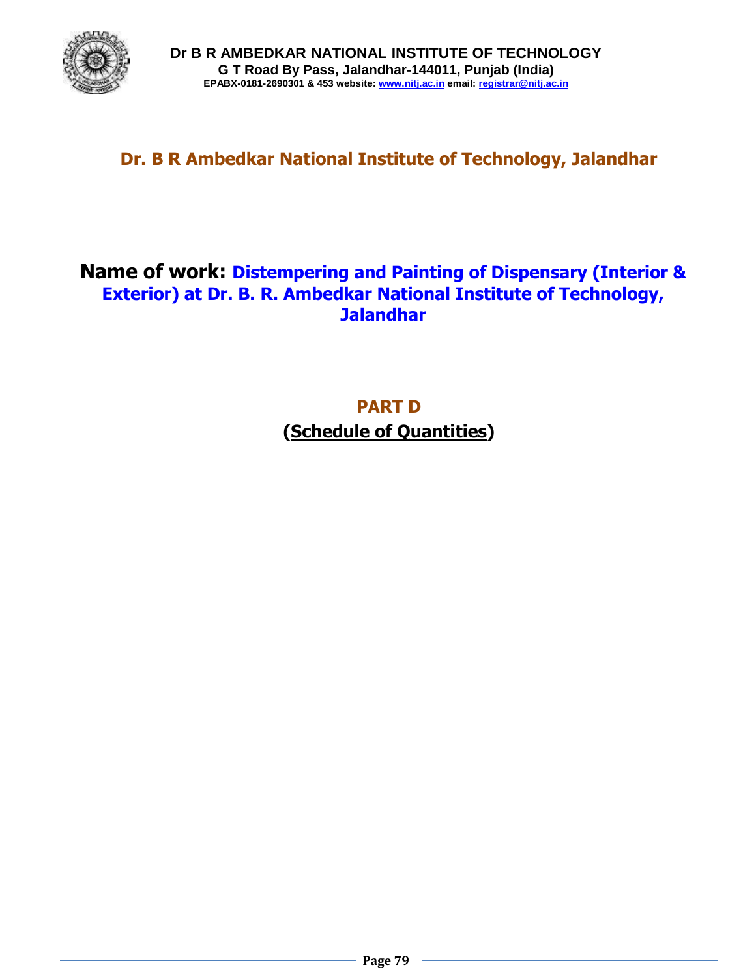

# **Dr. B R Ambedkar National Institute of Technology, Jalandhar**

# **Name of work: Distempering and Painting of Dispensary (Interior & Exterior) at Dr. B. R. Ambedkar National Institute of Technology, Jalandhar**

**PART D (Schedule of Quantities)**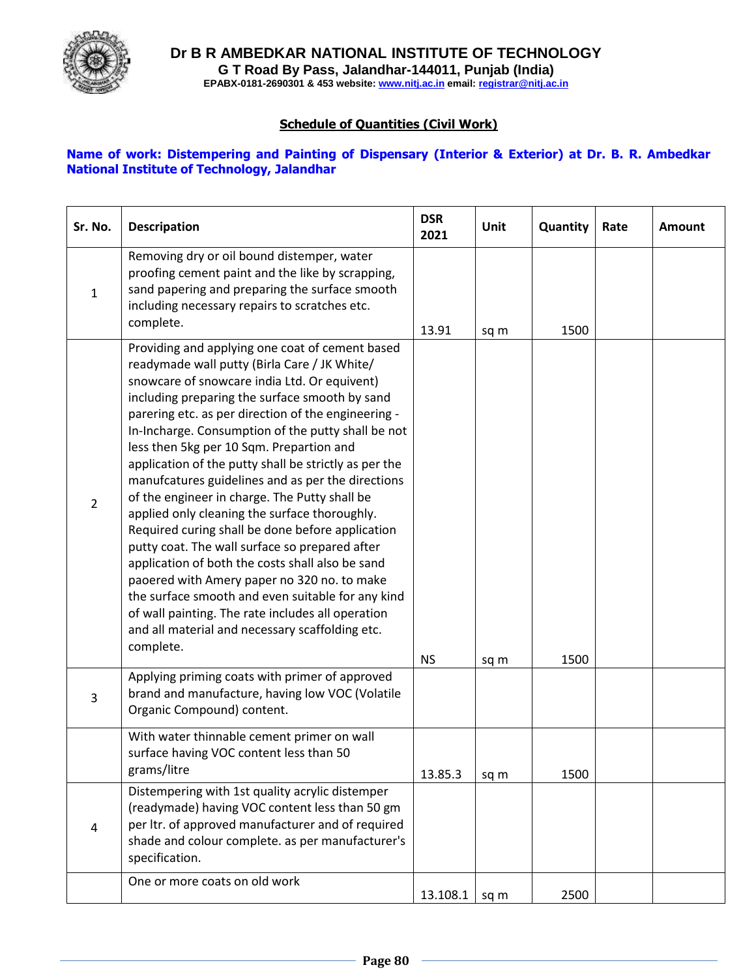

**Dr B R AMBEDKAR NATIONAL INSTITUTE OF TECHNOLOGY G T Road By Pass, Jalandhar-144011, Punjab (India) EPABX-0181-2690301 & 453 website: www.nitj.ac.in email: registrar@nitj.ac.in**

## **Schedule of Quantities (Civil Work)**

### **Name of work: Distempering and Painting of Dispensary (Interior & Exterior) at Dr. B. R. Ambedkar National Institute of Technology, Jalandhar**

| Sr. No.        | <b>Descripation</b>                                                                                                                                                                                                                                                                                                                                                                                                                                                                                                                                                                                                                                                                                                                                                                                                                                                                                                                                           | <b>DSR</b><br>2021 | Unit | Quantity | Rate | <b>Amount</b> |
|----------------|---------------------------------------------------------------------------------------------------------------------------------------------------------------------------------------------------------------------------------------------------------------------------------------------------------------------------------------------------------------------------------------------------------------------------------------------------------------------------------------------------------------------------------------------------------------------------------------------------------------------------------------------------------------------------------------------------------------------------------------------------------------------------------------------------------------------------------------------------------------------------------------------------------------------------------------------------------------|--------------------|------|----------|------|---------------|
| 1              | Removing dry or oil bound distemper, water<br>proofing cement paint and the like by scrapping,<br>sand papering and preparing the surface smooth<br>including necessary repairs to scratches etc.<br>complete.                                                                                                                                                                                                                                                                                                                                                                                                                                                                                                                                                                                                                                                                                                                                                | 13.91              | sq m | 1500     |      |               |
| $\overline{2}$ | Providing and applying one coat of cement based<br>readymade wall putty (Birla Care / JK White/<br>snowcare of snowcare india Ltd. Or equivent)<br>including preparing the surface smooth by sand<br>parering etc. as per direction of the engineering -<br>In-Incharge. Consumption of the putty shall be not<br>less then 5kg per 10 Sqm. Prepartion and<br>application of the putty shall be strictly as per the<br>manufcatures guidelines and as per the directions<br>of the engineer in charge. The Putty shall be<br>applied only cleaning the surface thoroughly.<br>Required curing shall be done before application<br>putty coat. The wall surface so prepared after<br>application of both the costs shall also be sand<br>paoered with Amery paper no 320 no. to make<br>the surface smooth and even suitable for any kind<br>of wall painting. The rate includes all operation<br>and all material and necessary scaffolding etc.<br>complete. | <b>NS</b>          | sq m | 1500     |      |               |
| 3              | Applying priming coats with primer of approved<br>brand and manufacture, having low VOC (Volatile<br>Organic Compound) content.                                                                                                                                                                                                                                                                                                                                                                                                                                                                                                                                                                                                                                                                                                                                                                                                                               |                    |      |          |      |               |
|                | With water thinnable cement primer on wall<br>surface having VOC content less than 50<br>grams/litre                                                                                                                                                                                                                                                                                                                                                                                                                                                                                                                                                                                                                                                                                                                                                                                                                                                          | 13.85.3            | sq m | 1500     |      |               |
| $\overline{a}$ | Distempering with 1st quality acrylic distemper<br>(readymade) having VOC content less than 50 gm<br>per ltr. of approved manufacturer and of required<br>shade and colour complete. as per manufacturer's<br>specification.                                                                                                                                                                                                                                                                                                                                                                                                                                                                                                                                                                                                                                                                                                                                  |                    |      |          |      |               |
|                | One or more coats on old work                                                                                                                                                                                                                                                                                                                                                                                                                                                                                                                                                                                                                                                                                                                                                                                                                                                                                                                                 | 13.108.1           | sq m | 2500     |      |               |